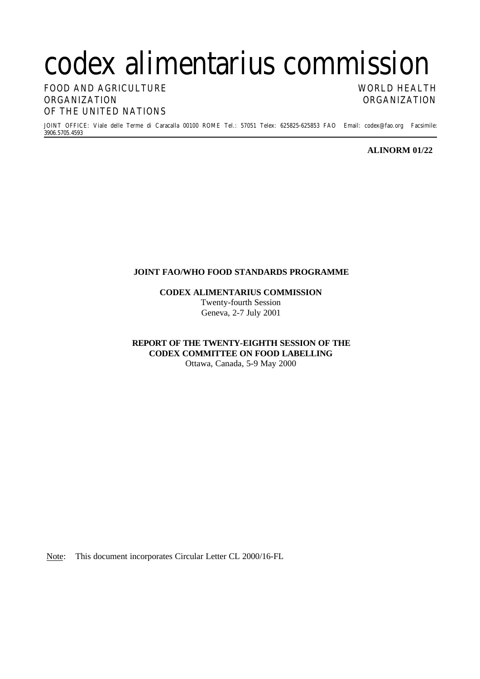# codex alimentarius commission

FOOD AND AGRICULTURE WORLD HEALTH ORGANIZATION ORGANIZATION OF THE UNITED NATIONS

JOINT OFFICE: Viale delle Terme di Caracalla 00100 ROME Tel.: 57051 Telex: 625825-625853 FAO Email: codex@fao.org Facsimile: 3906.5705.4593

# **ALINORM 01/22**

# **JOINT FAO/WHO FOOD STANDARDS PROGRAMME**

**CODEX ALIMENTARIUS COMMISSION**

Twenty-fourth Session Geneva, 2-7 July 2001

**REPORT OF THE TWENTY-EIGHTH SESSION OF THE CODEX COMMITTEE ON FOOD LABELLING** Ottawa, Canada, 5-9 May 2000

Note: This document incorporates Circular Letter CL 2000/16-FL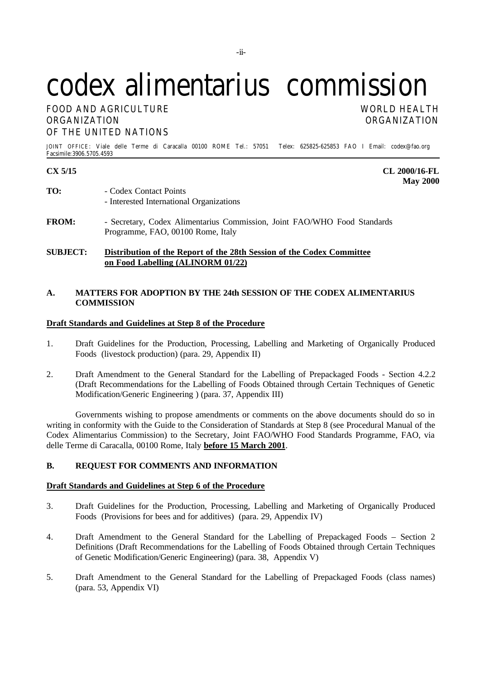# codex alimentarius commission

# FOOD AND AGRICULTURE WORLD HEALTH ORGANIZATION ORGANIZATION OF THE UNITED NATIONS

JOINT OFFICE: Viale delle Terme di Caracalla 00100 ROME Tel.: 57051 Telex: 625825-625853 FAO I Email: codex@fao.org Facsimile:3906.5705.4593

**CX 5/15 CL 2000/16-FL May 2000**

| TO:  | - Codex Contact Points                   |
|------|------------------------------------------|
|      | - Interested International Organizations |
| ---- | ________                                 |

**FROM:** - Secretary, Codex Alimentarius Commission, Joint FAO/WHO Food Standards Programme, FAO, 00100 Rome, Italy

# **SUBJECT: Distribution of the Report of the 28th Session of the Codex Committee on Food Labelling (ALINORM 01/22)**

# **A. MATTERS FOR ADOPTION BY THE 24th SESSION OF THE CODEX ALIMENTARIUS COMMISSION**

# **Draft Standards and Guidelines at Step 8 of the Procedure**

- 1. Draft Guidelines for the Production, Processing, Labelling and Marketing of Organically Produced Foods (livestock production) (para. 29, Appendix II)
- 2. Draft Amendment to the General Standard for the Labelling of Prepackaged Foods Section 4.2.2 (Draft Recommendations for the Labelling of Foods Obtained through Certain Techniques of Genetic Modification/Generic Engineering ) (para. 37, Appendix III)

Governments wishing to propose amendments or comments on the above documents should do so in writing in conformity with the Guide to the Consideration of Standards at Step 8 (see Procedural Manual of the Codex Alimentarius Commission) to the Secretary, Joint FAO/WHO Food Standards Programme, FAO, via delle Terme di Caracalla, 00100 Rome, Italy **before 15 March 2001**.

# **B. REQUEST FOR COMMENTS AND INFORMATION**

# **Draft Standards and Guidelines at Step 6 of the Procedure**

- 3. Draft Guidelines for the Production, Processing, Labelling and Marketing of Organically Produced Foods (Provisions for bees and for additives) (para. 29, Appendix IV)
- 4. Draft Amendment to the General Standard for the Labelling of Prepackaged Foods Section 2 Definitions (Draft Recommendations for the Labelling of Foods Obtained through Certain Techniques of Genetic Modification/Generic Engineering) (para. 38, Appendix V)
- 5. Draft Amendment to the General Standard for the Labelling of Prepackaged Foods (class names) (para. 53, Appendix VI)

#### -ii-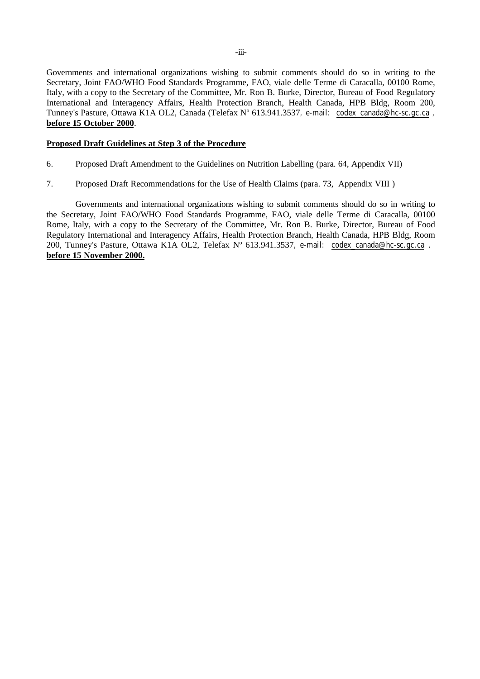Governments and international organizations wishing to submit comments should do so in writing to the Secretary, Joint FAO/WHO Food Standards Programme, FAO, viale delle Terme di Caracalla, 00100 Rome, Italy, with a copy to the Secretary of the Committee, Mr. Ron B. Burke, Director, Bureau of Food Regulatory International and Interagency Affairs, Health Protection Branch, Health Canada, HPB Bldg, Room 200, Tunney's Pasture, Ottawa K1A OL2, Canada (Telefax Nº 613.941.3537, e-mail: codex\_canada@hc-sc.gc.ca, **before 15 October 2000**.

# **Proposed Draft Guidelines at Step 3 of the Procedure**

- 6. Proposed Draft Amendment to the Guidelines on Nutrition Labelling (para. 64, Appendix VII)
- 7. Proposed Draft Recommendations for the Use of Health Claims (para. 73, Appendix VIII )

Governments and international organizations wishing to submit comments should do so in writing to the Secretary, Joint FAO/WHO Food Standards Programme, FAO, viale delle Terme di Caracalla, 00100 Rome, Italy, with a copy to the Secretary of the Committee, Mr. Ron B. Burke, Director, Bureau of Food Regulatory International and Interagency Affairs, Health Protection Branch, Health Canada, HPB Bldg, Room 200, Tunney's Pasture, Ottawa K1A OL2, Telefax Nº 613.941.3537, e-mail: codex\_canada@hc-sc.gc.ca , **before 15 November 2000.**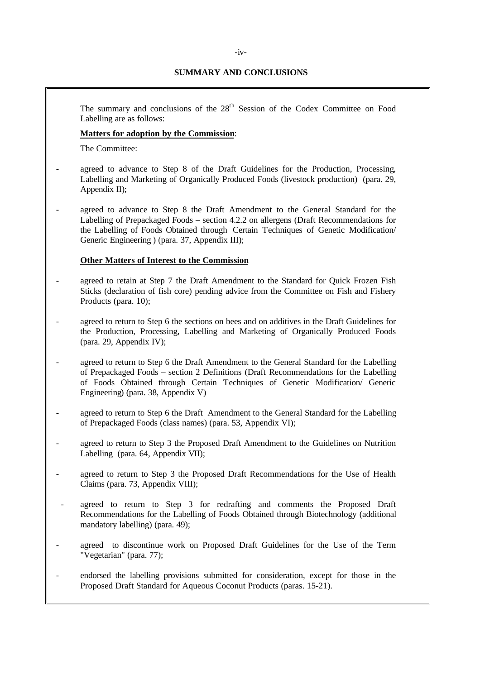#### **SUMMARY AND CONCLUSIONS**

The summary and conclusions of the  $28<sup>th</sup>$  Session of the Codex Committee on Food Labelling are as follows:

#### **Matters for adoption by the Commission**:

The Committee:

- agreed to advance to Step 8 of the Draft Guidelines for the Production, Processing, Labelling and Marketing of Organically Produced Foods (livestock production) (para. 29, Appendix II);
- agreed to advance to Step 8 the Draft Amendment to the General Standard for the Labelling of Prepackaged Foods – section 4.2.2 on allergens (Draft Recommendations for the Labelling of Foods Obtained through Certain Techniques of Genetic Modification/ Generic Engineering ) (para. 37, Appendix III);

#### **Other Matters of Interest to the Commission**

- agreed to retain at Step 7 the Draft Amendment to the Standard for Quick Frozen Fish Sticks (declaration of fish core) pending advice from the Committee on Fish and Fishery Products (para. 10);
- agreed to return to Step 6 the sections on bees and on additives in the Draft Guidelines for the Production, Processing, Labelling and Marketing of Organically Produced Foods (para. 29, Appendix IV);
- agreed to return to Step 6 the Draft Amendment to the General Standard for the Labelling of Prepackaged Foods – section 2 Definitions (Draft Recommendations for the Labelling of Foods Obtained through Certain Techniques of Genetic Modification/ Generic Engineering) (para. 38, Appendix V)
- agreed to return to Step 6 the Draft Amendment to the General Standard for the Labelling of Prepackaged Foods (class names) (para. 53, Appendix VI);
- agreed to return to Step 3 the Proposed Draft Amendment to the Guidelines on Nutrition Labelling (para. 64, Appendix VII);
- agreed to return to Step 3 the Proposed Draft Recommendations for the Use of Health Claims (para. 73, Appendix VIII);
- agreed to return to Step 3 for redrafting and comments the Proposed Draft Recommendations for the Labelling of Foods Obtained through Biotechnology (additional mandatory labelling) (para. 49);
- agreed to discontinue work on Proposed Draft Guidelines for the Use of the Term "Vegetarian" (para. 77);
- endorsed the labelling provisions submitted for consideration, except for those in the Proposed Draft Standard for Aqueous Coconut Products (paras. 15-21).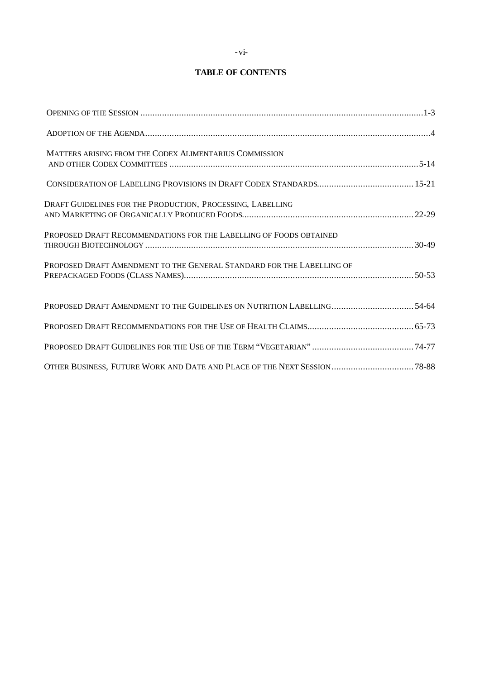# **TABLE OF CONTENTS**

| MATTERS ARISING FROM THE CODEX ALIMENTARIUS COMMISSION                    |  |
|---------------------------------------------------------------------------|--|
|                                                                           |  |
| DRAFT GUIDELINES FOR THE PRODUCTION, PROCESSING, LABELLING                |  |
| PROPOSED DRAFT RECOMMENDATIONS FOR THE LABELLING OF FOODS OBTAINED        |  |
| PROPOSED DRAFT AMENDMENT TO THE GENERAL STANDARD FOR THE LABELLING OF     |  |
| PROPOSED DRAFT AMENDMENT TO THE GUIDELINES ON NUTRITION LABELLING54-64    |  |
|                                                                           |  |
|                                                                           |  |
| OTHER BUSINESS, FUTURE WORK AND DATE AND PLACE OF THE NEXT SESSION  78-88 |  |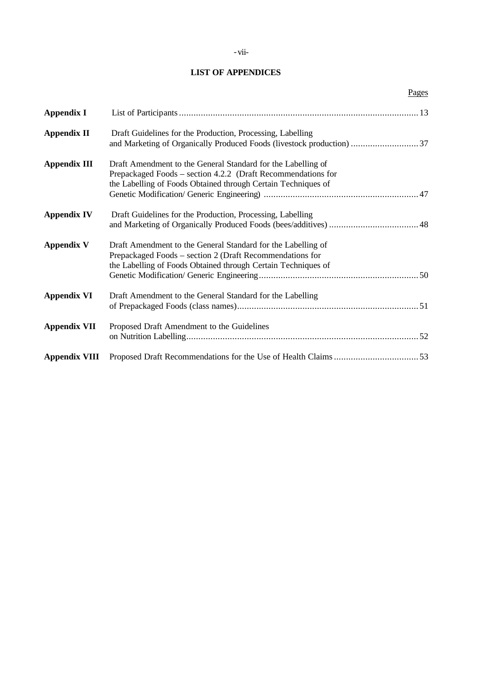# -vii-

# **LIST OF APPENDICES**

Pages

| Appendix I           |                                                                                                                                                                                               |
|----------------------|-----------------------------------------------------------------------------------------------------------------------------------------------------------------------------------------------|
| <b>Appendix II</b>   | Draft Guidelines for the Production, Processing, Labelling                                                                                                                                    |
| <b>Appendix III</b>  | Draft Amendment to the General Standard for the Labelling of<br>Prepackaged Foods – section 4.2.2 (Draft Recommendations for<br>the Labelling of Foods Obtained through Certain Techniques of |
| <b>Appendix IV</b>   | Draft Guidelines for the Production, Processing, Labelling                                                                                                                                    |
| <b>Appendix V</b>    | Draft Amendment to the General Standard for the Labelling of<br>Prepackaged Foods – section 2 (Draft Recommendations for<br>the Labelling of Foods Obtained through Certain Techniques of     |
| Appendix VI          | Draft Amendment to the General Standard for the Labelling                                                                                                                                     |
| Appendix VII         | Proposed Draft Amendment to the Guidelines                                                                                                                                                    |
| <b>Appendix VIII</b> |                                                                                                                                                                                               |
|                      |                                                                                                                                                                                               |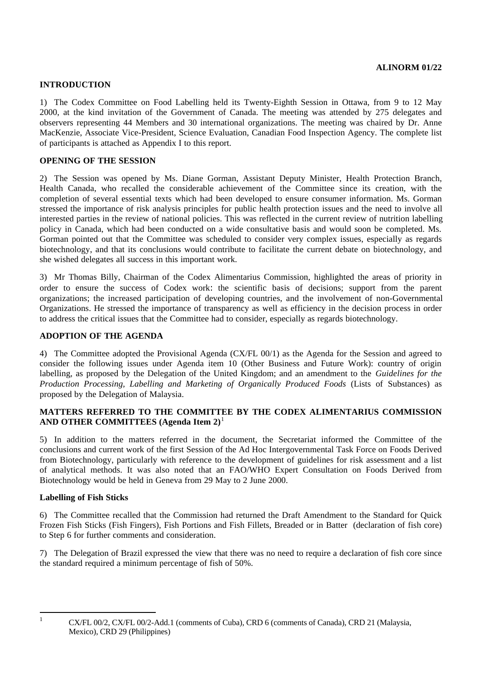# **INTRODUCTION**

1) The Codex Committee on Food Labelling held its Twenty-Eighth Session in Ottawa, from 9 to 12 May 2000, at the kind invitation of the Government of Canada. The meeting was attended by 275 delegates and observers representing 44 Members and 30 international organizations. The meeting was chaired by Dr. Anne MacKenzie, Associate Vice-President, Science Evaluation, Canadian Food Inspection Agency. The complete list of participants is attached as Appendix I to this report.

# **OPENING OF THE SESSION**

2) The Session was opened by Ms. Diane Gorman, Assistant Deputy Minister, Health Protection Branch, Health Canada, who recalled the considerable achievement of the Committee since its creation, with the completion of several essential texts which had been developed to ensure consumer information. Ms. Gorman stressed the importance of risk analysis principles for public health protection issues and the need to involve all interested parties in the review of national policies. This was reflected in the current review of nutrition labelling policy in Canada, which had been conducted on a wide consultative basis and would soon be completed. Ms. Gorman pointed out that the Committee was scheduled to consider very complex issues, especially as regards biotechnology, and that its conclusions would contribute to facilitate the current debate on biotechnology, and she wished delegates all success in this important work.

3) Mr Thomas Billy, Chairman of the Codex Alimentarius Commission, highlighted the areas of priority in order to ensure the success of Codex work: the scientific basis of decisions; support from the parent organizations; the increased participation of developing countries, and the involvement of non-Governmental Organizations. He stressed the importance of transparency as well as efficiency in the decision process in order to address the critical issues that the Committee had to consider, especially as regards biotechnology.

# **ADOPTION OF THE AGENDA**

4) The Committee adopted the Provisional Agenda (CX/FL 00/1) as the Agenda for the Session and agreed to consider the following issues under Agenda item 10 (Other Business and Future Work): country of origin labelling, as proposed by the Delegation of the United Kingdom; and an amendment to the *Guidelines for the Production Processing, Labelling and Marketing of Organically Produced Foods* (Lists of Substances) as proposed by the Delegation of Malaysia.

# **MATTERS REFERRED TO THE COMMITTEE BY THE CODEX ALIMENTARIUS COMMISSION AND OTHER COMMITTEES (Agenda Item 2)**<sup>1</sup>

5) In addition to the matters referred in the document, the Secretariat informed the Committee of the conclusions and current work of the first Session of the Ad Hoc Intergovernmental Task Force on Foods Derived from Biotechnology, particularly with reference to the development of guidelines for risk assessment and a list of analytical methods. It was also noted that an FAO/WHO Expert Consultation on Foods Derived from Biotechnology would be held in Geneva from 29 May to 2 June 2000.

#### **Labelling of Fish Sticks**

6) The Committee recalled that the Commission had returned the Draft Amendment to the Standard for Quick Frozen Fish Sticks (Fish Fingers), Fish Portions and Fish Fillets, Breaded or in Batter (declaration of fish core) to Step 6 for further comments and consideration.

7) The Delegation of Brazil expressed the view that there was no need to require a declaration of fish core since the standard required a minimum percentage of fish of 50%.

l

<sup>&</sup>lt;sup>1</sup> CX/FL 00/2, CX/FL 00/2-Add.1 (comments of Cuba), CRD 6 (comments of Canada), CRD 21 (Malaysia, Mexico), CRD 29 (Philippines)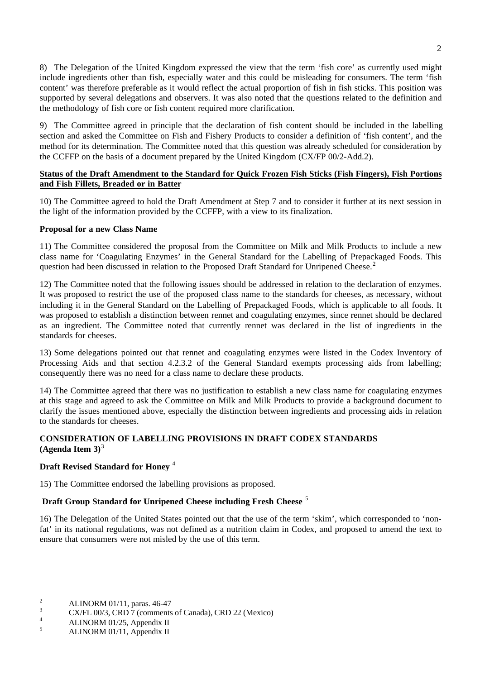8) The Delegation of the United Kingdom expressed the view that the term 'fish core' as currently used might include ingredients other than fish, especially water and this could be misleading for consumers. The term 'fish content' was therefore preferable as it would reflect the actual proportion of fish in fish sticks. This position was supported by several delegations and observers. It was also noted that the questions related to the definition and the methodology of fish core or fish content required more clarification.

9) The Committee agreed in principle that the declaration of fish content should be included in the labelling section and asked the Committee on Fish and Fishery Products to consider a definition of 'fish content', and the method for its determination. The Committee noted that this question was already scheduled for consideration by the CCFFP on the basis of a document prepared by the United Kingdom (CX/FP 00/2-Add.2).

# **Status of the Draft Amendment to the Standard for Quick Frozen Fish Sticks (Fish Fingers), Fish Portions and Fish Fillets, Breaded or in Batter**

10) The Committee agreed to hold the Draft Amendment at Step 7 and to consider it further at its next session in the light of the information provided by the CCFFP, with a view to its finalization.

# **Proposal for a new Class Name**

11) The Committee considered the proposal from the Committee on Milk and Milk Products to include a new class name for 'Coagulating Enzymes' in the General Standard for the Labelling of Prepackaged Foods. This question had been discussed in relation to the Proposed Draft Standard for Unripened Cheese.<sup>2</sup>

12) The Committee noted that the following issues should be addressed in relation to the declaration of enzymes. It was proposed to restrict the use of the proposed class name to the standards for cheeses, as necessary, without including it in the General Standard on the Labelling of Prepackaged Foods, which is applicable to all foods. It was proposed to establish a distinction between rennet and coagulating enzymes, since rennet should be declared as an ingredient. The Committee noted that currently rennet was declared in the list of ingredients in the standards for cheeses.

13) Some delegations pointed out that rennet and coagulating enzymes were listed in the Codex Inventory of Processing Aids and that section 4.2.3.2 of the General Standard exempts processing aids from labelling; consequently there was no need for a class name to declare these products.

14) The Committee agreed that there was no justification to establish a new class name for coagulating enzymes at this stage and agreed to ask the Committee on Milk and Milk Products to provide a background document to clarify the issues mentioned above, especially the distinction between ingredients and processing aids in relation to the standards for cheeses.

# **CONSIDERATION OF LABELLING PROVISIONS IN DRAFT CODEX STANDARDS**  $(A$ genda Item  $3$ <sup>3</sup>

# **Draft Revised Standard for Honey** <sup>4</sup>

15) The Committee endorsed the labelling provisions as proposed.

# **Draft Group Standard for Unripened Cheese including Fresh Cheese** <sup>5</sup>

16) The Delegation of the United States pointed out that the use of the term 'skim', which corresponded to 'nonfat' in its national regulations, was not defined as a nutrition claim in Codex, and proposed to amend the text to ensure that consumers were not misled by the use of this term.

 $\mathcal{L}$ <sup>2</sup> ALINORM 01/11, paras. 46-47

 $\frac{3}{4}$  CX/FL 00/3, CRD 7 (comments of Canada), CRD 22 (Mexico)

 $^{4}$  ALINORM 01/25, Appendix II

<sup>5</sup> ALINORM 01/11, Appendix II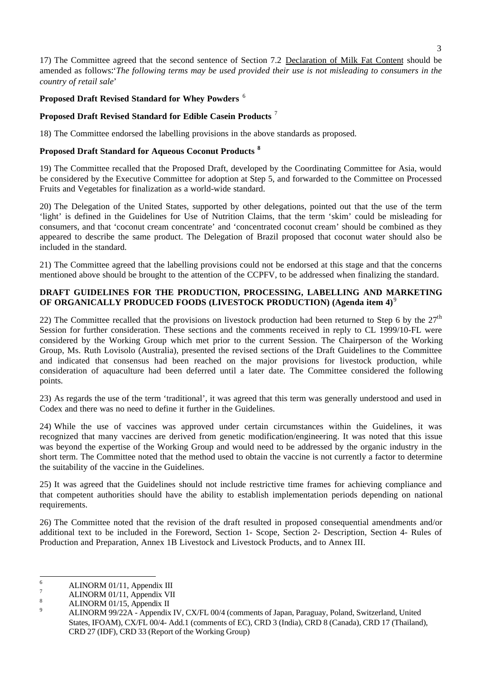17) The Committee agreed that the second sentence of Section 7.2 Declaration of Milk Fat Content should be amended as follows:'*The following terms may be used provided their use is not misleading to consumers in the country of retail sale*'

# **Proposed Draft Revised Standard for Whey Powders** <sup>6</sup>

# **Proposed Draft Revised Standard for Edible Casein Products** <sup>7</sup>

18) The Committee endorsed the labelling provisions in the above standards as proposed.

# **Proposed Draft Standard for Aqueous Coconut Products <sup>8</sup>**

19) The Committee recalled that the Proposed Draft, developed by the Coordinating Committee for Asia, would be considered by the Executive Committee for adoption at Step 5, and forwarded to the Committee on Processed Fruits and Vegetables for finalization as a world-wide standard.

20) The Delegation of the United States, supported by other delegations, pointed out that the use of the term 'light' is defined in the Guidelines for Use of Nutrition Claims, that the term 'skim' could be misleading for consumers, and that 'coconut cream concentrate' and 'concentrated coconut cream' should be combined as they appeared to describe the same product. The Delegation of Brazil proposed that coconut water should also be included in the standard.

21) The Committee agreed that the labelling provisions could not be endorsed at this stage and that the concerns mentioned above should be brought to the attention of the CCPFV, to be addressed when finalizing the standard.

# **DRAFT GUIDELINES FOR THE PRODUCTION, PROCESSING, LABELLING AND MARKETING OF ORGANICALLY PRODUCED FOODS (LIVESTOCK PRODUCTION) (Agenda item 4)<sup>9</sup>**

22) The Committee recalled that the provisions on livestock production had been returned to Step 6 by the  $27<sup>th</sup>$ Session for further consideration. These sections and the comments received in reply to CL 1999/10-FL were considered by the Working Group which met prior to the current Session. The Chairperson of the Working Group, Ms. Ruth Lovisolo (Australia), presented the revised sections of the Draft Guidelines to the Committee and indicated that consensus had been reached on the major provisions for livestock production, while consideration of aquaculture had been deferred until a later date. The Committee considered the following points.

23) As regards the use of the term 'traditional', it was agreed that this term was generally understood and used in Codex and there was no need to define it further in the Guidelines.

24) While the use of vaccines was approved under certain circumstances within the Guidelines, it was recognized that many vaccines are derived from genetic modification/engineering. It was noted that this issue was beyond the expertise of the Working Group and would need to be addressed by the organic industry in the short term. The Committee noted that the method used to obtain the vaccine is not currently a factor to determine the suitability of the vaccine in the Guidelines.

25) It was agreed that the Guidelines should not include restrictive time frames for achieving compliance and that competent authorities should have the ability to establish implementation periods depending on national requirements.

26) The Committee noted that the revision of the draft resulted in proposed consequential amendments and/or additional text to be included in the Foreword, Section 1- Scope, Section 2- Description, Section 4- Rules of Production and Preparation, Annex 1B Livestock and Livestock Products, and to Annex III.

<sup>6</sup>  $^{6}$  ALINORM 01/11, Appendix III

 $\frac{7}{8}$  ALINORM 01/11, Appendix VII

 $\sum_{n=1}^8$  ALINORM 01/15, Appendix II

<sup>9</sup> ALINORM 99/22A - Appendix IV, CX/FL 00/4 (comments of Japan, Paraguay, Poland, Switzerland, United States, IFOAM), CX/FL 00/4- Add.1 (comments of EC), CRD 3 (India), CRD 8 (Canada), CRD 17 (Thailand), CRD 27 (IDF), CRD 33 (Report of the Working Group)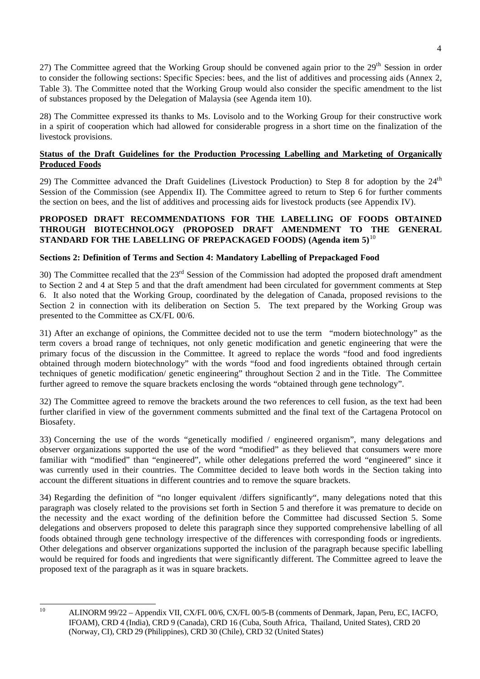27) The Committee agreed that the Working Group should be convened again prior to the 29<sup>th</sup> Session in order to consider the following sections: Specific Species: bees, and the list of additives and processing aids (Annex 2, Table 3). The Committee noted that the Working Group would also consider the specific amendment to the list of substances proposed by the Delegation of Malaysia (see Agenda item 10).

28) The Committee expressed its thanks to Ms. Lovisolo and to the Working Group for their constructive work in a spirit of cooperation which had allowed for considerable progress in a short time on the finalization of the livestock provisions.

# **Status of the Draft Guidelines for the Production Processing Labelling and Marketing of Organically Produced Foods**

29) The Committee advanced the Draft Guidelines (Livestock Production) to Step 8 for adoption by the 24<sup>th</sup> Session of the Commission (see Appendix II). The Committee agreed to return to Step 6 for further comments the section on bees, and the list of additives and processing aids for livestock products (see Appendix IV).

# **PROPOSED DRAFT RECOMMENDATIONS FOR THE LABELLING OF FOODS OBTAINED THROUGH BIOTECHNOLOGY (PROPOSED DRAFT AMENDMENT TO THE GENERAL STANDARD FOR THE LABELLING OF PREPACKAGED FOODS) (Agenda item 5)**<sup>10</sup>

# **Sections 2: Definition of Terms and Section 4: Mandatory Labelling of Prepackaged Food**

30) The Committee recalled that the  $23<sup>rd</sup>$  Session of the Commission had adopted the proposed draft amendment to Section 2 and 4 at Step 5 and that the draft amendment had been circulated for government comments at Step 6. It also noted that the Working Group, coordinated by the delegation of Canada, proposed revisions to the Section 2 in connection with its deliberation on Section 5. The text prepared by the Working Group was presented to the Committee as CX/FL 00/6.

31) After an exchange of opinions, the Committee decided not to use the term "modern biotechnology" as the term covers a broad range of techniques, not only genetic modification and genetic engineering that were the primary focus of the discussion in the Committee. It agreed to replace the words "food and food ingredients obtained through modern biotechnology" with the words "food and food ingredients obtained through certain techniques of genetic modification/ genetic engineering" throughout Section 2 and in the Title. The Committee further agreed to remove the square brackets enclosing the words "obtained through gene technology".

32) The Committee agreed to remove the brackets around the two references to cell fusion, as the text had been further clarified in view of the government comments submitted and the final text of the Cartagena Protocol on Biosafety.

33) Concerning the use of the words "genetically modified / engineered organism", many delegations and observer organizations supported the use of the word "modified" as they believed that consumers were more familiar with "modified" than "engineered", while other delegations preferred the word "engineered" since it was currently used in their countries. The Committee decided to leave both words in the Section taking into account the different situations in different countries and to remove the square brackets.

34) Regarding the definition of "no longer equivalent /differs significantly", many delegations noted that this paragraph was closely related to the provisions set forth in Section 5 and therefore it was premature to decide on the necessity and the exact wording of the definition before the Committee had discussed Section 5. Some delegations and observers proposed to delete this paragraph since they supported comprehensive labelling of all foods obtained through gene technology irrespective of the differences with corresponding foods or ingredients. Other delegations and observer organizations supported the inclusion of the paragraph because specific labelling would be required for foods and ingredients that were significantly different. The Committee agreed to leave the proposed text of the paragraph as it was in square brackets.

 $10$ 

<sup>10</sup> ALINORM 99/22 – Appendix VII, CX/FL 00/6, CX/FL 00/5-B (comments of Denmark, Japan, Peru, EC, IACFO, IFOAM), CRD 4 (India), CRD 9 (Canada), CRD 16 (Cuba, South Africa, Thailand, United States), CRD 20 (Norway, CI), CRD 29 (Philippines), CRD 30 (Chile), CRD 32 (United States)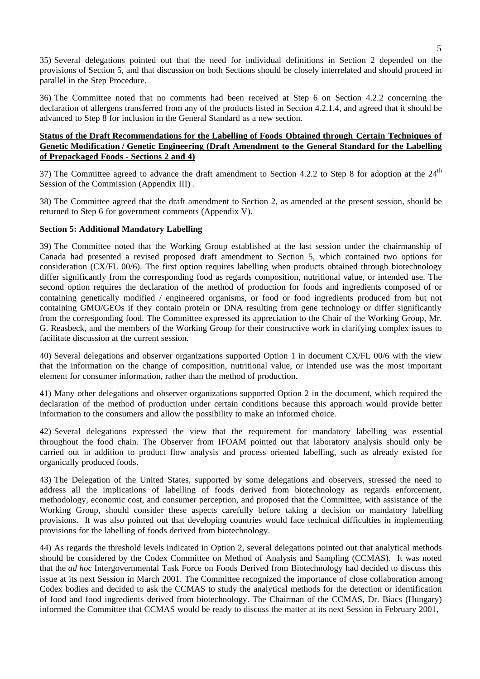35) Several delegations pointed out that the need for individual definitions in Section 2 depended on the provisions of Section 5, and that discussion on both Sections should be closely interrelated and should proceed in parallel in the Step Procedure.

36) The Committee noted that no comments had been received at Step 6 on Section 4.2.2 concerning the declaration of allergens transferred from any of the products listed in Section 4.2.1.4, and agreed that it should be advanced to Step 8 for inclusion in the General Standard as a new section.

# **Status of the Draft Recommendations for the Labelling of Foods Obtained through Certain Techniques of Genetic Modification / Genetic Engineering (Draft Amendment to the General Standard for the Labelling of Prepackaged Foods - Sections 2 and 4)**

37) The Committee agreed to advance the draft amendment to Section 4.2.2 to Step 8 for adoption at the  $24<sup>th</sup>$ Session of the Commission (Appendix III) .

38) The Committee agreed that the draft amendment to Section 2, as amended at the present session, should be returned to Step 6 for government comments (Appendix V).

# **Section 5: Additional Mandatory Labelling**

39) The Committee noted that the Working Group established at the last session under the chairmanship of Canada had presented a revised proposed draft amendment to Section 5, which contained two options for consideration (CX/FL 00/6). The first option requires labelling when products obtained through biotechnology differ significantly from the corresponding food as regards composition, nutritional value, or intended use. The second option requires the declaration of the method of production for foods and ingredients composed of or containing genetically modified / engineered organisms, or food or food ingredients produced from but not containing GMO/GEOs if they contain protein or DNA resulting from gene technology or differ significantly from the corresponding food. The Committee expressed its appreciation to the Chair of the Working Group, Mr. G. Reasbeck, and the members of the Working Group for their constructive work in clarifying complex issues to facilitate discussion at the current session.

40) Several delegations and observer organizations supported Option 1 in document CX/FL 00/6 with the view that the information on the change of composition, nutritional value, or intended use was the most important element for consumer information, rather than the method of production.

41) Many other delegations and observer organizations supported Option 2 in the document, which required the declaration of the method of production under certain conditions because this approach would provide better information to the consumers and allow the possibility to make an informed choice.

42) Several delegations expressed the view that the requirement for mandatory labelling was essential throughout the food chain. The Observer from IFOAM pointed out that laboratory analysis should only be carried out in addition to product flow analysis and process oriented labelling, such as already existed for organically produced foods.

43) The Delegation of the United States, supported by some delegations and observers, stressed the need to address all the implications of labelling of foods derived from biotechnology as regards enforcement, methodology, economic cost, and consumer perception, and proposed that the Committee, with assistance of the Working Group, should consider these aspects carefully before taking a decision on mandatory labelling provisions. It was also pointed out that developing countries would face technical difficulties in implementing provisions for the labelling of foods derived from biotechnology.

44) As regards the threshold levels indicated in Option 2, several delegations pointed out that analytical methods should be considered by the Codex Committee on Method of Analysis and Sampling (CCMAS). It was noted that the *ad hoc* Intergovernmental Task Force on Foods Derived from Biotechnology had decided to discuss this issue at its next Session in March 2001. The Committee recognized the importance of close collaboration among Codex bodies and decided to ask the CCMAS to study the analytical methods for the detection or identification of food and food ingredients derived from biotechnology. The Chairman of the CCMAS, Dr. Biacs (Hungary) informed the Committee that CCMAS would be ready to discuss the matter at its next Session in February 2001,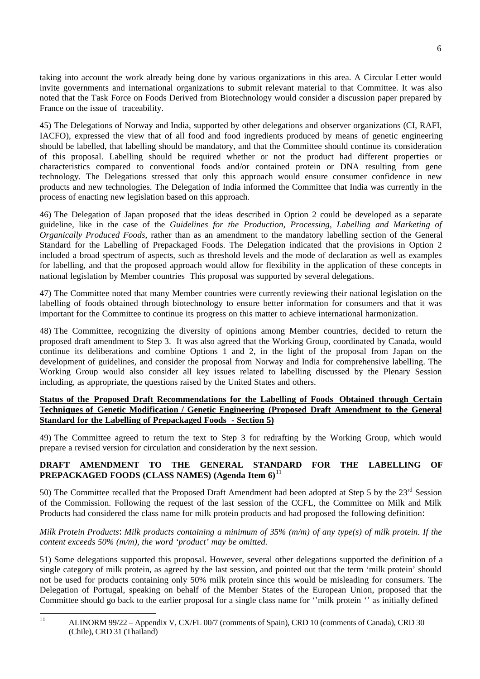taking into account the work already being done by various organizations in this area. A Circular Letter would invite governments and international organizations to submit relevant material to that Committee. It was also noted that the Task Force on Foods Derived from Biotechnology would consider a discussion paper prepared by France on the issue of traceability.

45) The Delegations of Norway and India, supported by other delegations and observer organizations (CI, RAFI, IACFO), expressed the view that of all food and food ingredients produced by means of genetic engineering should be labelled, that labelling should be mandatory, and that the Committee should continue its consideration of this proposal. Labelling should be required whether or not the product had different properties or characteristics compared to conventional foods and/or contained protein or DNA resulting from gene technology. The Delegations stressed that only this approach would ensure consumer confidence in new products and new technologies. The Delegation of India informed the Committee that India was currently in the process of enacting new legislation based on this approach.

46) The Delegation of Japan proposed that the ideas described in Option 2 could be developed as a separate guideline, like in the case of the *Guidelines for the Production, Processing, Labelling and Marketing of Organically Produced Foods*, rather than as an amendment to the mandatory labelling section of the General Standard for the Labelling of Prepackaged Foods. The Delegation indicated that the provisions in Option 2 included a broad spectrum of aspects, such as threshold levels and the mode of declaration as well as examples for labelling, and that the proposed approach would allow for flexibility in the application of these concepts in national legislation by Member countries This proposal was supported by several delegations.

47) The Committee noted that many Member countries were currently reviewing their national legislation on the labelling of foods obtained through biotechnology to ensure better information for consumers and that it was important for the Committee to continue its progress on this matter to achieve international harmonization.

48) The Committee, recognizing the diversity of opinions among Member countries, decided to return the proposed draft amendment to Step 3. It was also agreed that the Working Group, coordinated by Canada, would continue its deliberations and combine Options 1 and 2, in the light of the proposal from Japan on the development of guidelines, and consider the proposal from Norway and India for comprehensive labelling. The Working Group would also consider all key issues related to labelling discussed by the Plenary Session including, as appropriate, the questions raised by the United States and others.

# **Status of the Proposed Draft Recommendations for the Labelling of Foods Obtained through Certain Techniques of Genetic Modification / Genetic Engineering (Proposed Draft Amendment to the General Standard for the Labelling of Prepackaged Foods - Section 5)**

49) The Committee agreed to return the text to Step 3 for redrafting by the Working Group, which would prepare a revised version for circulation and consideration by the next session.

# **DRAFT AMENDMENT TO THE GENERAL STANDARD FOR THE LABELLING OF PREPACKAGED FOODS (CLASS NAMES) (Agenda Item 6)**<sup>11</sup>

50) The Committee recalled that the Proposed Draft Amendment had been adopted at Step 5 by the 23<sup>rd</sup> Session of the Commission. Following the request of the last session of the CCFL, the Committee on Milk and Milk Products had considered the class name for milk protein products and had proposed the following definition:

# *Milk Protein Products: Milk products containing a minimum of 35% (m/m) of any type(s) of milk protein. If the content exceeds 50% (m/m), the word 'product' may be omitted.*

51) Some delegations supported this proposal. However, several other delegations supported the definition of a single category of milk protein, as agreed by the last session, and pointed out that the term 'milk protein' should not be used for products containing only 50% milk protein since this would be misleading for consumers. The Delegation of Portugal, speaking on behalf of the Member States of the European Union, proposed that the Committee should go back to the earlier proposal for a single class name for ''milk protein '' as initially defined

 $11\,$ 

<sup>11</sup> ALINORM 99/22 – Appendix V, CX/FL 00/7 (comments of Spain), CRD 10 (comments of Canada), CRD 30 (Chile), CRD 31 (Thailand)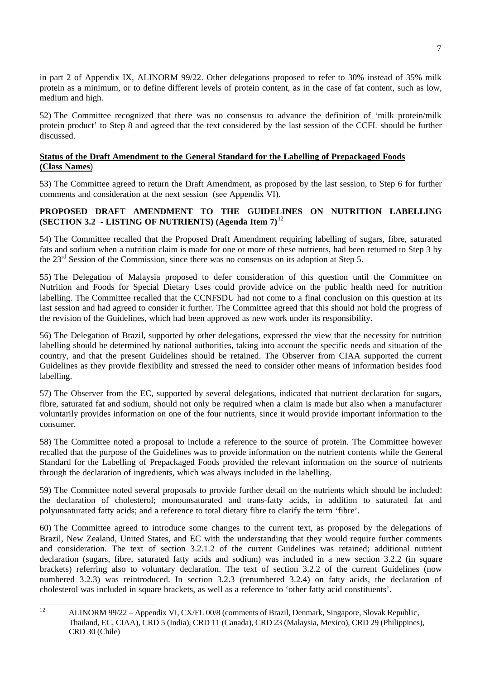in part 2 of Appendix IX, ALINORM 99/22. Other delegations proposed to refer to 30% instead of 35% milk protein as a minimum, or to define different levels of protein content, as in the case of fat content, such as low, medium and high.

52) The Committee recognized that there was no consensus to advance the definition of 'milk protein/milk protein product' to Step 8 and agreed that the text considered by the last session of the CCFL should be further discussed.

# **Status of the Draft Amendment to the General Standard for the Labelling of Prepackaged Foods (Class Names**)

53) The Committee agreed to return the Draft Amendment, as proposed by the last session, to Step 6 for further comments and consideration at the next session (see Appendix VI).

# **PROPOSED DRAFT AMENDMENT TO THE GUIDELINES ON NUTRITION LABELLING (SECTION 3.2 - LISTING OF NUTRIENTS) (Agenda Item 7)**<sup>12</sup>

54) The Committee recalled that the Proposed Draft Amendment requiring labelling of sugars, fibre, saturated fats and sodium when a nutrition claim is made for one or more of these nutrients, had been returned to Step 3 by the 23<sup>rd</sup> Session of the Commission, since there was no consensus on its adoption at Step 5.

55) The Delegation of Malaysia proposed to defer consideration of this question until the Committee on Nutrition and Foods for Special Dietary Uses could provide advice on the public health need for nutrition labelling. The Committee recalled that the CCNFSDU had not come to a final conclusion on this question at its last session and had agreed to consider it further. The Committee agreed that this should not hold the progress of the revision of the Guidelines, which had been approved as new work under its responsibility.

56) The Delegation of Brazil, supported by other delegations, expressed the view that the necessity for nutrition labelling should be determined by national authorities, taking into account the specific needs and situation of the country, and that the present Guidelines should be retained. The Observer from CIAA supported the current Guidelines as they provide flexibility and stressed the need to consider other means of information besides food labelling.

57) The Observer from the EC, supported by several delegations, indicated that nutrient declaration for sugars, fibre, saturated fat and sodium, should not only be required when a claim is made but also when a manufacturer voluntarily provides information on one of the four nutrients, since it would provide important information to the consumer.

58) The Committee noted a proposal to include a reference to the source of protein. The Committee however recalled that the purpose of the Guidelines was to provide information on the nutrient contents while the General Standard for the Labelling of Prepackaged Foods provided the relevant information on the source of nutrients through the declaration of ingredients, which was always included in the labelling.

59) The Committee noted several proposals to provide further detail on the nutrients which should be included: the declaration of cholesterol; monounsaturated and trans-fatty acids, in addition to saturated fat and polyunsaturated fatty acids; and a reference to total dietary fibre to clarify the term 'fibre'.

60) The Committee agreed to introduce some changes to the current text, as proposed by the delegations of Brazil, New Zealand, United States, and EC with the understanding that they would require further comments and consideration. The text of section 3.2.1.2 of the current Guidelines was retained; additional nutrient declaration (sugars, fibre, saturated fatty acids and sodium) was included in a new section 3.2.2 (in square brackets) referring also to voluntary declaration. The text of section 3.2.2 of the current Guidelines (now numbered 3.2.3) was reintroduced. In section 3.2.3 (renumbered 3.2.4) on fatty acids, the declaration of cholesterol was included in square brackets, as well as a reference to 'other fatty acid constituents'.

 $12$ <sup>12</sup> ALINORM 99/22 – Appendix VI, CX/FL 00/8 (comments of Brazil, Denmark, Singapore, Slovak Republic, Thailand, EC, CIAA), CRD 5 (India), CRD 11 (Canada), CRD 23 (Malaysia, Mexico), CRD 29 (Philippines), CRD 30 (Chile)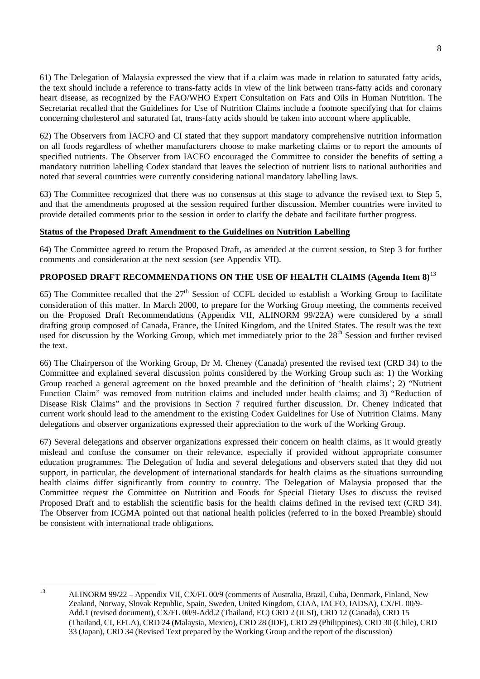61) The Delegation of Malaysia expressed the view that if a claim was made in relation to saturated fatty acids, the text should include a reference to trans-fatty acids in view of the link between trans-fatty acids and coronary heart disease, as recognized by the FAO/WHO Expert Consultation on Fats and Oils in Human Nutrition. The Secretariat recalled that the Guidelines for Use of Nutrition Claims include a footnote specifying that for claims concerning cholesterol and saturated fat, trans-fatty acids should be taken into account where applicable.

62) The Observers from IACFO and CI stated that they support mandatory comprehensive nutrition information on all foods regardless of whether manufacturers choose to make marketing claims or to report the amounts of specified nutrients. The Observer from IACFO encouraged the Committee to consider the benefits of setting a mandatory nutrition labelling Codex standard that leaves the selection of nutrient lists to national authorities and noted that several countries were currently considering national mandatory labelling laws.

63) The Committee recognized that there was no consensus at this stage to advance the revised text to Step 5, and that the amendments proposed at the session required further discussion. Member countries were invited to provide detailed comments prior to the session in order to clarify the debate and facilitate further progress.

# **Status of the Proposed Draft Amendment to the Guidelines on Nutrition Labelling**

64) The Committee agreed to return the Proposed Draft, as amended at the current session, to Step 3 for further comments and consideration at the next session (see Appendix VII).

# **PROPOSED DRAFT RECOMMENDATIONS ON THE USE OF HEALTH CLAIMS (Agenda Item 8)**<sup>13</sup>

65) The Committee recalled that the  $27<sup>th</sup>$  Session of CCFL decided to establish a Working Group to facilitate consideration of this matter. In March 2000, to prepare for the Working Group meeting, the comments received on the Proposed Draft Recommendations (Appendix VII, ALINORM 99/22A) were considered by a small drafting group composed of Canada, France, the United Kingdom, and the United States. The result was the text used for discussion by the Working Group, which met immediately prior to the 28<sup>th</sup> Session and further revised the text.

66) The Chairperson of the Working Group, Dr M. Cheney (Canada) presented the revised text (CRD 34) to the Committee and explained several discussion points considered by the Working Group such as: 1) the Working Group reached a general agreement on the boxed preamble and the definition of 'health claims'; 2) "Nutrient Function Claim" was removed from nutrition claims and included under health claims; and 3) "Reduction of Disease Risk Claims" and the provisions in Section 7 required further discussion. Dr. Cheney indicated that current work should lead to the amendment to the existing Codex Guidelines for Use of Nutrition Claims. Many delegations and observer organizations expressed their appreciation to the work of the Working Group.

67) Several delegations and observer organizations expressed their concern on health claims, as it would greatly mislead and confuse the consumer on their relevance, especially if provided without appropriate consumer education programmes. The Delegation of India and several delegations and observers stated that they did not support, in particular, the development of international standards for health claims as the situations surrounding health claims differ significantly from country to country. The Delegation of Malaysia proposed that the Committee request the Committee on Nutrition and Foods for Special Dietary Uses to discuss the revised Proposed Draft and to establish the scientific basis for the health claims defined in the revised text (CRD 34). The Observer from ICGMA pointed out that national health policies (referred to in the boxed Preamble) should be consistent with international trade obligations.

 $13$ 

<sup>13</sup> ALINORM 99/22 – Appendix VII, CX/FL 00/9 (comments of Australia, Brazil, Cuba, Denmark, Finland, New Zealand, Norway, Slovak Republic, Spain, Sweden, United Kingdom, CIAA, IACFO, IADSA), CX/FL 00/9- Add.1 (revised document), CX/FL 00/9-Add.2 (Thailand, EC) CRD 2 (ILSI), CRD 12 (Canada), CRD 15 (Thailand, CI, EFLA), CRD 24 (Malaysia, Mexico), CRD 28 (IDF), CRD 29 (Philippines), CRD 30 (Chile), CRD 33 (Japan), CRD 34 (Revised Text prepared by the Working Group and the report of the discussion)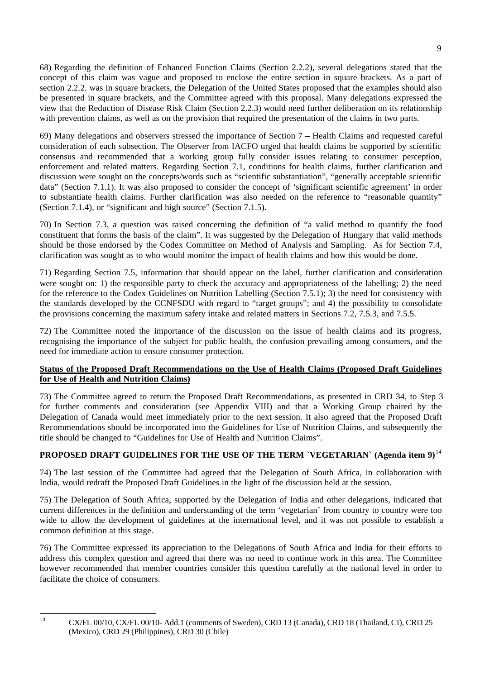68) Regarding the definition of Enhanced Function Claims (Section 2.2.2), several delegations stated that the concept of this claim was vague and proposed to enclose the entire section in square brackets. As a part of section 2.2.2. was in square brackets, the Delegation of the United States proposed that the examples should also be presented in square brackets, and the Committee agreed with this proposal. Many delegations expressed the view that the Reduction of Disease Risk Claim (Section 2.2.3) would need further deliberation on its relationship with prevention claims, as well as on the provision that required the presentation of the claims in two parts.

69) Many delegations and observers stressed the importance of Section 7 – Health Claims and requested careful consideration of each subsection. The Observer from IACFO urged that health claims be supported by scientific consensus and recommended that a working group fully consider issues relating to consumer perception, enforcement and related matters. Regarding Section 7.1, conditions for health claims, further clarification and discussion were sought on the concepts/words such as "scientific substantiation", "generally acceptable scientific data" (Section 7.1.1). It was also proposed to consider the concept of 'significant scientific agreement' in order to substantiate health claims. Further clarification was also needed on the reference to "reasonable quantity" (Section 7.1.4), or "significant and high source" (Section 7.1.5).

70) In Section 7.3, a question was raised concerning the definition of "a valid method to quantify the food constituent that forms the basis of the claim". It was suggested by the Delegation of Hungary that valid methods should be those endorsed by the Codex Committee on Method of Analysis and Sampling. As for Section 7.4, clarification was sought as to who would monitor the impact of health claims and how this would be done.

71) Regarding Section 7.5, information that should appear on the label, further clarification and consideration were sought on: 1) the responsible party to check the accuracy and appropriateness of the labelling; 2) the need for the reference to the Codex Guidelines on Nutrition Labelling (Section 7.5.1); 3) the need for consistency with the standards developed by the CCNFSDU with regard to "target groups"; and 4) the possibility to consolidate the provisions concerning the maximum safety intake and related matters in Sections 7.2, 7.5.3, and 7.5.5.

72) The Committee noted the importance of the discussion on the issue of health claims and its progress, recognising the importance of the subject for public health, the confusion prevailing among consumers, and the need for immediate action to ensure consumer protection.

# **Status of the Proposed Draft Recommendations on the Use of Health Claims (Proposed Draft Guidelines for Use of Health and Nutrition Claims)**

73) The Committee agreed to return the Proposed Draft Recommendations, as presented in CRD 34, to Step 3 for further comments and consideration (see Appendix VIII) and that a Working Group chaired by the Delegation of Canada would meet immediately prior to the next session. It also agreed that the Proposed Draft Recommendations should be incorporated into the Guidelines for Use of Nutrition Claims, and subsequently the title should be changed to "Guidelines for Use of Health and Nutrition Claims".

# **PROPOSED DRAFT GUIDELINES FOR THE USE OF THE TERM `VEGETARIAN` (Agenda item 9)**<sup>14</sup>

74) The last session of the Committee had agreed that the Delegation of South Africa, in collaboration with India, would redraft the Proposed Draft Guidelines in the light of the discussion held at the session.

75) The Delegation of South Africa, supported by the Delegation of India and other delegations, indicated that current differences in the definition and understanding of the term 'vegetarian' from country to country were too wide to allow the development of guidelines at the international level, and it was not possible to establish a common definition at this stage.

76) The Committee expressed its appreciation to the Delegations of South Africa and India for their efforts to address this complex question and agreed that there was no need to continue work in this area. The Committee however recommended that member countries consider this question carefully at the national level in order to facilitate the choice of consumers.

 $14$ 

<sup>14</sup> CX/FL 00/10, CX/FL 00/10- Add.1 (comments of Sweden), CRD 13 (Canada), CRD 18 (Thailand, CI), CRD 25 (Mexico), CRD 29 (Philippines), CRD 30 (Chile)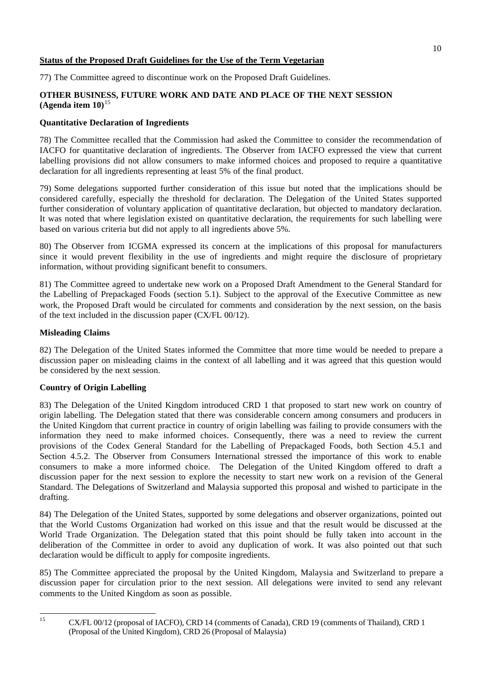# **Status of the Proposed Draft Guidelines for the Use of the Term Vegetarian**

77) The Committee agreed to discontinue work on the Proposed Draft Guidelines.

# **OTHER BUSINESS, FUTURE WORK AND DATE AND PLACE OF THE NEXT SESSION (Agenda item 10)**<sup>15</sup>

# **Quantitative Declaration of Ingredients**

78) The Committee recalled that the Commission had asked the Committee to consider the recommendation of IACFO for quantitative declaration of ingredients. The Observer from IACFO expressed the view that current labelling provisions did not allow consumers to make informed choices and proposed to require a quantitative declaration for all ingredients representing at least 5% of the final product.

79) Some delegations supported further consideration of this issue but noted that the implications should be considered carefully, especially the threshold for declaration. The Delegation of the United States supported further consideration of voluntary application of quantitative declaration, but objected to mandatory declaration. It was noted that where legislation existed on quantitative declaration, the requirements for such labelling were based on various criteria but did not apply to all ingredients above 5%.

80) The Observer from ICGMA expressed its concern at the implications of this proposal for manufacturers since it would prevent flexibility in the use of ingredients and might require the disclosure of proprietary information, without providing significant benefit to consumers.

81) The Committee agreed to undertake new work on a Proposed Draft Amendment to the General Standard for the Labelling of Prepackaged Foods (section 5.1). Subject to the approval of the Executive Committee as new work, the Proposed Draft would be circulated for comments and consideration by the next session, on the basis of the text included in the discussion paper (CX/FL 00/12).

# **Misleading Claims**

82) The Delegation of the United States informed the Committee that more time would be needed to prepare a discussion paper on misleading claims in the context of all labelling and it was agreed that this question would be considered by the next session.

# **Country of Origin Labelling**

83) The Delegation of the United Kingdom introduced CRD 1 that proposed to start new work on country of origin labelling. The Delegation stated that there was considerable concern among consumers and producers in the United Kingdom that current practice in country of origin labelling was failing to provide consumers with the information they need to make informed choices. Consequently, there was a need to review the current provisions of the Codex General Standard for the Labelling of Prepackaged Foods, both Section 4.5.1 and Section 4.5.2. The Observer from Consumers International stressed the importance of this work to enable consumers to make a more informed choice. The Delegation of the United Kingdom offered to draft a discussion paper for the next session to explore the necessity to start new work on a revision of the General Standard. The Delegations of Switzerland and Malaysia supported this proposal and wished to participate in the drafting.

84) The Delegation of the United States, supported by some delegations and observer organizations, pointed out that the World Customs Organization had worked on this issue and that the result would be discussed at the World Trade Organization. The Delegation stated that this point should be fully taken into account in the deliberation of the Committee in order to avoid any duplication of work. It was also pointed out that such declaration would be difficult to apply for composite ingredients.

85) The Committee appreciated the proposal by the United Kingdom, Malaysia and Switzerland to prepare a discussion paper for circulation prior to the next session. All delegations were invited to send any relevant comments to the United Kingdom as soon as possible.

<sup>15</sup> <sup>15</sup> CX/FL 00/12 (proposal of IACFO), CRD 14 (comments of Canada), CRD 19 (comments of Thailand), CRD 1 (Proposal of the United Kingdom), CRD 26 (Proposal of Malaysia)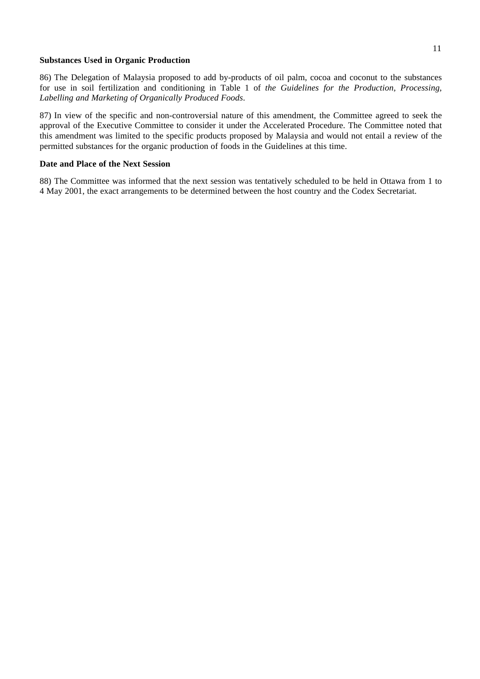# **Substances Used in Organic Production**

86) The Delegation of Malaysia proposed to add by-products of oil palm, cocoa and coconut to the substances for use in soil fertilization and conditioning in Table 1 of *the Guidelines for the Production, Processing, Labelling and Marketing of Organically Produced Foods*.

87) In view of the specific and non-controversial nature of this amendment, the Committee agreed to seek the approval of the Executive Committee to consider it under the Accelerated Procedure. The Committee noted that this amendment was limited to the specific products proposed by Malaysia and would not entail a review of the permitted substances for the organic production of foods in the Guidelines at this time.

# **Date and Place of the Next Session**

88) The Committee was informed that the next session was tentatively scheduled to be held in Ottawa from 1 to 4 May 2001, the exact arrangements to be determined between the host country and the Codex Secretariat.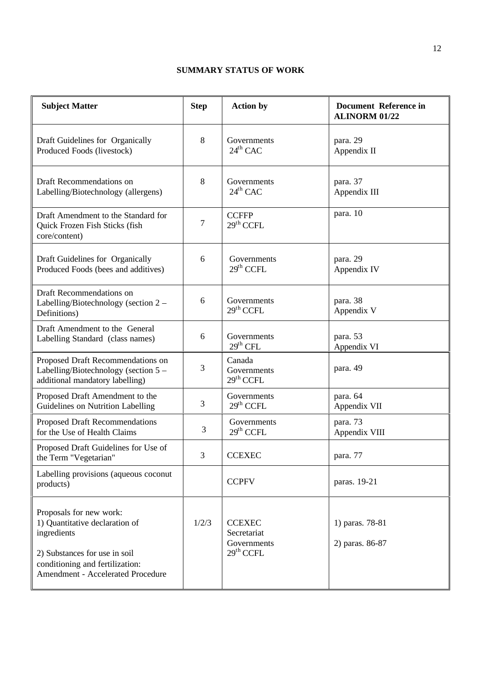# **SUMMARY STATUS OF WORK**

| <b>Subject Matter</b>                                                                                                                                                                    | <b>Step</b> | <b>Action by</b>                                                     | <b>Document Reference in</b><br><b>ALINORM 01/22</b> |
|------------------------------------------------------------------------------------------------------------------------------------------------------------------------------------------|-------------|----------------------------------------------------------------------|------------------------------------------------------|
| Draft Guidelines for Organically<br>Produced Foods (livestock)                                                                                                                           | 8           | Governments<br>$24^{\text{th}}$ CAC                                  | para. 29<br>Appendix II                              |
| <b>Draft Recommendations on</b><br>Labelling/Biotechnology (allergens)                                                                                                                   | 8           | Governments<br>$24^{\text{th}}$ CAC                                  | para. 37<br>Appendix III                             |
| Draft Amendment to the Standard for<br>Quick Frozen Fish Sticks (fish<br>core/content)                                                                                                   | 7           | <b>CCFFP</b><br>$29th$ CCFL                                          | para. 10                                             |
| Draft Guidelines for Organically<br>Produced Foods (bees and additives)                                                                                                                  | 6           | Governments<br>$29th$ CCFL                                           | para. 29<br>Appendix IV                              |
| <b>Draft Recommendations on</b><br>Labelling/Biotechnology (section 2 –<br>Definitions)                                                                                                  | 6           | Governments<br>$29th$ CCFL                                           | para. 38<br>Appendix V                               |
| Draft Amendment to the General<br>Labelling Standard (class names)                                                                                                                       | 6           | Governments<br>$29th$ CFL                                            | para. 53<br>Appendix VI                              |
| Proposed Draft Recommendations on<br>Labelling/Biotechnology (section 5 -<br>additional mandatory labelling)                                                                             | 3           | Canada<br>Governments<br>$29th$ CCFL                                 | para. 49                                             |
| Proposed Draft Amendment to the<br>Guidelines on Nutrition Labelling                                                                                                                     | 3           | Governments<br>$29th$ CCFL                                           | para. 64<br>Appendix VII                             |
| <b>Proposed Draft Recommendations</b><br>for the Use of Health Claims                                                                                                                    | 3           | Governments<br>$29th$ CCFL                                           | para. 73<br>Appendix VIII                            |
| Proposed Draft Guidelines for Use of<br>the Term "Vegetarian"                                                                                                                            | 3           | <b>CCEXEC</b>                                                        | para. 77                                             |
| Labelling provisions (aqueous coconut<br>products)                                                                                                                                       |             | <b>CCPFV</b>                                                         | paras. 19-21                                         |
| Proposals for new work:<br>1) Quantitative declaration of<br>ingredients<br>2) Substances for use in soil<br>conditioning and fertilization:<br><b>Amendment - Accelerated Procedure</b> | 1/2/3       | <b>CCEXEC</b><br>Secretariat<br>Governments<br>29 <sup>th</sup> CCFL | 1) paras. 78-81<br>2) paras. 86-87                   |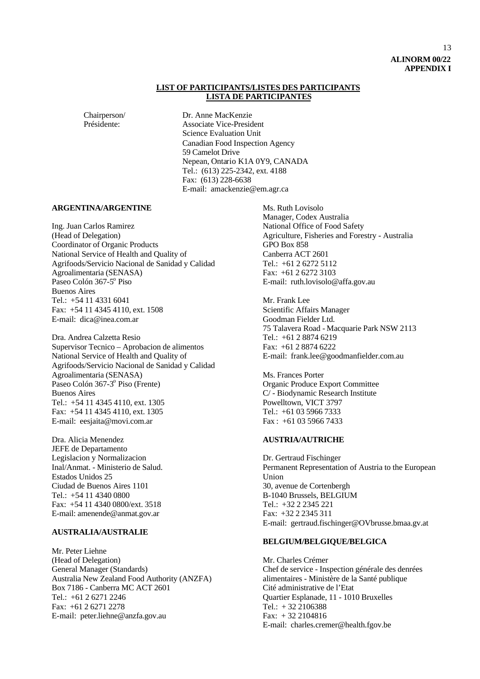# 13 **ALINORM 00/22 APPENDIX I**

#### **LIST OF PARTICIPANTS/LISTES DES PARTICIPANTS LISTA DE PARTICIPANTES**

Chairperson/ Dr. Anne MacKenzie Présidente: Associate Vice-President Science Evaluation Unit Canadian Food Inspection Agency 59 Camelot Drive Nepean, Ontario K1A 0Y9, CANADA Tel.: (613) 225-2342, ext. 4188 Fax: (613) 228-6638 E-mail: amackenzie@em.agr.ca

#### **ARGENTINA/ARGENTINE**

Ing. Juan Carlos Ramirez (Head of Delegation) Coordinator of Organic Products National Service of Health and Quality of Agrifoods/Servicio Nacional de Sanidad y Calidad Agroalimentaria (SENASA) Paseo Colón 367-5<sup>°</sup> Piso Buenos Aires Tel.: +54 11 4331 6041 Fax: +54 11 4345 4110, ext. 1508 E-mail: dica@inea.com.ar

Dra. Andrea Calzetta Resio Supervisor Tecnico – Aprobacion de alimentos National Service of Health and Quality of Agrifoods/Servicio Nacional de Sanidad y Calidad Agroalimentaria (SENASA) Paseo Colón 367-3º Piso (Frente) Buenos Aires Tel.: +54 11 4345 4110, ext. 1305 Fax: +54 11 4345 4110, ext. 1305 E-mail: eesjaita@movi.com.ar

Dra. Alicia Menendez JEFE de Departamento Legislacion y Normalizacion Inal/Anmat. - Ministerio de Salud. Estados Unidos 25 Ciudad de Buenos Aires 1101 Tel.: +54 11 4340 0800 Fax: +54 11 4340 0800/ext. 3518 E-mail: amenende@anmat.gov.ar

#### **AUSTRALIA/AUSTRALIE**

Mr. Peter Liehne (Head of Delegation) General Manager (Standards) Australia New Zealand Food Authority (ANZFA) Box 7186 - Canberra MC ACT 2601 Tel.: +61 2 6271 2246 Fax: +61 2 6271 2278 E-mail: peter.liehne@anzfa.gov.au

Ms. Ruth Lovisolo Manager, Codex Australia National Office of Food Safety Agriculture, Fisheries and Forestry - Australia GPO Box 858 Canberra ACT 2601 Tel.: +61 2 6272 5112 Fax: +61 2 6272 3103 E-mail: ruth.lovisolo@affa.gov.au

Mr. Frank Lee Scientific Affairs Manager Goodman Fielder Ltd. 75 Talavera Road - Macquarie Park NSW 2113 Tel.: +61 2 8874 6219 Fax: +61 2 8874 6222 E-mail: frank.lee@goodmanfielder.com.au

Ms. Frances Porter Organic Produce Export Committee C/ - Biodynamic Research Institute Powelltown, VICT 3797 Tel.: +61 03 5966 7333  $Fax: +61 03 5966 7433$ 

#### **AUSTRIA/AUTRICHE**

Dr. Gertraud Fischinger Permanent Representation of Austria to the European Union 30, avenue de Cortenbergh B-1040 Brussels, BELGIUM Tel.: +32 2 2345 221 Fax: +32 2 2345 311 E-mail: gertraud.fischinger@OVbrusse.bmaa.gv.at

# **BELGIUM/BELGIQUE/BELGICA**

Mr. Charles Crémer Chef de service - Inspection générale des denrées alimentaires - Ministère de la Santé publique Cité administrative de l'Etat Quartier Esplanade, 11 - 1010 Bruxelles Tel.:  $+32\,2106388$ Fax: + 32 2104816 E-mail: charles.cremer@health.fgov.be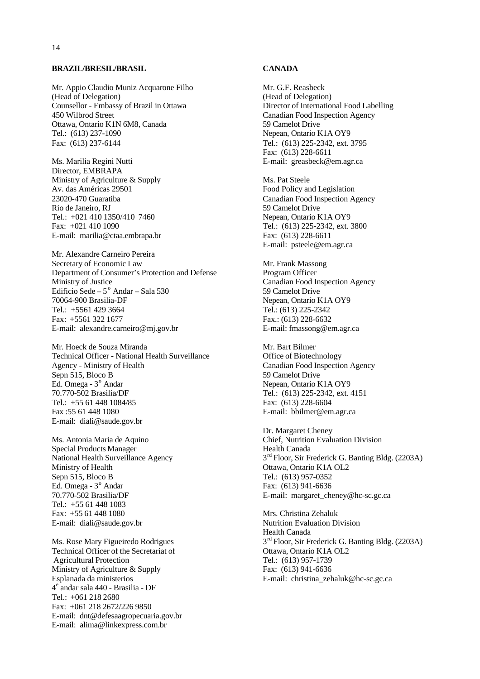#### **BRAZIL/BRESIL/BRASIL**

Mr. Appio Claudio Muniz Acquarone Filho (Head of Delegation) Counsellor - Embassy of Brazil in Ottawa 450 Wilbrod Street Ottawa, Ontario K1N 6M8, Canada Tel.: (613) 237-1090 Fax: (613) 237-6144

Ms. Marilia Regini Nutti Director, EMBRAPA Ministry of Agriculture & Supply Av. das Américas 29501 23020-470 Guaratiba Rio de Janeiro, RJ Tel.: +021 410 1350/410 7460 Fax: +021 410 1090 E-mail: marilia@ctaa.embrapa.br

Mr. Alexandre Carneiro Pereira Secretary of Economic Law Department of Consumer's Protection and Defense Ministry of Justice Edificio Sede –  $5^{\circ}$  Andar – Sala 530 70064-900 Brasilia-DF Tel.: +5561 429 3664 Fax: +5561 322 1677 E-mail: alexandre.carneiro@mj.gov.br

Mr. Hoeck de Souza Miranda Technical Officer - National Health Surveillance Agency - Ministry of Health Sepn 515, Bloco B Ed. Omega - 3º Andar 70.770-502 Brasilia/DF Tel.: +55 61 448 1084/85 Fax :55 61 448 1080 E-mail: diali@saude.gov.br

Ms. Antonia Maria de Aquino Special Products Manager National Health Surveillance Agency Ministry of Health Sepn 515, Bloco B Ed. Omega - 3<sup>°</sup> Andar 70.770-502 Brasilia/DF Tel.: +55 61 448 1083 Fax: +55 61 448 1080 E-mail: diali@saude.gov.br

Ms. Rose Mary Figueiredo Rodrigues Technical Officer of the Secretariat of Agricultural Protection Ministry of Agriculture & Supply Esplanada da ministerios 4 e andar sala 440 - Brasilia - DF Tel.: +061 218 2680 Fax: +061 218 2672/226 9850 E-mail: dnt@defesaagropecuaria.gov.br E-mail: alima@linkexpress.com.br

#### **CANADA**

Mr. G.F. Reasbeck (Head of Delegation) Director of International Food Labelling Canadian Food Inspection Agency 59 Camelot Drive Nepean, Ontario K1A OY9 Tel.: (613) 225-2342, ext. 3795 Fax: (613) 228-6611 E-mail: greasbeck@em.agr.ca

Ms. Pat Steele Food Policy and Legislation Canadian Food Inspection Agency 59 Camelot Drive Nepean, Ontario K1A OY9 Tel.: (613) 225-2342, ext. 3800 Fax: (613) 228-6611 E-mail: psteele@em.agr.ca

Mr. Frank Massong Program Officer Canadian Food Inspection Agency 59 Camelot Drive Nepean, Ontario K1A OY9 Tel.: (613) 225-2342 Fax.: (613) 228-6632 E-mail: fmassong@em.agr.ca

Mr. Bart Bilmer Office of Biotechnology Canadian Food Inspection Agency 59 Camelot Drive Nepean, Ontario K1A OY9 Tel.: (613) 225-2342, ext. 4151 Fax: (613) 228-6604 E-mail: bbilmer@em.agr.ca

Dr. Margaret Cheney Chief, Nutrition Evaluation Division Health Canada 3<sup>rd</sup> Floor, Sir Frederick G. Banting Bldg. (2203A) Ottawa, Ontario K1A OL2 Tel.: (613) 957-0352 Fax: (613) 941-6636 E-mail: margaret\_cheney@hc-sc.gc.ca

Mrs. Christina Zehaluk Nutrition Evaluation Division Health Canada 3<sup>rd</sup> Floor, Sir Frederick G. Banting Bldg. (2203A) Ottawa, Ontario K1A OL2 Tel.: (613) 957-1739 Fax: (613) 941-6636 E-mail: christina\_zehaluk@hc-sc.gc.ca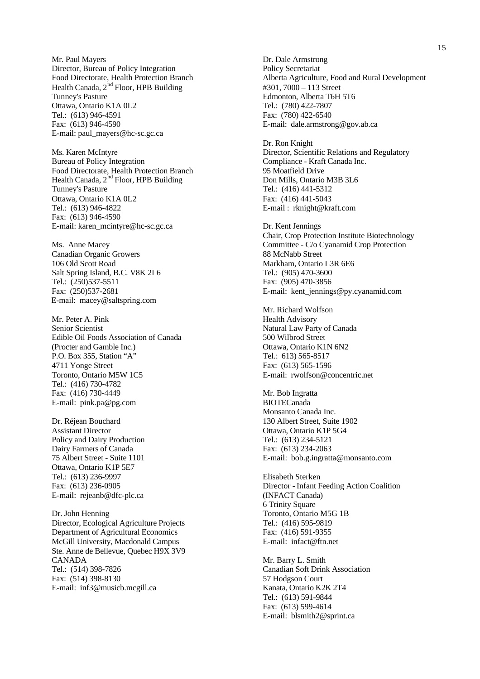Mr. Paul Mayers Director, Bureau of Policy Integration Food Directorate, Health Protection Branch Health Canada, 2<sup>nd</sup> Floor, HPB Building Tunney's Pasture Ottawa, Ontario K1A 0L2 Tel.: (613) 946-4591 Fax: (613) 946-4590 E-mail: paul\_mayers@hc-sc.gc.ca

Ms. Karen McIntyre Bureau of Policy Integration Food Directorate, Health Protection Branch Health Canada, 2<sup>nd</sup> Floor, HPB Building Tunney's Pasture Ottawa, Ontario K1A 0L2 Tel.: (613) 946-4822 Fax: (613) 946-4590 E-mail: karen\_mcintyre@hc-sc.gc.ca

Ms. Anne Macey Canadian Organic Growers 106 Old Scott Road Salt Spring Island, B.C. V8K 2L6 Tel.: (250)537-5511 Fax: (250)537-2681 E-mail: macey@saltspring.com

Mr. Peter A. Pink Senior Scientist Edible Oil Foods Association of Canada (Procter and Gamble Inc.) P.O. Box 355, Station "A" 4711 Yonge Street Toronto, Ontario M5W 1C5 Tel.: (416) 730-4782 Fax: (416) 730-4449 E-mail: pink.pa@pg.com

Dr. Réjean Bouchard Assistant Director Policy and Dairy Production Dairy Farmers of Canada 75 Albert Street - Suite 1101 Ottawa, Ontario K1P 5E7 Tel.: (613) 236-9997 Fax: (613) 236-0905 E-mail: rejeanb@dfc-plc.ca

Dr. John Henning Director, Ecological Agriculture Projects Department of Agricultural Economics McGill University, Macdonald Campus Ste. Anne de Bellevue, Quebec H9X 3V9 CANADA Tel.: (514) 398-7826 Fax: (514) 398-8130 E-mail: inf3@musicb.mcgill.ca

Dr. Dale Armstrong Policy Secretariat Alberta Agriculture, Food and Rural Development #301, 7000 – 113 Street Edmonton, Alberta T6H 5T6 Tel.: (780) 422-7807 Fax: (780) 422-6540 E-mail: dale.armstrong@gov.ab.ca

Dr. Ron Knight Director, Scientific Relations and Regulatory Compliance - Kraft Canada Inc. 95 Moatfield Drive Don Mills, Ontario M3B 3L6 Tel.: (416) 441-5312 Fax: (416) 441-5043 E-mail : rknight@kraft.com

Dr. Kent Jennings Chair, Crop Protection Institute Biotechnology Committee - C/o Cyanamid Crop Protection 88 McNabb Street Markham, Ontario L3R 6E6 Tel.: (905) 470-3600 Fax: (905) 470-3856 E-mail: kent\_jennings@py.cyanamid.com

Mr. Richard Wolfson Health Advisory Natural Law Party of Canada 500 Wilbrod Street Ottawa, Ontario K1N 6N2 Tel.: 613) 565-8517 Fax: (613) 565-1596 E-mail: rwolfson@concentric.net

Mr. Bob Ingratta BIOTECanada Monsanto Canada Inc. 130 Albert Street, Suite 1902 Ottawa, Ontario K1P 5G4 Tel.: (613) 234-5121 Fax: (613) 234-2063 E-mail: bob.g.ingratta@monsanto.com

Elisabeth Sterken Director - Infant Feeding Action Coalition (INFACT Canada) 6 Trinity Square Toronto, Ontario M5G 1B Tel.: (416) 595-9819 Fax: (416) 591-9355 E-mail: infact@ftn.net

Mr. Barry L. Smith Canadian Soft Drink Association 57 Hodgson Court Kanata, Ontario K2K 2T4 Tel.: (613) 591-9844 Fax: (613) 599-4614 E-mail: blsmith2@sprint.ca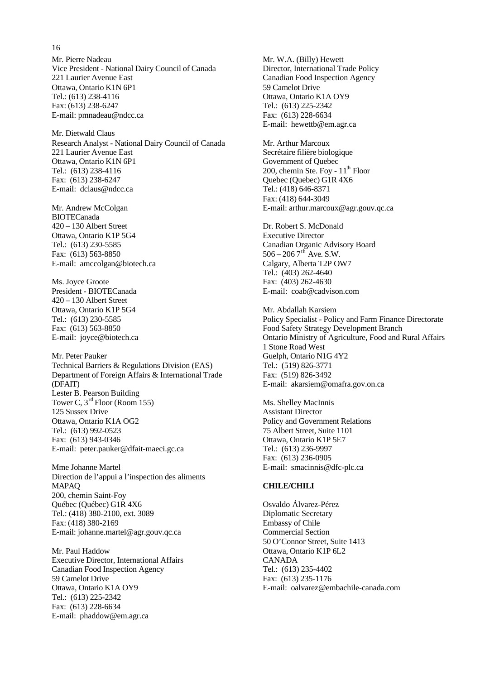# 16

Mr. Pierre Nadeau Vice President - National Dairy Council of Canada 221 Laurier Avenue East Ottawa, Ontario K1N 6P1 Tel.: (613) 238-4116 Fax: (613) 238-6247 E-mail: pmnadeau@ndcc.ca

Mr. Dietwald Claus Research Analyst - National Dairy Council of Canada 221 Laurier Avenue East Ottawa, Ontario K1N 6P1 Tel.: (613) 238-4116 Fax: (613) 238-6247 E-mail: dclaus@ndcc.ca

Mr. Andrew McColgan BIOTECanada 420 – 130 Albert Street Ottawa, Ontario K1P 5G4 Tel.: (613) 230-5585 Fax: (613) 563-8850 E-mail: amccolgan@biotech.ca

Ms. Joyce Groote President - BIOTECanada 420 – 130 Albert Street Ottawa, Ontario K1P 5G4 Tel.: (613) 230-5585 Fax: (613) 563-8850 E-mail: joyce@biotech.ca

Mr. Peter Pauker Technical Barriers & Regulations Division (EAS) Department of Foreign Affairs & International Trade (DFAIT) Lester B. Pearson Building Tower C,  $3^{\text{rd}}$  Floor (Room 155) 125 Sussex Drive Ottawa, Ontario K1A OG2 Tel.: (613) 992-0523 Fax: (613) 943-0346 E-mail: peter.pauker@dfait-maeci.gc.ca

Mme Johanne Martel Direction de l'appui a l'inspection des aliments MAPAQ 200, chemin Saint-Foy Québec (Québec) G1R 4X6 Tel.: (418) 380-2100, ext. 3089 Fax: (418) 380-2169 E-mail: johanne.martel@agr.gouv.qc.ca

Mr. Paul Haddow Executive Director, International Affairs Canadian Food Inspection Agency 59 Camelot Drive Ottawa, Ontario K1A OY9 Tel.: (613) 225-2342 Fax: (613) 228-6634 E-mail: phaddow@em.agr.ca

Mr. W.A. (Billy) Hewett Director, International Trade Policy Canadian Food Inspection Agency 59 Camelot Drive Ottawa, Ontario K1A OY9 Tel.: (613) 225-2342 Fax: (613) 228-6634 E-mail: hewettb@em.agr.ca

Mr. Arthur Marcoux Secrétaire filière biologique Government of Quebec 200, chemin Ste. Foy -  $11<sup>th</sup>$  Floor Quebec (Quebec) G1R 4X6 Tel.: (418) 646-8371 Fax: (418) 644-3049 E-mail: arthur.marcoux@agr.gouv.qc.ca

Dr. Robert S. McDonald Executive Director Canadian Organic Advisory Board  $506 - 2067$ <sup>th</sup> Ave. S.W. Calgary, Alberta T2P OW7 Tel.: (403) 262-4640 Fax: (403) 262-4630 E-mail: coab@cadvison.com

Mr. Abdallah Karsiem Policy Specialist - Policy and Farm Finance Directorate Food Safety Strategy Development Branch Ontario Ministry of Agriculture, Food and Rural Affairs 1 Stone Road West Guelph, Ontario N1G 4Y2 Tel.: (519) 826-3771 Fax: (519) 826-3492 E-mail: akarsiem@omafra.gov.on.ca

Ms. Shelley MacInnis Assistant Director Policy and Government Relations 75 Albert Street, Suite 1101 Ottawa, Ontario K1P 5E7 Tel.: (613) 236-9997 Fax: (613) 236-0905 E-mail: smacinnis@dfc-plc.ca

#### **CHILE/CHILI**

Osvaldo Álvarez-Pérez Diplomatic Secretary Embassy of Chile Commercial Section 50 O'Connor Street, Suite 1413 Ottawa, Ontario K1P 6L2 CANADA Tel.: (613) 235-4402 Fax: (613) 235-1176 E-mail: oalvarez@embachile-canada.com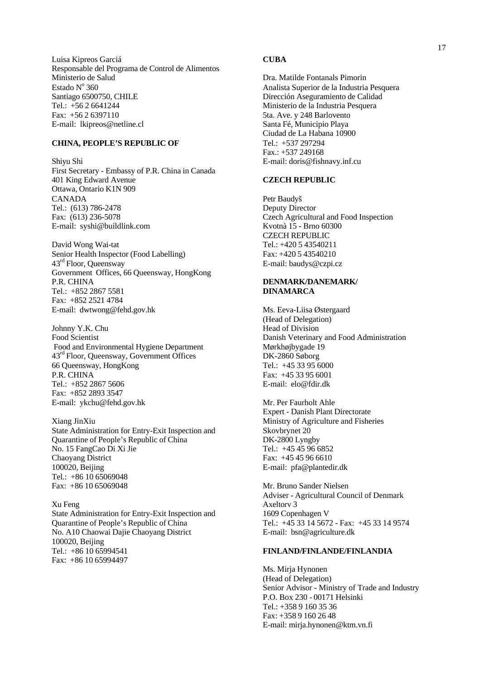Luisa Kipreos Garciá Responsable del Programa de Control de Alimentos Ministerio de Salud Estado  $N^{\circ}$  360 Santiago 6500750, CHILE Tel.: +56 2 6641244 Fax: +56 2 6397110 E-mail: lkipreos@netline.cl

#### **CHINA, PEOPLE'S REPUBLIC OF**

Shiyu Shi First Secretary - Embassy of P.R. China in Canada 401 King Edward Avenue Ottawa, Ontario K1N 909 CANADA Tel.: (613) 786-2478 Fax: (613) 236-5078 E-mail: syshi@buildlink.com

David Wong Wai-tat Senior Health Inspector (Food Labelling) 43<sup>rd</sup> Floor, Queensway Government Offices, 66 Queensway, HongKong P.R. CHINA Tel.: +852 2867 5581 Fax: +852 2521 4784 E-mail: dwtwong@fehd.gov.hk

Johnny Y.K. Chu Food Scientist Food and Environmental Hygiene Department 43<sup>rd</sup> Floor, Queensway, Government Offices 66 Queensway, HongKong P.R. CHINA Tel.: +852 2867 5606 Fax: +852 2893 3547 E-mail: ykchu@fehd.gov.hk

Xiang JinXiu State Administration for Entry-Exit Inspection and Quarantine of People's Republic of China No. 15 FangCao Di Xi Jie Chaoyang District 100020, Beijing Tel.: +86 10 65069048 Fax: +86 10 65069048

Xu Feng State Administration for Entry-Exit Inspection and Quarantine of People's Republic of China No. A10 Chaowai Dajie Chaoyang District 100020, Beijing Tel.: +86 10 65994541 Fax: +86 10 65994497

#### **CUBA**

Dra. Matilde Fontanals Pimorin Analista Superior de la Industria Pesquera Dirección Aseguramiento de Calidad Ministerio de la Industria Pesquera 5ta. Ave. y 248 Barlovento Santa Fé, Municipio Playa Ciudad de La Habana 10900 Tel.: +537 297294 Fax.: +537 249168 E-mail: doris@fishnavy.inf.cu

#### **CZECH REPUBLIC**

Petr Baudyš Deputy Director Czech Agricultural and Food Inspection Kvotnà 15 - Brno 60300 CZECH REPUBLIC Tel.: +420 5 43540211 Fax: +420 5 43540210 E-mail: baudys@czpi.cz

#### **DENMARK/DANEMARK/ DINAMARCA**

Ms. Eeva-Liisa Østergaard (Head of Delegation) Head of Division Danish Veterinary and Food Administration Mørkhøjbygade 19 DK-2860 Søborg Tel.: +45 33 95 6000 Fax: +45 33 95 6001 E-mail: elo@fdir.dk

Mr. Per Faurholt Ahle Expert - Danish Plant Directorate Ministry of Agriculture and Fisheries Skovbrynet 20 DK-2800 Lyngby Tel.: +45 45 96 6852 Fax: +45 45 96 6610 E-mail: pfa@plantedir.dk

Mr. Bruno Sander Nielsen Adviser - Agricultural Council of Denmark Axeltorv 3 1609 Copenhagen V Tel.: +45 33 14 5672 - Fax: +45 33 14 9574 E-mail: bsn@agriculture.dk

# **FINLAND/FINLANDE/FINLANDIA**

Ms. Mirja Hynonen (Head of Delegation) Senior Advisor - Ministry of Trade and Industry P.O. Box 230 - 00171 Helsinki Tel.: +358 9 160 35 36 Fax: +358 9 160 26 48 E-mail: mirja.hynonen@ktm.vn.fi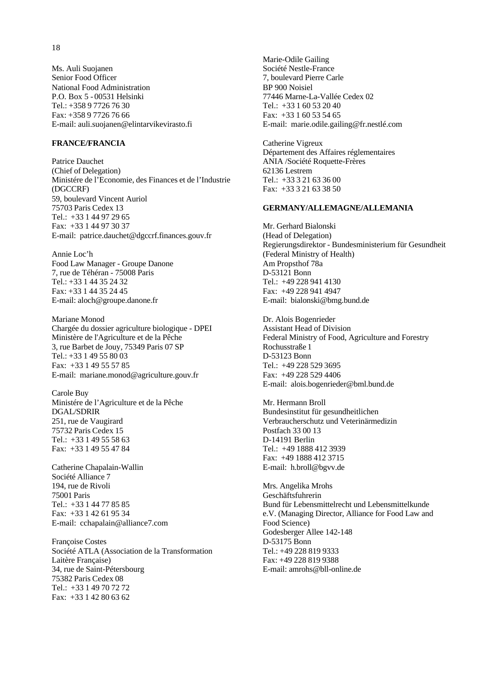Ms. Auli Suojanen Senior Food Officer National Food Administration P.O. Box 5 - 00531 Helsinki Tel.: +358 9 7726 76 30 Fax: +358 9 7726 76 66 E-mail: auli.suojanen@elintarvikevirasto.fi

#### **FRANCE/FRANCIA**

Patrice Dauchet (Chief of Delegation) Ministére de l'Economie, des Finances et de l'Industrie (DGCCRF) 59, boulevard Vincent Auriol 75703 Paris Cedex 13 Tel.: +33 1 44 97 29 65 Fax: +33 1 44 97 30 37 E-mail: patrice.dauchet@dgccrf.finances.gouv.fr

Annie Loc'h Food Law Manager - Groupe Danone 7, rue de Téhéran - 75008 Paris Tel.: +33 1 44 35 24 32 Fax: +33 1 44 35 24 45 E-mail: aloch@groupe.danone.fr

Mariane Monod Chargée du dossier agriculture biologique - DPEI Ministère de l'Agriculture et de la Pêche 3, rue Barbet de Jouy, 75349 Paris 07 SP Tel.: +33 1 49 55 80 03 Fax: +33 1 49 55 57 85 E-mail: mariane.monod@agriculture.gouv.fr

Carole Buy Ministére de l'Agriculture et de la Pêche DGAL/SDRIR 251, rue de Vaugirard 75732 Paris Cedex 15 Tel.: +33 1 49 55 58 63 Fax: +33 1 49 55 47 84

Catherine Chapalain-Wallin Société Alliance 7 194, rue de Rivoli 75001 Paris Tel.: +33 1 44 77 85 85 Fax: +33 1 42 61 95 34 E-mail: cchapalain@alliance7.com

Françoise Costes Société ATLA (Association de la Transformation Laitère Française) 34, rue de Saint-Pétersbourg 75382 Paris Cedex 08 Tel.: +33 1 49 70 72 72 Fax: +33 1 42 80 63 62

Marie-Odile Gailing Société Nestle-France 7, boulevard Pierre Carle BP 900 Noisiel 77446 Marne-La-Vallée Cedex 02 Tel.: +33 1 60 53 20 40 Fax: +33 1 60 53 54 65 E-mail: marie.odile.gailing@fr.nestlé.com

Catherine Vigreux Département des Affaires réglementaires ANIA /Société Roquette-Frères 62136 Lestrem Tel.: +33 3 21 63 36 00 Fax: +33 3 21 63 38 50

#### **GERMANY/ALLEMAGNE/ALLEMANIA**

Mr. Gerhard Bialonski (Head of Delegation) Regierungsdirektor - Bundesministerium für Gesundheit (Federal Ministry of Health) Am Propsthof 78a D-53121 Bonn Tel.: +49 228 941 4130 Fax: +49 228 941 4947 E-mail: bialonski@bmg.bund.de

Dr. Alois Bogenrieder Assistant Head of Division Federal Ministry of Food, Agriculture and Forestry Rochusstraße 1 D-53123 Bonn Tel.: +49 228 529 3695 Fax: +49 228 529 4406 E-mail: alois.bogenrieder@bml.bund.de

Mr. Hermann Broll Bundesinstitut für gesundheitlichen Verbraucherschutz und Veterinärmedizin Postfach 33 00 13 D-14191 Berlin Tel.: +49 1888 412 3939 Fax: +49 1888 412 3715 E-mail: h.broll@bgvv.de

Mrs. Angelika Mrohs Geschäftsfuhrerin Bund für Lebensmittelrecht und Lebensmittelkunde e.V. (Managing Director, Alliance for Food Law and Food Science) Godesberger Allee 142-148 D-53175 Bonn Tel.: +49 228 819 9333 Fax: +49 228 819 9388 E-mail: amrohs@bll-online.de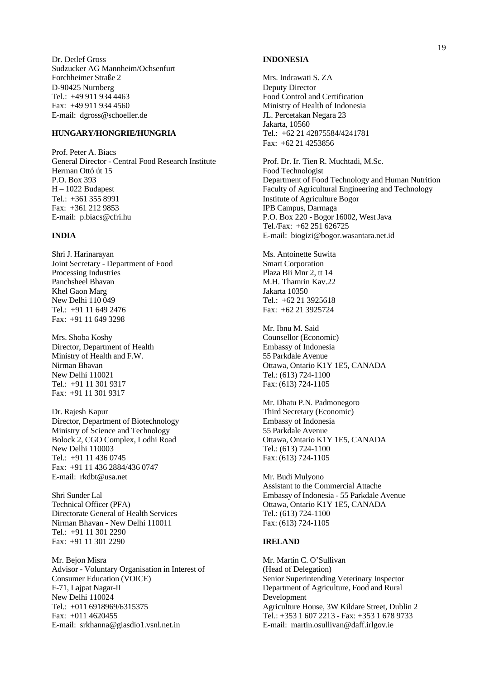Dr. Detlef Gross Sudzucker AG Mannheim/Ochsenfurt Forchheimer Straße 2 D-90425 Nurnberg Tel.: +49 911 934 4463 Fax: +49 911 934 4560 E-mail: dgross@schoeller.de

#### **HUNGARY/HONGRIE/HUNGRIA**

Prof. Peter A. Biacs General Director - Central Food Research Institute Herman Ottó út 15 P.O. Box 393 H – 1022 Budapest Tel.: +361 355 8991 Fax: +361 212 9853 E-mail: p.biacs@cfri.hu

#### **INDIA**

Shri J. Harinarayan Joint Secretary - Department of Food Processing Industries Panchsheel Bhavan Khel Gaon Marg New Delhi 110 049 Tel.: +91 11 649 2476 Fax: +91 11 649 3298

Mrs. Shoba Koshy Director, Department of Health Ministry of Health and F.W. Nirman Bhavan New Delhi 110021 Tel.: +91 11 301 9317 Fax: +91 11 301 9317

Dr. Rajesh Kapur Director, Department of Biotechnology Ministry of Science and Technology Bolock 2, CGO Complex, Lodhi Road New Delhi 110003 Tel.: +91 11 436 0745 Fax: +91 11 436 2884/436 0747 E-mail: rkdbt@usa.net

Shri Sunder Lal Technical Officer (PFA) Directorate General of Health Services Nirman Bhavan - New Delhi 110011 Tel.: +91 11 301 2290 Fax: +91 11 301 2290

Mr. Bejon Misra Advisor - Voluntary Organisation in Interest of Consumer Education (VOICE) F-71, Lajpat Nagar-II New Delhi 110024 Tel.: +011 6918969/6315375 Fax: +011 4620455 E-mail: srkhanna@giasdio1.vsnl.net.in

#### **INDONESIA**

Mrs. Indrawati S. ZA Deputy Director Food Control and Certification Ministry of Health of Indonesia JL. Percetakan Negara 23 Jakarta, 10560 Tel.: +62 21 42875584/4241781 Fax: +62 21 4253856

Prof. Dr. Ir. Tien R. Muchtadi, M.Sc. Food Technologist Department of Food Technology and Human Nutrition Faculty of Agricultural Engineering and Technology Institute of Agriculture Bogor IPB Campus, Darmaga P.O. Box 220 - Bogor 16002, West Java Tel./Fax: +62 251 626725 E-mail: biogizi@bogor.wasantara.net.id

Ms. Antoinette Suwita Smart Corporation Plaza Bii Mnr 2, tt 14 M.H. Thamrin Kav.22 Jakarta 10350 Tel.: +62 21 3925618 Fax: +62 21 3925724

Mr. Ibnu M. Said Counsellor (Economic) Embassy of Indonesia 55 Parkdale Avenue Ottawa, Ontario K1Y 1E5, CANADA Tel.: (613) 724-1100 Fax: (613) 724-1105

Mr. Dhatu P.N. Padmonegoro Third Secretary (Economic) Embassy of Indonesia 55 Parkdale Avenue Ottawa, Ontario K1Y 1E5, CANADA Tel.: (613) 724-1100 Fax: (613) 724-1105

Mr. Budi Mulyono Assistant to the Commercial Attache Embassy of Indonesia - 55 Parkdale Avenue Ottawa, Ontario K1Y 1E5, CANADA Tel.: (613) 724-1100 Fax: (613) 724-1105

#### **IRELAND**

Mr. Martin C. O'Sullivan (Head of Delegation) Senior Superintending Veterinary Inspector Department of Agriculture, Food and Rural Development Agriculture House, 3W Kildare Street, Dublin 2 Tel.: +353 1 607 2213 - Fax: +353 1 678 9733 E-mail: martin.osullivan@daff.irlgov.ie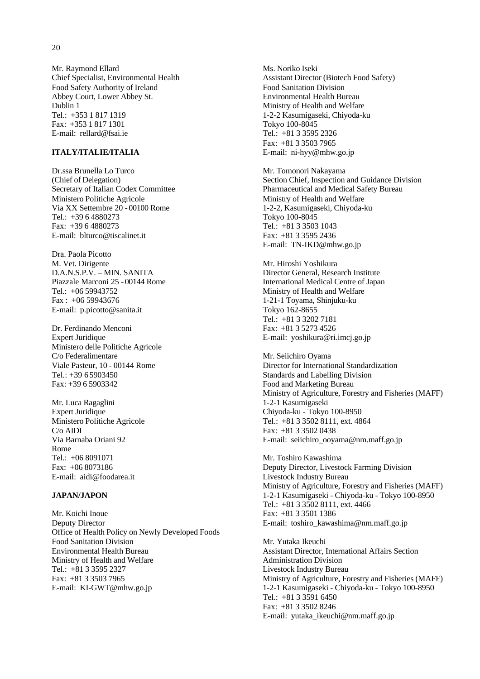Mr. Raymond Ellard Chief Specialist, Environmental Health Food Safety Authority of Ireland Abbey Court, Lower Abbey St. Dublin 1 Tel.: +353 1 817 1319 Fax: +353 1 817 1301 E-mail: rellard@fsai.ie

#### **ITALY/ITALIE/ITALIA**

Dr.ssa Brunella Lo Turco (Chief of Delegation) Secretary of Italian Codex Committee Ministero Politiche Agricole Via XX Settembre 20 - 00100 Rome Tel.: +39 6 4880273 Fax: +39 6 4880273 E-mail: blturco@tiscalinet.it

Dra. Paola Picotto M. Vet. Dirigente D.A.N.S.P.V. – MIN. SANITA Piazzale Marconi 25 - 00144 Rome Tel.: +06 59943752 Fax : +06 59943676 E-mail: p.picotto@sanita.it

Dr. Ferdinando Menconi Expert Juridique Ministero delle Politiche Agricole C/o Federalimentare Viale Pasteur, 10 - 00144 Rome Tel.: +39 6 5903450 Fax: +39 6 5903342

Mr. Luca Ragaglini **Expert Juridique** Ministero Politiche Agricole C/o AIDI Via Barnaba Oriani 92 Rome Tel.: +06 8091071 Fax: +06 8073186 E-mail: aidi@foodarea.it

#### **JAPAN/JAPON**

Mr. Koichi Inoue Deputy Director Office of Health Policy on Newly Developed Foods Food Sanitation Division Environmental Health Bureau Ministry of Health and Welfare Tel.: +81 3 3595 2327 Fax: +81 3 3503 7965 E-mail: KI-GWT@mhw.go.jp

Ms. Noriko Iseki Assistant Director (Biotech Food Safety) Food Sanitation Division Environmental Health Bureau Ministry of Health and Welfare 1-2-2 Kasumigaseki, Chiyoda-ku Tokyo 100-8045 Tel.: +81 3 3595 2326 Fax: +81 3 3503 7965 E-mail: ni-hyy@mhw.go.jp

Mr. Tomonori Nakayama Section Chief, Inspection and Guidance Division Pharmaceutical and Medical Safety Bureau Ministry of Health and Welfare 1-2-2, Kasumigaseki, Chiyoda-ku Tokyo 100-8045 Tel.: +81 3 3503 1043 Fax: +81 3 3595 2436 E-mail: TN-IKD@mhw.go.jp

Mr. Hiroshi Yoshikura Director General, Research Institute International Medical Centre of Japan Ministry of Health and Welfare 1-21-1 Toyama, Shinjuku-ku Tokyo 162-8655 Tel.: +81 3 3202 7181 Fax: +81 3 5273 4526 E-mail: yoshikura@ri.imcj.go.jp

Mr. Seiichiro Oyama Director for International Standardization Standards and Labelling Division Food and Marketing Bureau Ministry of Agriculture, Forestry and Fisheries (MAFF) 1-2-1 Kasumigaseki Chiyoda-ku - Tokyo 100-8950 Tel.: +81 3 3502 8111, ext. 4864 Fax: +81 3 3502 0438 E-mail: seiichiro\_ooyama@nm.maff.go.jp

Mr. Toshiro Kawashima Deputy Director, Livestock Farming Division Livestock Industry Bureau Ministry of Agriculture, Forestry and Fisheries (MAFF) 1-2-1 Kasumigaseki - Chiyoda-ku - Tokyo 100-8950 Tel.: +81 3 3502 8111, ext. 4466 Fax: +81 3 3501 1386 E-mail: toshiro\_kawashima@nm.maff.go.jp

Mr. Yutaka Ikeuchi Assistant Director, International Affairs Section Administration Division Livestock Industry Bureau Ministry of Agriculture, Forestry and Fisheries (MAFF) 1-2-1 Kasumigaseki - Chiyoda-ku - Tokyo 100-8950 Tel.: +81 3 3591 6450 Fax: +81 3 3502 8246 E-mail: yutaka\_ikeuchi@nm.maff.go.jp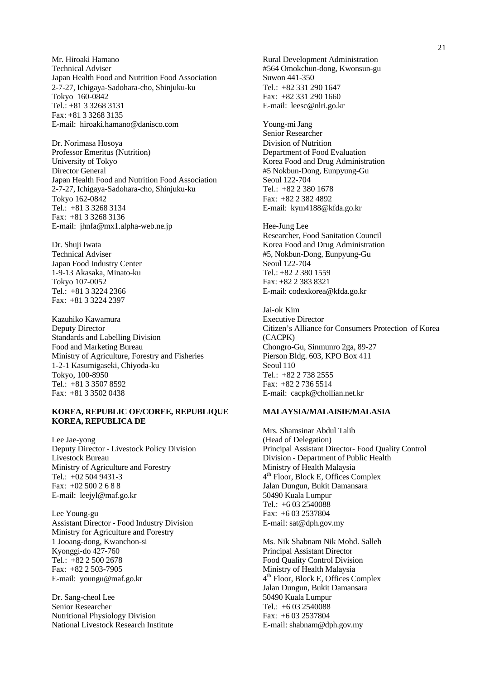Mr. Hiroaki Hamano Technical Adviser Japan Health Food and Nutrition Food Association 2-7-27, Ichigaya-Sadohara-cho, Shinjuku-ku Tokyo 160-0842 Tel.: +81 3 3268 3131 Fax: +81 3 3268 3135 E-mail: hiroaki.hamano@danisco.com

Dr. Norimasa Hosoya Professor Emeritus (Nutrition) University of Tokyo Director General Japan Health Food and Nutrition Food Association 2-7-27, Ichigaya-Sadohara-cho, Shinjuku-ku Tokyo 162-0842 Tel.: +81 3 3268 3134 Fax: +81 3 3268 3136 E-mail: jhnfa@mx1.alpha-web.ne.jp

Dr. Shuji Iwata Technical Adviser Japan Food Industry Center 1-9-13 Akasaka, Minato-ku Tokyo 107-0052 Tel.: +81 3 3224 2366 Fax: +81 3 3224 2397

Kazuhiko Kawamura Deputy Director Standards and Labelling Division Food and Marketing Bureau Ministry of Agriculture, Forestry and Fisheries 1-2-1 Kasumigaseki, Chiyoda-ku Tokyo, 100-8950 Tel.: +81 3 3507 8592 Fax: +81 3 3502 0438

#### **KOREA, REPUBLIC OF/COREE, REPUBLIQUE KOREA, REPUBLICA DE**

Lee Jae-yong Deputy Director - Livestock Policy Division Livestock Bureau Ministry of Agriculture and Forestry Tel.: +02 504 9431-3 Fax: +02 500 2 6 8 8 E-mail: leejyl@maf.go.kr

Lee Young-gu Assistant Director - Food Industry Division Ministry for Agriculture and Forestry 1 Jooang-dong, Kwanchon-si Kyonggi-do 427-760 Tel.: +82 2 500 2678 Fax: +82 2 503-7905 E-mail: youngu@maf.go.kr

Dr. Sang-cheol Lee Senior Researcher Nutritional Physiology Division National Livestock Research Institute Rural Development Administration #564 Omokchun-dong, Kwonsun-gu Suwon 441-350 Tel.: +82 331 290 1647 Fax: +82 331 290 1660 E-mail: leesc@nlri.go.kr

Young-mi Jang Senior Researcher Division of Nutrition Department of Food Evaluation Korea Food and Drug Administration #5 Nokbun-Dong, Eunpyung-Gu Seoul 122-704 Tel.: +82 2 380 1678 Fax: +82 2 382 4892 E-mail: kym4188@kfda.go.kr

Hee-Jung Lee Researcher, Food Sanitation Council Korea Food and Drug Administration #5, Nokbun-Dong, Eunpyung-Gu Seoul 122-704 Tel.: +82 2 380 1559 Fax: +82 2 383 8321 E-mail: codexkorea@kfda.go.kr

Jai-ok Kim Executive Director Citizen's Alliance for Consumers Protection of Korea (CACPK) Chongro-Gu, Sinmunro 2ga, 89-27 Pierson Bldg. 603, KPO Box 411 Seoul 110 Tel.: +82 2 738 2555 Fax: +82 2 736 5514 E-mail: cacpk@chollian.net.kr

#### **MALAYSIA/MALAISIE/MALASIA**

Mrs. Shamsinar Abdul Talib (Head of Delegation) Principal Assistant Director- Food Quality Control Division - Department of Public Health Ministry of Health Malaysia 4 th Floor, Block E, Offices Complex Jalan Dungun, Bukit Damansara 50490 Kuala Lumpur Tel.: +6 03 2540088 Fax: +6 03 2537804 E-mail: sat@dph.gov.my

Ms. Nik Shabnam Nik Mohd. Salleh Principal Assistant Director Food Quality Control Division Ministry of Health Malaysia 4 th Floor, Block E, Offices Complex Jalan Dungun, Bukit Damansara 50490 Kuala Lumpur Tel.: +6 03 2540088 Fax: +6 03 2537804 E-mail: shabnam@dph.gov.my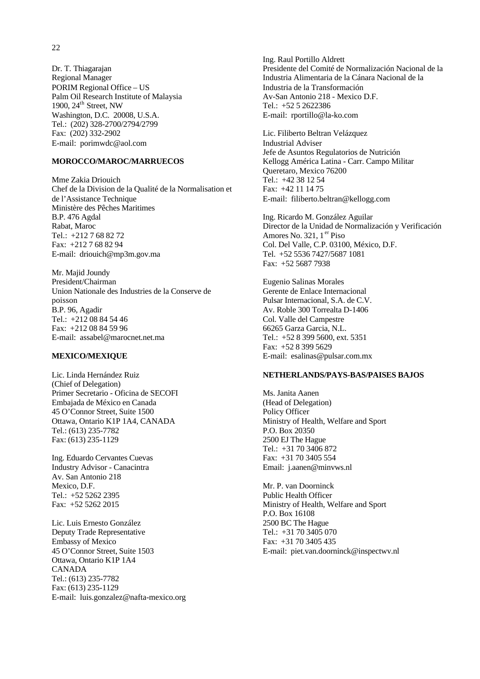Dr. T. Thiagarajan Regional Manager PORIM Regional Office – US Palm Oil Research Institute of Malaysia 1900, 24<sup>th</sup> Street, NW Washington, D.C. 20008, U.S.A. Tel.: (202) 328-2700/2794/2799 Fax: (202) 332-2902 E-mail: porimwdc@aol.com

#### **MOROCCO/MAROC/MARRUECOS**

Mme Zakia Driouich Chef de la Division de la Qualité de la Normalisation et de l'Assistance Technique Ministère des Pêches Maritimes B.P. 476 Agdal Rabat, Maroc Tel.: +212 7 68 82 72 Fax: +212 7 68 82 94 E-mail: driouich@mp3m.gov.ma

Mr. Majid Joundy President/Chairman Union Nationale des Industries de la Conserve de poisson B.P. 96, Agadir Tel.: +212 08 84 54 46 Fax: +212 08 84 59 96 E-mail: assabel@marocnet.net.ma

#### **MEXICO/MEXIQUE**

Lic. Linda Hernández Ruiz (Chief of Delegation) Primer Secretario - Oficina de SECOFI Embajada de México en Canada 45 O'Connor Street, Suite 1500 Ottawa, Ontario K1P 1A4, CANADA Tel.: (613) 235-7782 Fax: (613) 235-1129

Ing. Eduardo Cervantes Cuevas Industry Advisor - Canacintra Av. San Antonio 218 Mexico, D.F. Tel.: +52 5262 2395 Fax: +52 5262 2015

Lic. Luis Ernesto González Deputy Trade Representative Embassy of Mexico 45 O'Connor Street, Suite 1503 Ottawa, Ontario K1P 1A4 CANADA Tel.: (613) 235-7782 Fax: (613) 235-1129 E-mail: luis.gonzalez@nafta-mexico.org Ing. Raul Portillo Aldrett Presidente del Comité de Normalización Nacional de la Industria Alimentaria de la Cánara Nacional de la Industria de la Transformación Av-San Antonio 218 - Mexico D.F. Tel.: +52 5 2622386 E-mail: rportillo@la-ko.com

Lic. Filiberto Beltran Velázquez Industrial Adviser Jefe de Asuntos Regulatorios de Nutrición Kellogg América Latina - Carr. Campo Militar Queretaro, Mexico 76200 Tel.: +42 38 12 54 Fax: +42 11 14 75 E-mail: filiberto.beltran@kellogg.com

Ing. Ricardo M. González Aguilar Director de la Unidad de Normalización y Verificación Amores No. 321, 1<sup>er</sup> Piso Col. Del Valle, C.P. 03100, México, D.F. Tel. +52 5536 7427/5687 1081 Fax: +52 5687 7938

Eugenio Salinas Morales Gerente de Enlace Internacional Pulsar Internacional, S.A. de C.V. Av. Roble 300 Torrealta D-1406 Col. Valle del Campestre 66265 Garza Garcia, N.L. Tel.: +52 8 399 5600, ext. 5351 Fax: +52 8 399 5629 E-mail: esalinas@pulsar.com.mx

#### **NETHERLANDS/PAYS-BAS/PAISES BAJOS**

Ms. Janita Aanen (Head of Delegation) Policy Officer Ministry of Health, Welfare and Sport P.O. Box 20350 2500 EJ The Hague Tel.: +31 70 3406 872 Fax: +31 70 3405 554 Email: j.aanen@minvws.nl

Mr. P. van Doorninck Public Health Officer Ministry of Health, Welfare and Sport P.O. Box 16108 2500 BC The Hague Tel.: +31 70 3405 070 Fax: +31 70 3405 435 E-mail: piet.van.doorninck@inspectwv.nl

22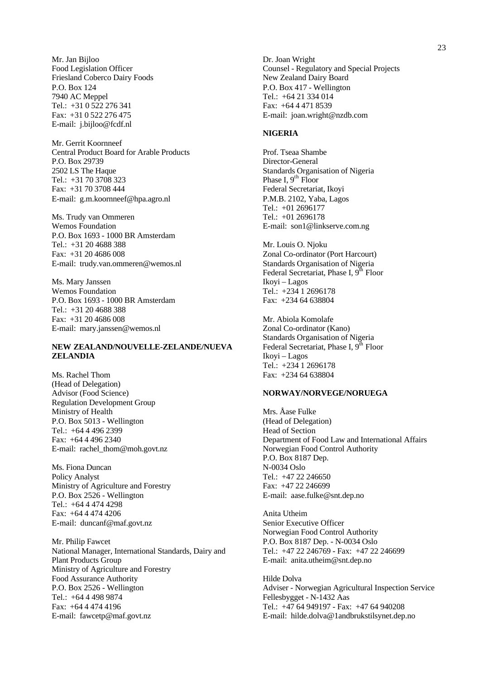Mr. Jan Bijloo Food Legislation Officer Friesland Coberco Dairy Foods P.O. Box 124 7940 AC Meppel Tel.: +31 0 522 276 341 Fax: +31 0 522 276 475 E-mail: j.bijloo@fcdf.nl

Mr. Gerrit Koornneef Central Product Board for Arable Products P.O. Box 29739 2502 LS The Haque Tel.: +31 70 3708 323 Fax: +31 70 3708 444 E-mail: g.m.koornneef@hpa.agro.nl

Ms. Trudy van Ommeren Wemos Foundation P.O. Box 1693 - 1000 BR Amsterdam Tel.: +31 20 4688 388 Fax: +31 20 4686 008 E-mail: trudy.van.ommeren@wemos.nl

Ms. Mary Janssen Wemos Foundation P.O. Box 1693 - 1000 BR Amsterdam Tel.: +31 20 4688 388 Fax: +31 20 4686 008 E-mail: mary.janssen@wemos.nl

#### **NEW ZEALAND/NOUVELLE-ZELANDE/NUEVA ZELANDIA**

Ms. Rachel Thom (Head of Delegation) Advisor (Food Science) Regulation Development Group Ministry of Health P.O. Box 5013 - Wellington Tel.: +64 4 496 2399 Fax: +64 4 496 2340 E-mail: rachel\_thom@moh.govt.nz

Ms. Fiona Duncan Policy Analyst Ministry of Agriculture and Forestry P.O. Box 2526 - Wellington Tel.: +64 4 474 4298 Fax: +64 4 474 4206 E-mail: duncanf@maf.govt.nz

Mr. Philip Fawcet National Manager, International Standards, Dairy and Plant Products Group Ministry of Agriculture and Forestry Food Assurance Authority P.O. Box 2526 - Wellington Tel.: +64 4 498 9874 Fax: +64 4 474 4196 E-mail: fawcetp@maf.govt.nz

Dr. Joan Wright Counsel - Regulatory and Special Projects New Zealand Dairy Board P.O. Box 417 - Wellington Tel.: +64 21 334 014 Fax: +64 4 471 8539 E-mail: joan.wright@nzdb.com

#### **NIGERIA**

Prof. Tseaa Shambe Director-General Standards Organisation of Nigeria Phase I,  $9<sup>th</sup>$  Floor Federal Secretariat, Ikoyi P.M.B. 2102, Yaba, Lagos Tel.: +01 2696177 Tel.: +01 2696178 E-mail: son1@linkserve.com.ng

Mr. Louis O. Njoku Zonal Co-ordinator (Port Harcourt) Standards Organisation of Nigeria Federal Secretariat, Phase I,  $9<sup>th</sup>$  Floor Ikoyi – Lagos Tel.: +234 1 2696178 Fax: +234 64 638804

Mr. Abiola Komolafe Zonal Co-ordinator (Kano) Standards Organisation of Nigeria Federal Secretariat, Phase I,  $9^{\text{th}}$  Floor Ikoyi – Lagos Tel.: +234 1 2696178 Fax: +234 64 638804

#### **NORWAY/NORVEGE/NORUEGA**

Mrs. Åase Fulke (Head of Delegation) Head of Section Department of Food Law and International Affairs Norwegian Food Control Authority P.O. Box 8187 Dep. N-0034 Oslo Tel.: +47 22 246650 Fax: +47 22 246699 E-mail: aase.fulke@snt.dep.no

Anita Utheim Senior Executive Officer Norwegian Food Control Authority P.O. Box 8187 Dep. - N-0034 Oslo Tel.: +47 22 246769 - Fax: +47 22 246699 E-mail: anita.utheim@snt.dep.no

Hilde Dolva Adviser - Norwegian Agricultural Inspection Service Fellesbygget - N-1432 Aas Tel.: +47 64 949197 - Fax: +47 64 940208 E-mail: hilde.dolva@1andbrukstilsynet.dep.no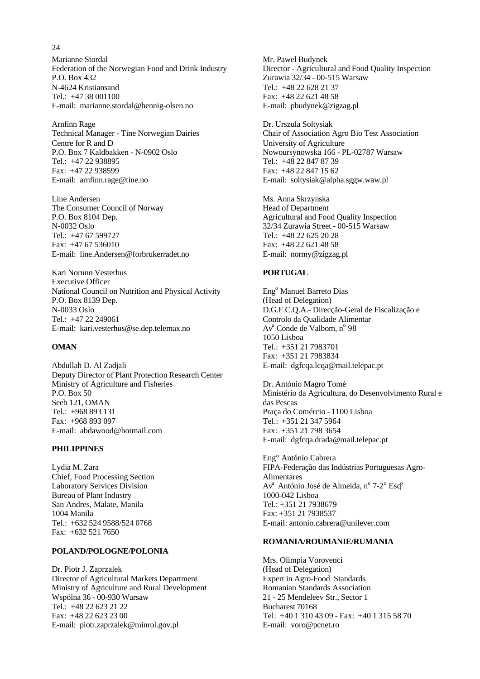Marianne Stordal Federation of the Norwegian Food and Drink Industry P.O. Box 432 N-4624 Kristiansand Tel.: +47 38 001100 E-mail: marianne.stordal@hennig-olsen.no

Arnfinn Rage Technical Manager - Tine Norwegian Dairies Centre for R and D P.O. Box 7 Kaldbakken - N-0902 Oslo Tel.: +47 22 938895 Fax: +47 22 938599 E-mail: arnfinn.rage@tine.no

Line Andersen The Consumer Council of Norway P.O. Box 8104 Dep. N-0032 Oslo Tel.: +47 67 599727 Fax: +47 67 536010 E-mail: line.Andersen@forbrukerradet.no

Kari Norunn Vesterhus Executive Officer National Council on Nutrition and Physical Activity P.O. Box 8139 Dep. N-0033 Oslo Tel.: +47 22 249061 E-mail: kari.vesterhus@se.dep.telemax.no

#### **OMAN**

Abdullah D. Al Zadjali Deputy Director of Plant Protection Research Center Ministry of Agriculture and Fisheries P.O. Box 50 Seeb 121, OMAN Tel.: +968 893 131 Fax: +968 893 097 E-mail: abdawood@hotmail.com

#### **PHILIPPINES**

Lydia M. Zara Chief, Food Processing Section Laboratory Services Division Bureau of Plant Industry San Andres, Malate, Manila 1004 Manila Tel.: +632 524 9588/524 0768 Fax: +632 521 7650

# **POLAND/POLOGNE/POLONIA**

Dr. Piotr J. Zaprzalek Director of Agricultural Markets Department Ministry of Agriculture and Rural Development Wspólna 36 - 00-930 Warsaw Tel.: +48 22 623 21 22 Fax: +48 22 623 23 00 E-mail: piotr.zaprzalek@minrol.gov.pl

Mr. Pawel Budynek Director - Agricultural and Food Quality Inspection Zurawia 32/34 - 00-515 Warsaw Tel.: +48 22 628 21 37 Fax: +48 22 621 48 58 E-mail: pbudynek@zigzag.pl

Dr. Urszula Soltysiak Chair of Association Agro Bio Test Association University of Agriculture Nowoursynowska 166 - PL-02787 Warsaw Tel.: +48 22 847 87 39 Fax: +48 22 847 15 62 E-mail: soltysiak@alpha.sggw.waw.pl

Ms. Anna Skrzynska Head of Department Agricultural and Food Quality Inspection 32/34 Zurawia Street - 00-515 Warsaw Tel.: +48 22 625 20 28 Fax: +48 22 621 48 58 E-mail: normy@zigzag.pl

#### **PORTUGAL**

Eng<sup>o</sup> Manuel Barreto Dias (Head of Delegation) D.G.F.C.Q.A.- Direcção-Geral de Fiscalização e Controlo da Qualidade Alimentar Av<sup>a</sup> Conde de Valbom, nº 98 1050 Lisboa Tel.: +351 21 7983701 Fax: +351 21 7983834 E-mail: dgfcqa.lcqa@mail.telepac.pt

Dr. António Magro Tomé Ministério da Agricultura, do Desenvolvimento Rural e das Pescas Praça do Comércio - 1100 Lisboa Tel.: +351 21 347 5964 Fax: +351 21 798 3654 E-mail: dgfcqa.drada@mail.telepac.pt

Eng° António Cabrera FIPA-Federação das Indústrias Portuguesas Agro-Alimentares  $Av^a$  António José de Almeida, n° 7-2° Esq<sup>o</sup> 1000-042 Lisboa Tel.: +351 21 7938679 Fax: +351 21 7938537 E-mail: antonio.cabrera@unilever.com

#### **ROMANIA/ROUMANIE/RUMANIA**

Mrs. Olimpia Vorovenci (Head of Delegation) Expert in Agro-Food Standards Romanian Standards Association 21 - 25 Mendeleev Str., Sector 1 Bucharest 70168 Tel: +40 1 310 43 09 - Fax: +40 1 315 58 70 E-mail: voro@pcnet.ro

#### 24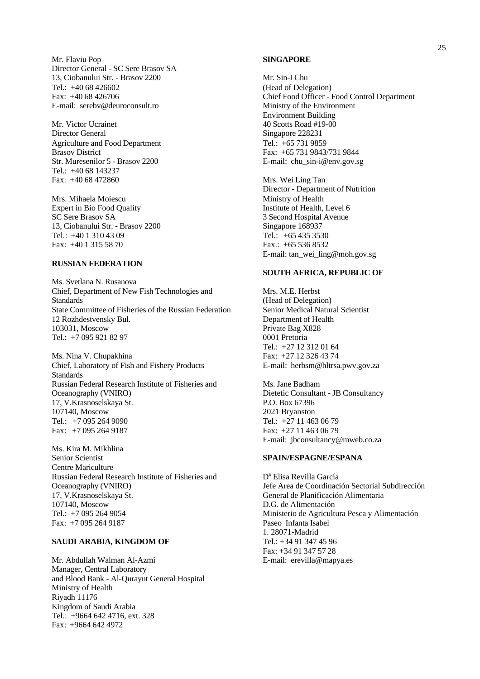Mr. Flaviu Pop Director General - SC Sere Brasov SA 13, Ciobanului Str. - Brasov 2200 Tel.: +40 68 426602 Fax: +40 68 426706 E-mail: serebv@deuroconsult.ro

Mr. Victor Ucrainet Director General Agriculture and Food Department Brasov District Str. Muresenilor 5 - Brasov 2200 Tel.: +40 68 143237 Fax: +40 68 472860

Mrs. Mihaela Moiescu Expert in Bio Food Quality SC Sere Brasov SA 13, Ciobanului Str. - Brasov 2200 Tel.: +40 1 310 43 09 Fax: +40 1 315 58 70

#### **RUSSIAN FEDERATION**

Ms. Svetlana N. Rusanova Chief, Department of New Fish Technologies and Standards State Committee of Fisheries of the Russian Federation 12 Rozhdestvensky Bul. 103031, Moscow Tel.: +7 095 921 82 97

Ms. Nina V. Chupakhina Chief, Laboratory of Fish and Fishery Products **Standards** Russian Federal Research Institute of Fisheries and Oceanography (VNIRO) 17, V.Krasnoselskaya St. 107140, Moscow Tel.: +7 095 264 9090 Fax: +7 095 264 9187

Ms. Kira M. Mikhlina Senior Scientist Centre Mariculture Russian Federal Research Institute of Fisheries and Oceanography (VNIRO) 17, V.Krasnoselskaya St. 107140, Moscow Tel.: +7 095 264 9054 Fax: +7 095 264 9187

#### **SAUDI ARABIA, KINGDOM OF**

Mr. Abdullah Walman Al-Azmi Manager, Central Laboratory and Blood Bank - Al-Qurayut General Hospital Ministry of Health Riyadh 11176 Kingdom of Saudi Arabia Tel.: +9664 642 4716, ext. 328 Fax: +9664 642 4972

#### **SINGAPORE**

Mr. Sin-I Chu (Head of Delegation) Chief Food Officer - Food Control Department Ministry of the Environment Environment Building 40 Scotts Road #19-00 Singapore 228231 Tel.: +65 731 9859 Fax: +65 731 9843/731 9844 E-mail: chu\_sin-i@env.gov.sg

Mrs. Wei Ling Tan Director - Department of Nutrition Ministry of Health Institute of Health, Level 6 3 Second Hospital Avenue Singapore 168937 Tel.:  $+65435330$ Fax.: +65 536 8532 E-mail: tan\_wei\_ling@moh.gov.sg

#### **SOUTH AFRICA, REPUBLIC OF**

Mrs. M.E. Herbst (Head of Delegation) Senior Medical Natural Scientist Department of Health Private Bag X828 0001 Pretoria Tel.: +27 12 312 01 64 Fax: +27 12 326 43 74 E-mail: herbsm@hltrsa.pwv.gov.za

Ms. Jane Badham Dietetic Consultant - JB Consultancy P.O. Box 67396 2021 Bryanston Tel.: +27 11 463 06 79 Fax: +27 11 463 06 79 E-mail: jbconsultancy@mweb.co.za

#### **SPAIN/ESPAGNE/ESPANA**

D<sup>a</sup> Elisa Revilla García Jefe Area de Coordinación Sectorial Subdirección General de Planificación Alimentaria D.G. de Alimentación Ministerio de Agricultura Pesca y Alimentación Paseo Infanta Isabel 1. 28071-Madrid Tel.: +34 91 347 45 96 Fax: +34 91 347 57 28 E-mail: erevilla@mapya.es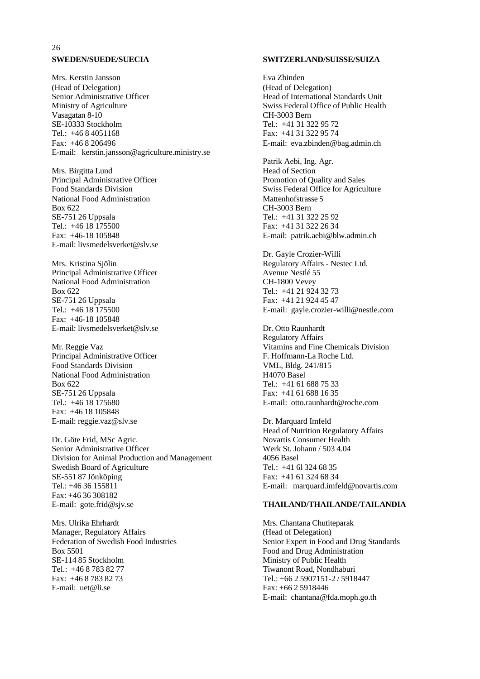# 26 **SWEDEN/SUEDE/SUECIA**

Mrs. Kerstin Jansson (Head of Delegation) Senior Administrative Officer Ministry of Agriculture Vasagatan 8-10 SE-10333 Stockholm Tel.: +46 8 4051168 Fax: +46 8 206496 E-mail: kerstin.jansson@agriculture.ministry.se

Mrs. Birgitta Lund Principal Administrative Officer Food Standards Division National Food Administration Box 622 SE-751 26 Uppsala Tel.: +46 18 175500 Fax: +46-18 105848 E-mail: livsmedelsverket@slv.se

Mrs. Kristina Sjölin Principal Administrative Officer National Food Administration Box 622 SE-751 26 Uppsala Tel.: +46 18 175500 Fax: +46-18 105848 E-mail: livsmedelsverket@slv.se

Mr. Reggie Vaz Principal Administrative Officer Food Standards Division National Food Administration Box 622 SE-751 26 Uppsala Tel.: +46 18 175680 Fax: +46 18 105848 E-mail: reggie.vaz@slv.se

Dr. Göte Frid, MSc Agric. Senior Administrative Officer Division for Animal Production and Management Swedish Board of Agriculture SE-551 87 Jönköping Tel.: +46 36 155811 Fax: +46 36 308182 E-mail: gote.frid@sjv.se

Mrs. Ulrika Ehrhardt Manager, Regulatory Affairs Federation of Swedish Food Industries Box 5501 SE-114 85 Stockholm Tel.: +46 8 783 82 77 Fax: +46 8 783 82 73 E-mail: uet@li.se

#### **SWITZERLAND/SUISSE/SUIZA**

Eva Zbinden (Head of Delegation) Head of International Standards Unit Swiss Federal Office of Public Health CH-3003 Bern Tel.: +41 31 322 95 72 Fax: +41 31 322 95 74 E-mail: eva.zbinden@bag.admin.ch

Patrik Aebi, Ing. Agr. Head of Section Promotion of Quality and Sales Swiss Federal Office for Agriculture Mattenhofstrasse 5 CH-3003 Bern Tel.: +41 31 322 25 92 Fax: +41 31 322 26 34 E-mail: patrik.aebi@blw.admin.ch

Dr. Gayle Crozier-Willi Regulatory Affairs - Nestec Ltd. Avenue Nestlé 55 CH-1800 Vevey Tel.: +41 21 924 32 73 Fax: +41 21 924 45 47 E-mail: gayle.crozier-willi@nestle.com

Dr. Otto Raunhardt Regulatory Affairs Vitamins and Fine Chemicals Division F. Hoffmann-La Roche Ltd. VML, Bldg. 241/815 H4070 Basel Tel.: +41 61 688 75 33 Fax: +41 61 688 16 35 E-mail: otto.raunhardt@roche.com

Dr. Marquard Imfeld Head of Nutrition Regulatory Affairs Novartis Consumer Health Werk St. Johann / 503 4.04 4056 Basel Tel.: +41 6l 324 68 35 Fax: +41 61 324 68 34 E-mail: marquard.imfeld@novartis.com

#### **THAILAND/THAILANDE/TAILANDIA**

Mrs. Chantana Chutiteparak (Head of Delegation) Senior Expert in Food and Drug Standards Food and Drug Administration Ministry of Public Health Tiwanont Road, Nondhaburi Tel.: +66 2 5907151-2 / 5918447 Fax: +66 2 5918446 E-mail: chantana@fda.moph.go.th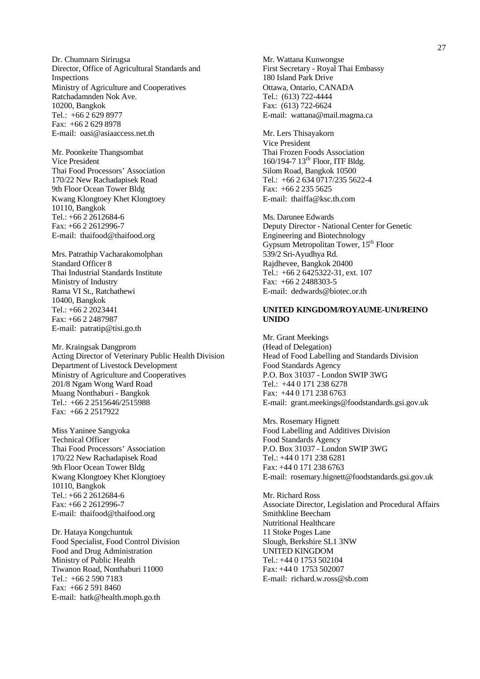Dr. Chumnarn Sirirugsa Director, Office of Agricultural Standards and Inspections Ministry of Agriculture and Cooperatives Ratchadamnden Nok Ave. 10200, Bangkok Tel.: +66 2 629 8977 Fax: +66 2 629 8978 E-mail: oasi@asiaaccess.net.th

Mr. Poonkeite Thangsombat Vice President Thai Food Processors' Association 170/22 New Rachadapisek Road 9th Floor Ocean Tower Bldg Kwang Klongtoey Khet Klongtoey 10110, Bangkok Tel.: +66 2 2612684-6 Fax: +66 2 2612996-7 E-mail: thaifood@thaifood.org

Mrs. Patrathip Vacharakomolphan Standard Officer 8 Thai Industrial Standards Institute Ministry of Industry Rama VI St., Ratchathewi 10400, Bangkok Tel.: +66 2 2023441 Fax: +66 2 2487987 E-mail: patratip@tisi.go.th

Mr. Kraingsak Dangprom Acting Director of Veterinary Public Health Division Department of Livestock Development Ministry of Agriculture and Cooperatives 201/8 Ngam Wong Ward Road Muang Nonthaburi - Bangkok Tel.: +66 2 2515646/2515988 Fax: +66 2 2517922

Miss Yaninee Sangyoka Technical Officer Thai Food Processors' Association 170/22 New Rachadapisek Road 9th Floor Ocean Tower Bldg Kwang Klongtoey Khet Klongtoey 10110, Bangkok Tel.: +66 2 2612684-6 Fax: +66 2 2612996-7 E-mail: thaifood@thaifood.org

Dr. Hataya Kongchuntuk Food Specialist, Food Control Division Food and Drug Administration Ministry of Public Health Tiwanon Road, Nonthaburi 11000 Tel.: +66 2 590 7183 Fax: +66 2 591 8460 E-mail: hatk@health.moph.go.th

Mr. Wattana Kunwongse First Secretary - Royal Thai Embassy 180 Island Park Drive Ottawa, Ontario, CANADA Tel.: (613) 722-4444 Fax: (613) 722-6624 E-mail: wattana@mail.magma.ca

Mr. Lers Thisayakorn Vice President Thai Frozen Foods Association  $160/194$ -7  $13<sup>th</sup>$  Floor, ITF Bldg. Silom Road, Bangkok 10500 Tel.: +66 2 634 0717/235 5622-4 Fax: +66 2 235 5625 E-mail: thaiffa@ksc.th.com

Ms. Darunee Edwards Deputy Director - National Center for Genetic Engineering and Biotechnology Gypsum Metropolitan Tower, 15<sup>th</sup> Floor 539/2 Sri-Ayudhya Rd. Rajdhevee, Bangkok 20400 Tel.: +66 2 6425322-31, ext. 107 Fax: +66 2 2488303-5 E-mail: dedwards@biotec.or.th

# **UNITED KINGDOM/ROYAUME-UNI/REINO UNIDO**

Mr. Grant Meekings (Head of Delegation) Head of Food Labelling and Standards Division Food Standards Agency P.O. Box 31037 - London SWIP 3WG Tel.: +44 0 171 238 6278 Fax: +44 0 171 238 6763 E-mail: grant.meekings@foodstandards.gsi.gov.uk

Mrs. Rosemary Hignett Food Labelling and Additives Division Food Standards Agency P.O. Box 31037 - London SWIP 3WG Tel.: +44 0 171 238 6281 Fax: +44 0 171 238 6763 E-mail: rosemary.hignett@foodstandards.gsi.gov.uk

Mr. Richard Ross Associate Director, Legislation and Procedural Affairs Smithkline Beecham Nutritional Healthcare 11 Stoke Poges Lane Slough, Berkshire SL1 3NW UNITED KINGDOM Tel.: +44 0 1753 502104 Fax: +44 0 1753 502007 E-mail: richard.w.ross@sb.com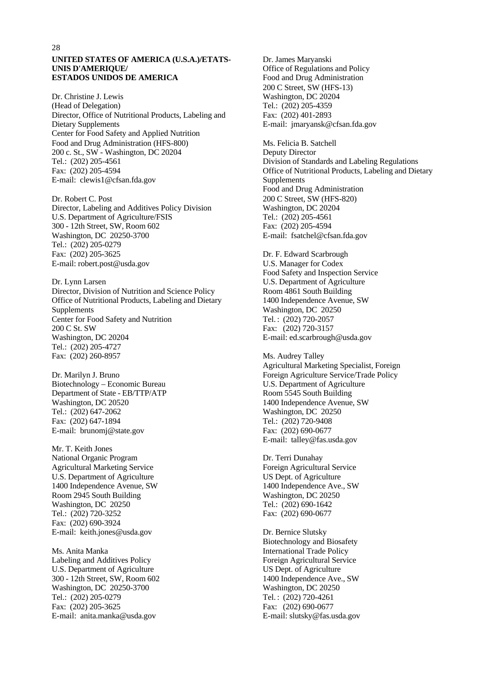# **UNITED STATES OF AMERICA (U.S.A.)/ETATS-UNIS D'AMERIQUE/ ESTADOS UNIDOS DE AMERICA**

Dr. Christine J. Lewis (Head of Delegation) Director, Office of Nutritional Products, Labeling and Dietary Supplements Center for Food Safety and Applied Nutrition Food and Drug Administration (HFS-800) 200 c. St., SW - Washington, DC 20204 Tel.: (202) 205-4561 Fax: (202) 205-4594 E-mail: clewis1@cfsan.fda.gov

Dr. Robert C. Post Director, Labeling and Additives Policy Division U.S. Department of Agriculture/FSIS 300 - 12th Street, SW, Room 602 Washington, DC 20250-3700 Tel.: (202) 205-0279 Fax: (202) 205-3625 E-mail: robert.post@usda.gov

Dr. Lynn Larsen Director, Division of Nutrition and Science Policy Office of Nutritional Products, Labeling and Dietary Supplements Center for Food Safety and Nutrition 200 C St. SW Washington, DC 20204 Tel.: (202) 205-4727 Fax: (202) 260-8957

Dr. Marilyn J. Bruno Biotechnology – Economic Bureau Department of State - EB/TTP/ATP Washington, DC 20520 Tel.: (202) 647-2062 Fax: (202) 647-1894 E-mail: brunomj@state.gov

Mr. T. Keith Jones National Organic Program Agricultural Marketing Service U.S. Department of Agriculture 1400 Independence Avenue, SW Room 2945 South Building Washington, DC 20250 Tel.: (202) 720-3252 Fax: (202) 690-3924 E-mail: keith.jones@usda.gov

Ms. Anita Manka Labeling and Additives Policy U.S. Department of Agriculture 300 - 12th Street, SW, Room 602 Washington, DC 20250-3700 Tel.: (202) 205-0279 Fax: (202) 205-3625 E-mail: anita.manka@usda.gov

Dr. James Maryanski Office of Regulations and Policy Food and Drug Administration 200 C Street, SW (HFS-13) Washington, DC 20204 Tel.: (202) 205-4359 Fax: (202) 401-2893 E-mail: jmaryansk@cfsan.fda.gov

Ms. Felicia B. Satchell Deputy Director Division of Standards and Labeling Regulations Office of Nutritional Products, Labeling and Dietary Supplements Food and Drug Administration 200 C Street, SW (HFS-820) Washington, DC 20204 Tel.: (202) 205-4561 Fax: (202) 205-4594 E-mail: fsatchel@cfsan.fda.gov

Dr. F. Edward Scarbrough U.S. Manager for Codex Food Safety and Inspection Service U.S. Department of Agriculture Room 4861 South Building 1400 Independence Avenue, SW Washington, DC 20250 Tel. : (202) 720-2057 Fax: (202) 720-3157 E-mail: ed.scarbrough@usda.gov

Ms. Audrey Talley Agricultural Marketing Specialist, Foreign Foreign Agriculture Service/Trade Policy U.S. Department of Agriculture Room 5545 South Building 1400 Independence Avenue, SW Washington, DC 20250 Tel.: (202) 720-9408 Fax: (202) 690-0677 E-mail: talley@fas.usda.gov

Dr. Terri Dunahay Foreign Agricultural Service US Dept. of Agriculture 1400 Independence Ave., SW Washington, DC 20250 Tel.: (202) 690-1642 Fax: (202) 690-0677

Dr. Bernice Slutsky Biotechnology and Biosafety International Trade Policy Foreign Agricultural Service US Dept. of Agriculture 1400 Independence Ave., SW Washington, DC 20250 Tel. : (202) 720-4261 Fax: (202) 690-0677 E-mail: slutsky@fas.usda.gov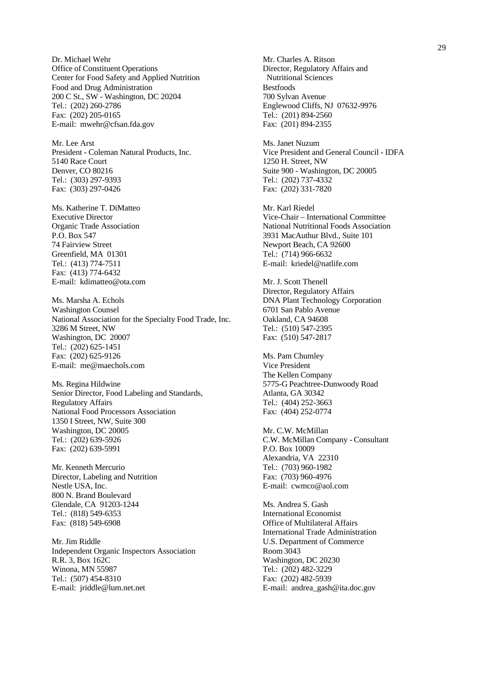Dr. Michael Wehr Office of Constituent Operations Center for Food Safety and Applied Nutrition Food and Drug Administration 200 C St., SW - Washington, DC 20204 Tel.: (202) 260-2786 Fax: (202) 205-0165 E-mail: mwehr@cfsan.fda.gov

Mr. Lee Arst President - Coleman Natural Products, Inc. 5140 Race Court Denver, CO 80216 Tel.: (303) 297-9393 Fax: (303) 297-0426

Ms. Katherine T. DiMatteo Executive Director Organic Trade Association P.O. Box 547 74 Fairview Street Greenfield, MA 01301 Tel.: (413) 774-7511 Fax: (413) 774-6432 E-mail: kdimatteo@ota.com

Ms. Marsha A. Echols Washington Counsel National Association for the Specialty Food Trade, Inc. 3286 M Street, NW Washington, DC 20007 Tel.: (202) 625-1451 Fax: (202) 625-9126 E-mail: me@maechols.com

Ms. Regina Hildwine Senior Director, Food Labeling and Standards, Regulatory Affairs National Food Processors Association 1350 I Street, NW, Suite 300 Washington, DC 20005 Tel.: (202) 639-5926 Fax: (202) 639-5991

Mr. Kenneth Mercurio Director, Labeling and Nutrition Nestle USA, Inc. 800 N. Brand Boulevard Glendale, CA 91203-1244 Tel.: (818) 549-6353 Fax: (818) 549-6908

Mr. Jim Riddle Independent Organic Inspectors Association R.R. 3, Box 162C Winona, MN 55987 Tel.: (507) 454-8310 E-mail: jriddle@lum.net.net

Mr. Charles A. Ritson Director, Regulatory Affairs and Nutritional Sciences Bestfoods 700 Sylvan Avenue Englewood Cliffs, NJ 07632-9976 Tel.: (201) 894-2560 Fax: (201) 894-2355

Ms. Janet Nuzum Vice President and General Council - IDFA 1250 H. Street, NW Suite 900 - Washington, DC 20005 Tel.: (202) 737-4332 Fax: (202) 331-7820

Mr. Karl Riedel Vice-Chair – International Committee National Nutritional Foods Association 3931 MacAuthur Blvd., Suite 101 Newport Beach, CA 92600 Tel.: (714) 966-6632 E-mail: kriedel@natlife.com

Mr. J. Scott Thenell Director, Regulatory Affairs DNA Plant Technology Corporation 6701 San Pablo Avenue Oakland, CA 94608 Tel.: (510) 547-2395 Fax: (510) 547-2817

Ms. Pam Chumley Vice President The Kellen Company 5775-G Peachtree-Dunwoody Road Atlanta, GA 30342 Tel.: (404) 252-3663 Fax: (404) 252-0774

Mr. C.W. McMillan C.W. McMillan Company - Consultant P.O. Box 10009 Alexandria, VA 22310 Tel.: (703) 960-1982 Fax: (703) 960-4976 E-mail: cwmco@aol.com

Ms. Andrea S. Gash International Economist Office of Multilateral Affairs International Trade Administration U.S. Department of Commerce Room 3043 Washington, DC 20230 Tel.: (202) 482-3229 Fax: (202) 482-5939 E-mail: andrea\_gash@ita.doc.gov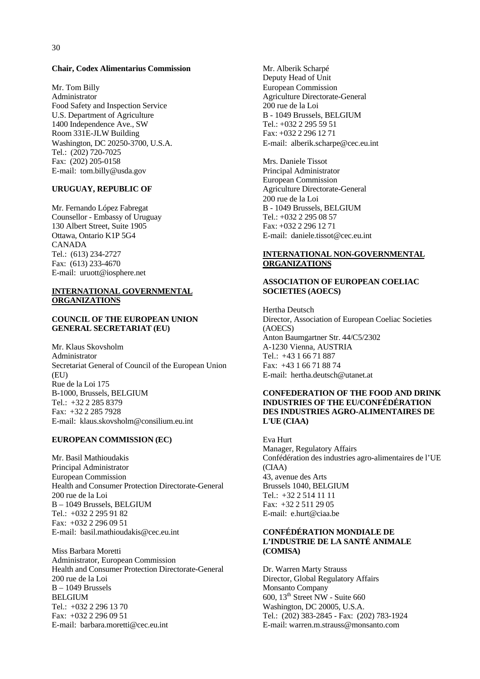#### **Chair, Codex Alimentarius Commission**

Mr. Tom Billy Administrator Food Safety and Inspection Service U.S. Department of Agriculture 1400 Independence Ave., SW Room 331E-JLW Building Washington, DC 20250-3700, U.S.A. Tel.: (202) 720-7025 Fax: (202) 205-0158 E-mail: tom.billy@usda.gov

#### **URUGUAY, REPUBLIC OF**

Mr. Fernando López Fabregat Counsellor - Embassy of Uruguay 130 Albert Street, Suite 1905 Ottawa, Ontario K1P 5G4 CANADA Tel.: (613) 234-2727 Fax: (613) 233-4670 E-mail: uruott@iosphere.net

#### **INTERNATIONAL GOVERNMENTAL ORGANIZATIONS**

#### **COUNCIL OF THE EUROPEAN UNION GENERAL SECRETARIAT (EU)**

Mr. Klaus Skovsholm Administrator Secretariat General of Council of the European Union  $(FID)$ Rue de la Loi 175 B-1000, Brussels, BELGIUM Tel.: +32 2 285 8379 Fax: +32 2 285 7928 E-mail: klaus.skovsholm@consilium.eu.int

#### **EUROPEAN COMMISSION (EC)**

Mr. Basil Mathioudakis Principal Administrator European Commission Health and Consumer Protection Directorate-General 200 rue de la Loi B – 1049 Brussels, BELGIUM Tel.: +032 2 295 91 82 Fax: +032 2 296 09 51 E-mail: basil.mathioudakis@cec.eu.int

Miss Barbara Moretti Administrator, European Commission Health and Consumer Protection Directorate-General 200 rue de la Loi B – 1049 Brussels BELGIUM Tel.: +032 2 296 13 70 Fax: +032 2 296 09 51 E-mail: barbara.moretti@cec.eu.int

Mr. Alberik Scharpé Deputy Head of Unit European Commission Agriculture Directorate-General 200 rue de la Loi B - 1049 Brussels, BELGIUM Tel.: +032 2 295 59 51 Fax: +032 2 296 12 71 E-mail: alberik.scharpe@cec.eu.int

Mrs. Daniele Tissot Principal Administrator European Commission Agriculture Directorate-General 200 rue de la Loi B - 1049 Brussels, BELGIUM Tel.: +032 2 295 08 57 Fax: +032 2 296 12 71 E-mail: daniele.tissot@cec.eu.int

# **INTERNATIONAL NON-GOVERNMENTAL ORGANIZATIONS**

#### **ASSOCIATION OF EUROPEAN COELIAC SOCIETIES (AOECS)**

Hertha Deutsch Director, Association of European Coeliac Societies (AOECS) Anton Baumgartner Str. 44/C5/2302 A-1230 Vienna, AUSTRIA Tel.: +43 1 66 71 887 Fax: +43 1 66 71 88 74 E-mail: hertha.deutsch@utanet.at

#### **CONFEDERATION OF THE FOOD AND DRINK INDUSTRIES OF THE EU/CONFÉDÉRATION DES INDUSTRIES AGRO-ALIMENTAIRES DE L'UE (CIAA)**

Eva Hurt Manager, Regulatory Affairs Confédération des industries agro-alimentaires de l'UE (CIAA) 43, avenue des Arts Brussels 1040, BELGIUM Tel.: +32 2 514 11 11 Fax: +32 2 511 29 05 E-mail: e.hurt@ciaa.be

#### **CONFÉDÉRATION MONDIALE DE L'INDUSTRIE DE LA SANTÉ ANIMALE (COMISA)**

Dr. Warren Marty Strauss Director, Global Regulatory Affairs Monsanto Company 600, 13th Street NW - Suite 660 Washington, DC 20005, U.S.A. Tel.: (202) 383-2845 - Fax: (202) 783-1924 E-mail: warren.m.strauss@monsanto.com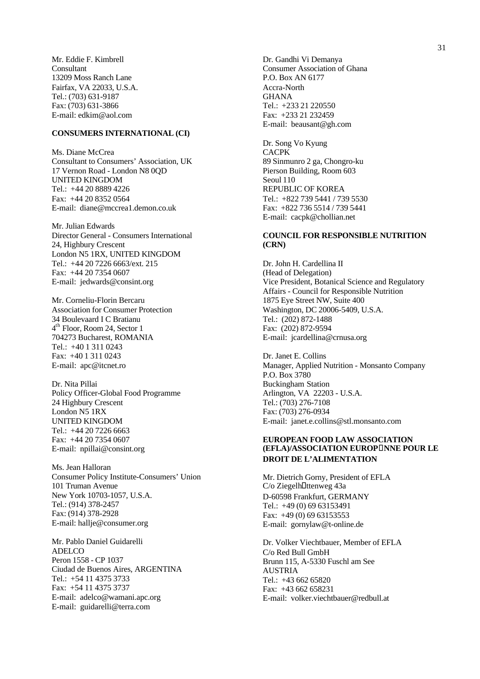Mr. Eddie F. Kimbrell Consultant 13209 Moss Ranch Lane Fairfax, VA 22033, U.S.A. Tel.: (703) 631-9187 Fax: (703) 631-3866 E-mail: edkim@aol.com

#### **CONSUMERS INTERNATIONAL (CI)**

Ms. Diane McCrea Consultant to Consumers' Association, UK 17 Vernon Road - London N8 0QD UNITED KINGDOM Tel.: +44 20 8889 4226 Fax: +44 20 8352 0564 E-mail: diane@mccrea1.demon.co.uk

Mr. Julian Edwards Director General - Consumers International 24, Highbury Crescent London N5 1RX, UNITED KINGDOM Tel.: +44 20 7226 6663/ext. 215 Fax: +44 20 7354 0607 E-mail: jedwards@consint.org

Mr. Corneliu-Florin Bercaru Association for Consumer Protection 34 Boulevaard I C Bratianu 4 th Floor, Room 24, Sector 1 704273 Bucharest, ROMANIA Tel.: +40 1 311 0243 Fax: +40 1 311 0243 E-mail: apc@itcnet.ro

Dr. Nita Pillai Policy Officer-Global Food Programme 24 Highbury Crescent London N5 1RX UNITED KINGDOM Tel.: +44 20 7226 6663 Fax: +44 20 7354 0607 E-mail: npillai@consint.org

Ms. Jean Halloran Consumer Policy Institute-Consumers' Union 101 Truman Avenue New York 10703-1057, U.S.A. Tel.: (914) 378-2457 Fax: (914) 378-2928 E-mail: hallje@consumer.org

Mr. Pablo Daniel Guidarelli ADEL $CO$ Peron 1558 - CP 1037 Ciudad de Buenos Aires, ARGENTINA Tel.: +54 11 4375 3733 Fax: +54 11 4375 3737 E-mail: adelco@wamani.apc.org E-mail: guidarelli@terra.com

Dr. Gandhi Vi Demanya Consumer Association of Ghana P.O. Box AN 6177 Accra-North GHANA Tel.: +233 21 220550 Fax: +233 21 232459 E-mail: beausant@gh.com

Dr. Song Vo Kyung CACPK 89 Sinmunro 2 ga, Chongro-ku Pierson Building, Room 603 Seoul 110 REPUBLIC OF KOREA Tel.: +822 739 5441 / 739 5530 Fax: +822 736 5514 / 739 5441 E-mail: cacpk@chollian.net

#### **COUNCIL FOR RESPONSIBLE NUTRITION (CRN)**

Dr. John H. Cardellina II (Head of Delegation) Vice President, Botanical Science and Regulatory Affairs - Council for Responsible Nutrition 1875 Eye Street NW, Suite 400 Washington, DC 20006-5409, U.S.A. Tel.: (202) 872-1488 Fax: (202) 872-9594 E-mail: jcardellina@crnusa.org

Dr. Janet E. Collins Manager, Applied Nutrition - Monsanto Company P.O. Box 3780 Buckingham Station Arlington, VA 22203 - U.S.A. Tel.: (703) 276-7108 Fax: (703) 276-0934 E-mail: janet.e.collins@stl.monsanto.com

#### **EUROPEAN FOOD LAW ASSOCIATION (EFLA)/ASSOCIATION EUROP**I**NNE POUR LE DROIT DE L'ALIMENTATION**

Mr. Dietrich Gorny, President of EFLA C/o Ziegelhhttenweg 43a D-60598 Frankfurt, GERMANY Tel.: +49 (0) 69 63153491 Fax: +49 (0) 69 63153553 E-mail: gornylaw@t-online.de

Dr. Volker Viechtbauer, Member of EFLA C/o Red Bull GmbH Brunn 115, A-5330 Fuschl am See AUSTRIA Tel.: +43 662 65820 Fax: +43 662 658231 E-mail: volker.viechtbauer@redbull.at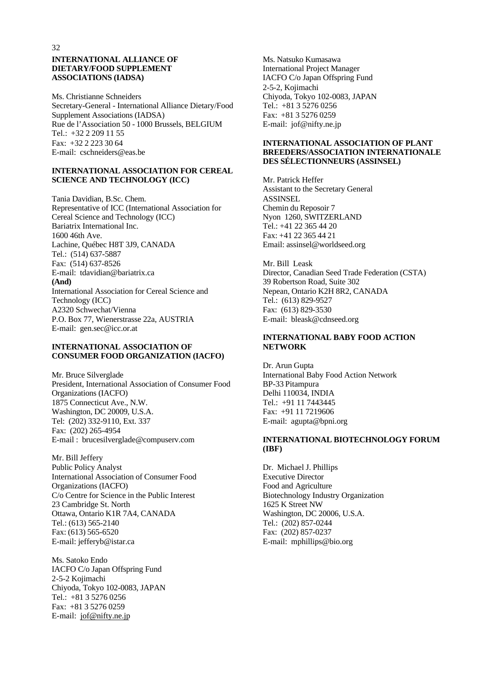# **INTERNATIONAL ALLIANCE OF DIETARY/FOOD SUPPLEMENT ASSOCIATIONS (IADSA)**

Ms. Christianne Schneiders Secretary-General - International Alliance Dietary/Food Supplement Associations (IADSA) Rue de l'Association 50 - 1000 Brussels, BELGIUM Tel.: +32 2 209 11 55 Fax: +32 2 223 30 64 E-mail: cschneiders@eas.be

#### **INTERNATIONAL ASSOCIATION FOR CEREAL SCIENCE AND TECHNOLOGY (ICC)**

Tania Davidian, B.Sc. Chem. Representative of ICC (International Association for Cereal Science and Technology (ICC) Bariatrix International Inc. 1600 46th Ave. Lachine, Québec H8T 3J9, CANADA Tel.: (514) 637-5887 Fax: (514) 637-8526 E-mail: tdavidian@bariatrix.ca **(And)** International Association for Cereal Science and Technology (ICC) A2320 Schwechat/Vienna P.O. Box 77, Wienerstrasse 22a, AUSTRIA E-mail: gen.sec@icc.or.at

#### **INTERNATIONAL ASSOCIATION OF CONSUMER FOOD ORGANIZATION (IACFO)**

Mr. Bruce Silverglade President, International Association of Consumer Food Organizations (IACFO) 1875 Connecticut Ave., N.W. Washington, DC 20009, U.S.A. Tel: (202) 332-9110, Ext. 337 Fax: (202) 265-4954 E-mail : brucesilverglade@compuserv.com

Mr. Bill Jeffery Public Policy Analyst International Association of Consumer Food Organizations (IACFO) C/o Centre for Science in the Public Interest 23 Cambridge St. North Ottawa, Ontario K1R 7A4, CANADA Tel.: (613) 565-2140 Fax: (613) 565-6520 E-mail: jefferyb@istar.ca

Ms. Satoko Endo IACFO C/o Japan Offspring Fund 2-5-2 Kojimachi Chiyoda, Tokyo 102-0083, JAPAN Tel.: +81 3 5276 0256 Fax: +81 3 5276 0259 E-mail: jof@nifty.ne.jp

Ms. Natsuko Kumasawa International Project Manager IACFO C/o Japan Offspring Fund 2-5-2, Kojimachi Chiyoda, Tokyo 102-0083, JAPAN Tel.: +81 3 5276 0256 Fax: +81 3 5276 0259 E-mail: jof@nifty.ne.jp

#### **INTERNATIONAL ASSOCIATION OF PLANT BREEDERS/ASSOCIATION INTERNATIONALE DES SÉLECTIONNEURS (ASSINSEL)**

Mr. Patrick Heffer Assistant to the Secretary General ASSINSEL Chemin du Reposoir 7 Nyon 1260, SWITZERLAND Tel.: +41 22 365 44 20 Fax: +41 22 365 44 21 Email: assinsel@worldseed.org

Mr. Bill Leask Director, Canadian Seed Trade Federation (CSTA) 39 Robertson Road, Suite 302 Nepean, Ontario K2H 8R2, CANADA Tel.: (613) 829-9527 Fax: (613) 829-3530 E-mail: bleask@cdnseed.org

#### **INTERNATIONAL BABY FOOD ACTION NETWORK**

Dr. Arun Gupta International Baby Food Action Network BP-33 Pitampura Delhi 110034, INDIA Tel.: +91 11 7443445 Fax: +91 11 7219606 E-mail: agupta@bpni.org

#### **INTERNATIONAL BIOTECHNOLOGY FORUM (IBF)**

Dr. Michael J. Phillips Executive Director Food and Agriculture Biotechnology Industry Organization 1625 K Street NW Washington, DC 20006, U.S.A. Tel.: (202) 857-0244 Fax: (202) 857-0237 E-mail: mphillips@bio.org

32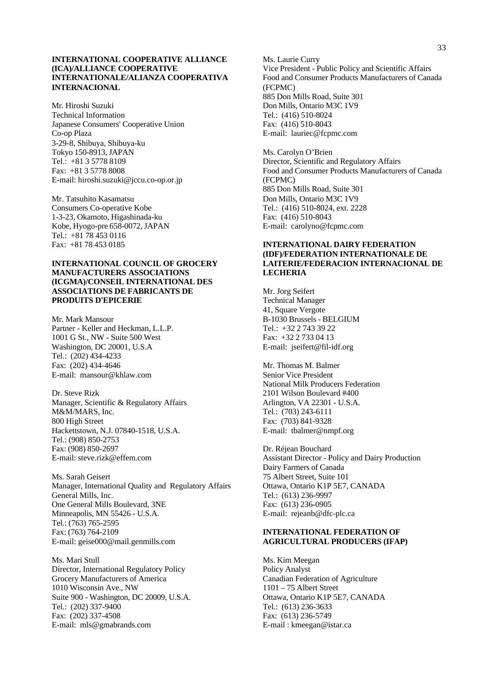#### **INTERNATIONAL COOPERATIVE ALLIANCE (ICA)/ALLIANCE COOPERATIVE INTERNATIONALE/ALIANZA COOPERATIVA INTERNACIONAL**

Mr. Hiroshi Suzuki Technical Information Japanese Consumers' Cooperative Union Co-op Plaza 3-29-8, Shibuya, Shibuya-ku Tokyo 150-8913, JAPAN Tel.: +81 3 5778 8109 Fax: +81 3 5778 8008 E-mail: hiroshi.suzuki@jccu.co-op.or.jp

Mr. Tatsuhito Kasamatsu Consumers Co-operative Kobe 1-3-23, Okamoto, Higashinada-ku Kobe, Hyogo-pre 658-0072, JAPAN Tel.: +81 78 453 0116 Fax: +81 78 453 0185

#### **INTERNATIONAL COUNCIL OF GROCERY MANUFACTURERS ASSOCIATIONS (ICGMA)/CONSEIL INTERNATIONAL DES ASSOCIATIONS DE FABRICANTS DE PRODUITS D'EPICERIE**

Mr. Mark Mansour Partner - Keller and Heckman, L.L.P. 1001 G St., NW - Suite 500 West Washington, DC 20001, U.S.A Tel.: (202) 434-4233 Fax: (202) 434-4646 E-mail: mansour@khlaw.com

Dr. Steve Rizk Manager, Scientific & Regulatory Affairs M&M/MARS, Inc. 800 High Street Hackettstown, N.J. 07840-1518, U.S.A. Tel.: (908) 850-2753 Fax: (908) 850-2697 E-mail: steve.rizk@effem.com

Ms. Sarah Geisert Manager, International Quality and Regulatory Affairs General Mills, Inc. One General Mills Boulevard, 3NE Minneapolis, MN 55426 - U.S.A. Tel.: (763) 765-2595 Fax: (763) 764-2109 E-mail: geise000@mail.genmills.com

Ms. Mari Stull Director, International Regulatory Policy Grocery Manufacturers of America 1010 Wisconsin Ave., NW Suite 900 - Washington, DC 20009, U.S.A. Tel.: (202) 337-9400 Fax: (202) 337-4508 E-mail: mls@gmabrands.com

Ms. Laurie Curry Vice President - Public Policy and Scientific Affairs Food and Consumer Products Manufacturers of Canada (FCPMC) 885 Don Mills Road, Suite 301 Don Mills, Ontario M3C 1V9 Tel.: (416) 510-8024 Fax: (416) 510-8043 E-mail: lauriec@fcpmc.com

Ms. Carolyn O'Brien Director, Scientific and Regulatory Affairs Food and Consumer Products Manufacturers of Canada (FCPMC) 885 Don Mills Road, Suite 301 Don Mills, Ontario M3C 1V9 Tel.: (416) 510-8024, ext. 2228 Fax: (416) 510-8043 E-mail: carolyno@fcpmc.com

### **INTERNATIONAL DAIRY FEDERATION (IDF)/FEDERATION INTERNATIONALE DE LAITERIE/FEDERACION INTERNACIONAL DE LECHERIA**

Mr. Jorg Seifert Technical Manager 41, Square Vergote B-1030 Brussels - BELGIUM Tel.: +32 2 743 39 22 Fax: +32 2 733 04 13 E-mail: jseifert@fil-idf.org

Mr. Thomas M. Balmer Senior Vice President National Milk Producers Federation 2101 Wilson Boulevard #400 Arlington, VA 22301 - U.S.A. Tel.: (703) 243-6111 Fax: (703) 841-9328 E-mail: tbalmer@nmpf.org

Dr. Réjean Bouchard Assistant Director - Policy and Dairy Production Dairy Farmers of Canada 75 Albert Street, Suite 101 Ottawa, Ontario K1P 5E7, CANADA Tel.: (613) 236-9997 Fax: (613) 236-0905 E-mail: rejeanb@dfc-plc.ca

#### **INTERNATIONAL FEDERATION OF AGRICULTURAL PRODUCERS (IFAP)**

Ms. Kim Meegan Policy Analyst Canadian Federation of Agriculture 1101 – 75 Albert Street Ottawa, Ontario K1P 5E7, CANADA Tel.: (613) 236-3633 Fax: (613) 236-5749 E-mail : kmeegan@istar.ca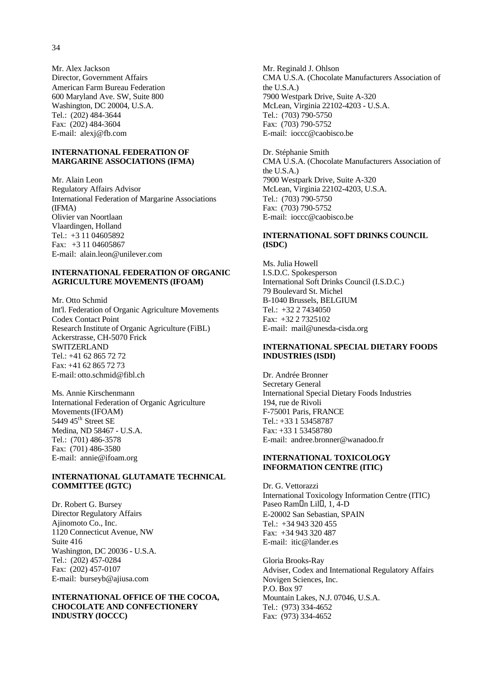Mr. Alex Jackson Director, Government Affairs American Farm Bureau Federation 600 Maryland Ave. SW, Suite 800 Washington, DC 20004, U.S.A. Tel.: (202) 484-3644 Fax: (202) 484-3604 E-mail: alexj@fb.com

#### **INTERNATIONAL FEDERATION OF MARGARINE ASSOCIATIONS (IFMA)**

Mr. Alain Leon Regulatory Affairs Advisor International Federation of Margarine Associations (IFMA) Olivier van Noortlaan Vlaardingen, Holland Tel.: +3 11 04605892 Fax: +3 11 04605867 E-mail: alain.leon@unilever.com

#### **INTERNATIONAL FEDERATION OF ORGANIC AGRICULTURE MOVEMENTS (IFOAM)**

Mr. Otto Schmid Int'l. Federation of Organic Agriculture Movements Codex Contact Point Research Institute of Organic Agriculture (FiBL) Ackerstrasse, CH-5070 Frick **SWITZERLAND** Tel.: +41 62 865 72 72 Fax: +41 62 865 72 73 E-mail: otto.schmid@fibl.ch

Ms. Annie Kirschenmann International Federation of Organic Agriculture Movements (IFOAM) 5449  $45^{\text{th}}$  Street SE Medina, ND 58467 - U.S.A. Tel.: (701) 486-3578 Fax: (701) 486-3580 E-mail: annie@ifoam.org

#### **INTERNATIONAL GLUTAMATE TECHNICAL COMMITTEE (IGTC)**

Dr. Robert G. Bursey Director Regulatory Affairs Ajinomoto Co., Inc. 1120 Connecticut Avenue, NW Suite 416 Washington, DC 20036 - U.S.A. Tel.: (202) 457-0284 Fax: (202) 457-0107 E-mail: burseyb@ajiusa.com

#### **INTERNATIONAL OFFICE OF THE COCOA, CHOCOLATE AND CONFECTIONERY INDUSTRY (IOCCC)**

Mr. Reginald J. Ohlson CMA U.S.A. (Chocolate Manufacturers Association of the U.S.A.) 7900 Westpark Drive, Suite A-320 McLean, Virginia 22102-4203 - U.S.A. Tel.: (703) 790-5750 Fax: (703) 790-5752 E-mail: ioccc@caobisco.be

Dr. Stéphanie Smith CMA U.S.A. (Chocolate Manufacturers Association of the U.S.A.) 7900 Westpark Drive, Suite A-320 McLean, Virginia 22102-4203, U.S.A. Tel.: (703) 790-5750 Fax: (703) 790-5752 E-mail: ioccc@caobisco.be

#### **INTERNATIONAL SOFT DRINKS COUNCIL (ISDC)**

Ms. Julia Howell I.S.D.C. Spokesperson International Soft Drinks Council (I.S.D.C.) 79 Boulevard St. Michel B-1040 Brussels, BELGIUM Tel.: +32 2 7434050 Fax: +32 2 7325102 E-mail: mail@unesda-cisda.org

#### **INTERNATIONAL SPECIAL DIETARY FOODS INDUSTRIES (ISDI)**

Dr. Andrée Bronner Secretary General International Special Dietary Foods Industries 194, rue de Rivoli F-75001 Paris, FRANCE Tel.: +33 1 53458787 Fax: +33 1 53458780 E-mail: andree.bronner@wanadoo.fr

#### **INTERNATIONAL TOXICOLOGY INFORMATION CENTRE (ITIC)**

Dr. G. Vettorazzi International Toxicology Information Centre (ITIC) Paseo Ram\ n LilR, 1, 4-D E-20002 San Sebastian, SPAIN Tel.: +34 943 320 455 Fax: +34 943 320 487 E-mail: itic@lander.es

Gloria Brooks-Ray Adviser, Codex and International Regulatory Affairs Novigen Sciences, Inc. P.O. Box 97 Mountain Lakes, N.J. 07046, U.S.A. Tel.: (973) 334-4652 Fax: (973) 334-4652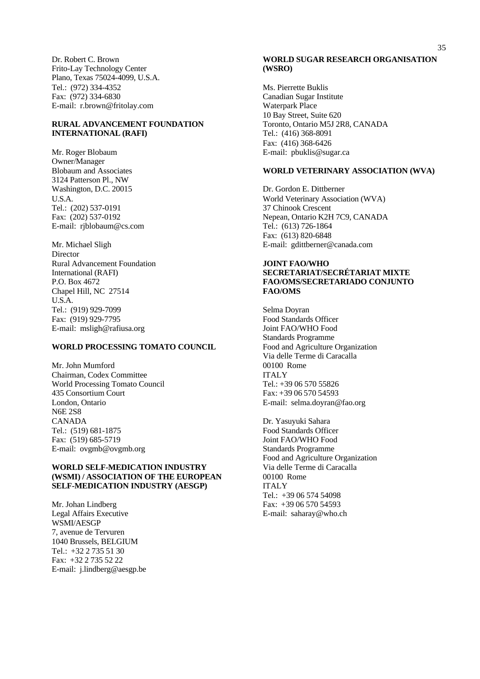Dr. Robert C. Brown Frito-Lay Technology Center Plano, Texas 75024-4099, U.S.A. Tel.: (972) 334-4352 Fax: (972) 334-6830 E-mail: r.brown@fritolay.com

#### **RURAL ADVANCEMENT FOUNDATION INTERNATIONAL (RAFI)**

Mr. Roger Blobaum Owner/Manager Blobaum and Associates 3124 Patterson Pl., NW Washington, D.C. 20015 U.S.A. Tel.: (202) 537-0191 Fax: (202) 537-0192 E-mail: rjblobaum@cs.com

Mr. Michael Sligh **Director** Rural Advancement Foundation International (RAFI) P.O. Box 4672 Chapel Hill, NC 27514 U.S.A. Tel.: (919) 929-7099 Fax: (919) 929-7795 E-mail: msligh@rafiusa.org

#### **WORLD PROCESSING TOMATO COUNCIL**

Mr. John Mumford Chairman, Codex Committee World Processing Tomato Council 435 Consortium Court London, Ontario N6E 2S8 CANADA Tel.: (519) 681-1875 Fax: (519) 685-5719 E-mail: ovgmb@ovgmb.org

#### **WORLD SELF-MEDICATION INDUSTRY (WSMI) / ASSOCIATION OF THE EUROPEAN SELF-MEDICATION INDUSTRY (AESGP)**

Mr. Johan Lindberg Legal Affairs Executive WSMI/AESGP 7, avenue de Tervuren 1040 Brussels, BELGIUM Tel.: +32 2 735 51 30 Fax: +32 2 735 52 22 E-mail: j.lindberg@aesgp.be

#### **WORLD SUGAR RESEARCH ORGANISATION (WSRO)**

Ms. Pierrette Buklis Canadian Sugar Institute Waterpark Place 10 Bay Street, Suite 620 Toronto, Ontario M5J 2R8, CANADA Tel.: (416) 368-8091 Fax: (416) 368-6426 E-mail: pbuklis@sugar.ca

#### **WORLD VETERINARY ASSOCIATION (WVA)**

Dr. Gordon E. Dittberner World Veterinary Association (WVA) 37 Chinook Crescent Nepean, Ontario K2H 7C9, CANADA Tel.: (613) 726-1864 Fax: (613) 820-6848 E-mail: gdittberner@canada.com

#### **JOINT FAO/WHO SECRETARIAT/SECRÉTARIAT MIXTE FAO/OMS/SECRETARIADO CONJUNTO FAO/OMS**

Selma Doyran Food Standards Officer Joint FAO/WHO Food Standards Programme Food and Agriculture Organization Via delle Terme di Caracalla 00100 Rome ITALY Tel.: +39 06 570 55826 Fax: +39 06 570 54593 E-mail: selma.doyran@fao.org

Dr. Yasuyuki Sahara Food Standards Officer Joint FAO/WHO Food Standards Programme Food and Agriculture Organization Via delle Terme di Caracalla 00100 Rome ITALY Tel.: +39 06 574 54098 Fax: +39 06 570 54593 E-mail: saharay@who.ch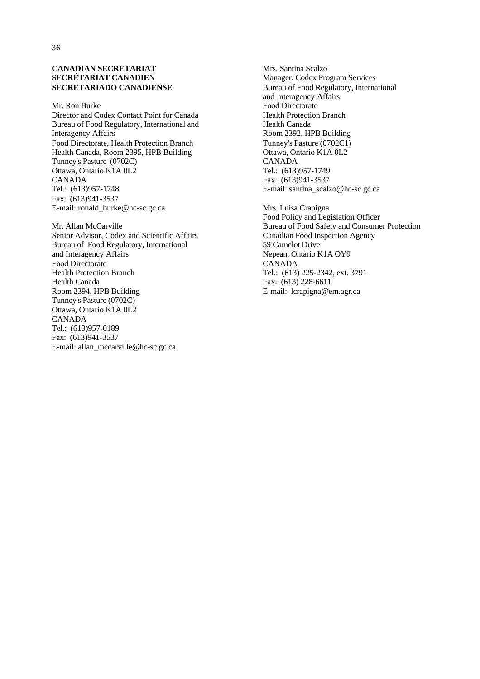#### **CANADIAN SECRETARIAT SECRÉTARIAT CANADIEN SECRETARIADO CANADIENSE**

Mr. Ron Burke Director and Codex Contact Point for Canada Bureau of Food Regulatory, International and Interagency Affairs Food Directorate, Health Protection Branch Health Canada, Room 2395, HPB Building Tunney's Pasture (0702C) Ottawa, Ontario K1A 0L2 CANADA Tel.: (613)957-1748 Fax: (613)941-3537 E-mail: ronald\_burke@hc-sc.gc.ca

Mr. Allan McCarville Senior Advisor, Codex and Scientific Affairs Bureau of Food Regulatory, International and Interagency Affairs Food Directorate Health Protection Branch Health Canada Room 2394, HPB Building Tunney's Pasture (0702C) Ottawa, Ontario K1A 0L2 CANADA Tel.: (613)957-0189 Fax: (613)941-3537 E-mail: allan\_mccarville@hc-sc.gc.ca

Mrs. Santina Scalzo Manager, Codex Program Services Bureau of Food Regulatory, International and Interagency Affairs Food Directorate Health Protection Branch Health Canada Room 2392, HPB Building Tunney's Pasture (0702C1) Ottawa, Ontario K1A 0L2 CANADA Tel.: (613)957-1749 Fax: (613)941-3537 E-mail: santina\_scalzo@hc-sc.gc.ca

Mrs. Luisa Crapigna Food Policy and Legislation Officer Bureau of Food Safety and Consumer Protection Canadian Food Inspection Agency 59 Camelot Drive Nepean, Ontario K1A OY9 CANADA Tel.: (613) 225-2342, ext. 3791 Fax: (613) 228-6611 E-mail: lcrapigna@em.agr.ca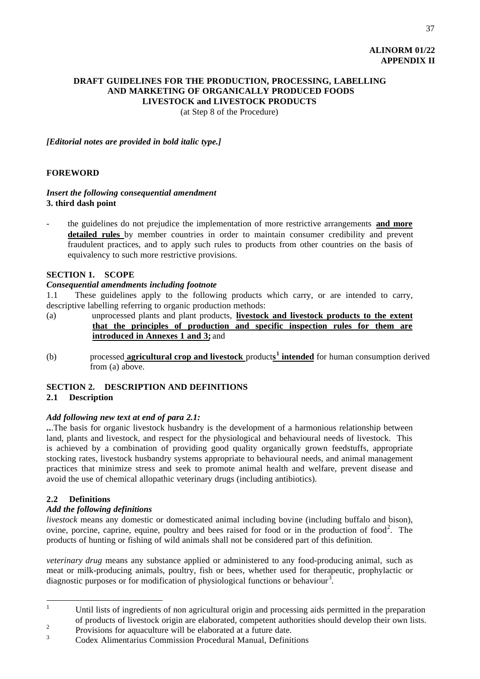# **ALINORM 01/22 APPENDIX II**

# **DRAFT GUIDELINES FOR THE PRODUCTION, PROCESSING, LABELLING AND MARKETING OF ORGANICALLY PRODUCED FOODS LIVESTOCK and LIVESTOCK PRODUCTS**

(at Step 8 of the Procedure)

*[Editorial notes are provided in bold italic type.]*

# **FOREWORD**

# *Insert the following* **c***onsequential amendment* **3. third dash point**

- the guidelines do not prejudice the implementation of more restrictive arrangements **and more detailed rules** by member countries in order to maintain consumer credibility and prevent fraudulent practices, and to apply such rules to products from other countries on the basis of equivalency to such more restrictive provisions.

# **SECTION 1. SCOPE**

# *Consequential amendments including footnote*

1.1 These guidelines apply to the following products which carry, or are intended to carry, descriptive labelling referring to organic production methods:

- (a) unprocessed plants and plant products, **livestock and livestock products to the extent that the principles of production and specific inspection rules for them are introduced in Annexes 1 and 3;** and
- (b) processed **agricultural crop and livestock** product**s 1 intended** for human consumption derived from (a) above.

# **SECTION 2. DESCRIPTION AND DEFINITIONS**

# **2.1 Description**

# *Add following new text at end of para 2.1:*

**..**.The basis for organic livestock husbandry is the development of a harmonious relationship between land, plants and livestock, and respect for the physiological and behavioural needs of livestock. This is achieved by a combination of providing good quality organically grown feedstuffs, appropriate stocking rates, livestock husbandry systems appropriate to behavioural needs, and animal management practices that minimize stress and seek to promote animal health and welfare, prevent disease and avoid the use of chemical allopathic veterinary drugs (including antibiotics).

# **2.2 Definitions**

# *Add the following definitions*

*livestock* means any domestic or domesticated animal including bovine (including buffalo and bison), ovine, porcine, caprine, equine, poultry and bees raised for food or in the production of food<sup>2</sup>. The products of hunting or fishing of wild animals shall not be considered part of this definition.

*veterinary drug* means any substance applied or administered to any food-producing animal, such as meat or milk-producing animals, poultry, fish or bees, whether used for therapeutic, prophylactic or diagnostic purposes or for modification of physiological functions or behaviour<sup>3</sup>.

 $\mathbf{1}$ <sup>1</sup> Until lists of ingredients of non agricultural origin and processing aids permitted in the preparation of products of livestock origin are elaborated, competent authorities should develop their own lists. 2

Provisions for aquaculture will be elaborated at a future date.

<sup>3</sup> Codex Alimentarius Commission Procedural Manual, Definitions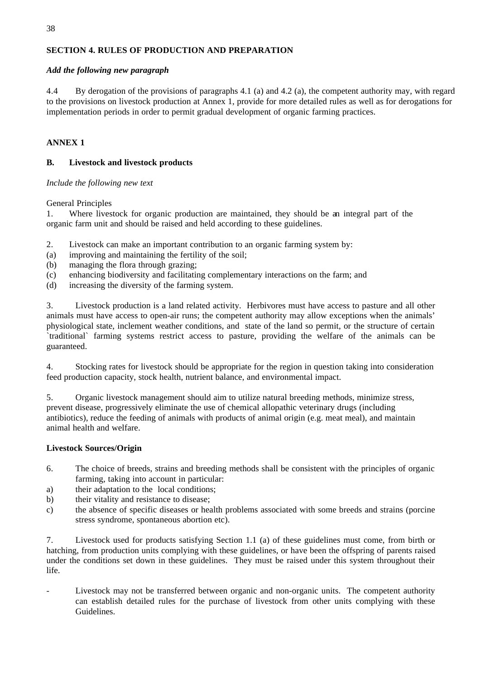# **SECTION 4. RULES OF PRODUCTION AND PREPARATION**

# *Add the following new paragraph*

4.4 By derogation of the provisions of paragraphs 4.1 (a) and 4.2 (a), the competent authority may, with regard to the provisions on livestock production at Annex 1, provide for more detailed rules as well as for derogations for implementation periods in order to permit gradual development of organic farming practices.

# **ANNEX 1**

# **B. Livestock and livestock products**

*Include the following new text*

General Principles

1. Where livestock for organic production are maintained, they should be an integral part of the organic farm unit and should be raised and held according to these guidelines.

- 2. Livestock can make an important contribution to an organic farming system by:
- (a) improving and maintaining the fertility of the soil;
- (b) managing the flora through grazing;
- (c) enhancing biodiversity and facilitating complementary interactions on the farm; and
- (d) increasing the diversity of the farming system.

3. Livestock production is a land related activity. Herbivores must have access to pasture and all other animals must have access to open-air runs; the competent authority may allow exceptions when the animals' physiological state, inclement weather conditions, and state of the land so permit, or the structure of certain `traditional` farming systems restrict access to pasture, providing the welfare of the animals can be guaranteed.

4. Stocking rates for livestock should be appropriate for the region in question taking into consideration feed production capacity, stock health, nutrient balance, and environmental impact.

5. Organic livestock management should aim to utilize natural breeding methods, minimize stress, prevent disease, progressively eliminate the use of chemical allopathic veterinary drugs (including antibiotics), reduce the feeding of animals with products of animal origin (e.g. meat meal), and maintain animal health and welfare.

# **Livestock Sources/Origin**

- 6. The choice of breeds, strains and breeding methods shall be consistent with the principles of organic farming, taking into account in particular:
- a) their adaptation to the local conditions;
- b) their vitality and resistance to disease;
- c) the absence of specific diseases or health problems associated with some breeds and strains (porcine stress syndrome, spontaneous abortion etc).

7. Livestock used for products satisfying Section 1.1 (a) of these guidelines must come, from birth or hatching, from production units complying with these guidelines, or have been the offspring of parents raised under the conditions set down in these guidelines. They must be raised under this system throughout their life.

Livestock may not be transferred between organic and non-organic units. The competent authority can establish detailed rules for the purchase of livestock from other units complying with these Guidelines.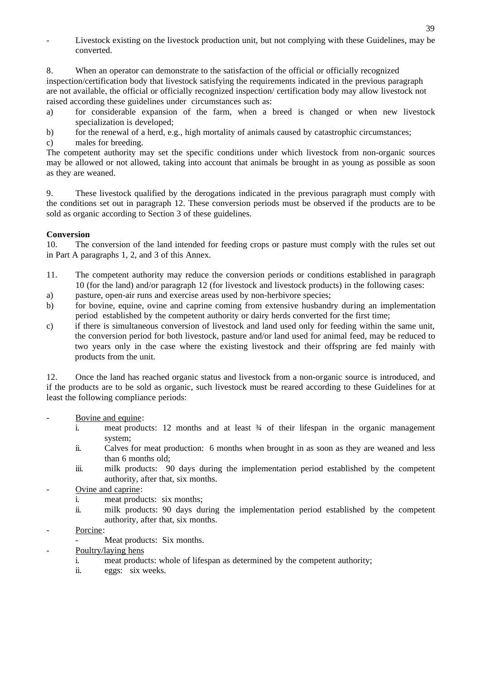Livestock existing on the livestock production unit, but not complying with these Guidelines, may be converted.

8. When an operator can demonstrate to the satisfaction of the official or officially recognized inspection/certification body that livestock satisfying the requirements indicated in the previous paragraph are not available, the official or officially recognized inspection/ certification body may allow livestock not raised according these guidelines under circumstances such as:

a) for considerable expansion of the farm, when a breed is changed or when new livestock specialization is developed;

b) for the renewal of a herd, e.g., high mortality of animals caused by catastrophic circumstances; c) males for breeding.

The competent authority may set the specific conditions under which livestock from non-organic sources may be allowed or not allowed, taking into account that animals be brought in as young as possible as soon as they are weaned.

9. These livestock qualified by the derogations indicated in the previous paragraph must comply with the conditions set out in paragraph 12. These conversion periods must be observed if the products are to be sold as organic according to Section 3 of these guidelines.

# **Conversion**

10. The conversion of the land intended for feeding crops or pasture must comply with the rules set out in Part A paragraphs 1, 2, and 3 of this Annex.

- 11. The competent authority may reduce the conversion periods or conditions established in paragraph 10 (for the land) and/or paragraph 12 (for livestock and livestock products) in the following cases:
- a) pasture, open-air runs and exercise areas used by non-herbivore species;
- b) for bovine, equine, ovine and caprine coming from extensive husbandry during an implementation period established by the competent authority or dairy herds converted for the first time;
- c) if there is simultaneous conversion of livestock and land used only for feeding within the same unit, the conversion period for both livestock, pasture and/or land used for animal feed, may be reduced to two years only in the case where the existing livestock and their offspring are fed mainly with products from the unit.

12. Once the land has reached organic status and livestock from a non-organic source is introduced, and if the products are to be sold as organic, such livestock must be reared according to these Guidelines for at least the following compliance periods:

- Bovine and equine:
	- i. meat products: 12 months and at least ¾ of their lifespan in the organic management system;
	- ii. Calves for meat production: 6 months when brought in as soon as they are weaned and less than 6 months old;
	- iii. milk products: 90 days during the implementation period established by the competent authority, after that, six months.
- Ovine and caprine:
	- i. meat products: six months;
	- ii. milk products: 90 days during the implementation period established by the competent authority, after that, six months.
- Porcine:
	- Meat products: Six months.
	- Poultry/laying hens
		- i. meat products: whole of lifespan as determined by the competent authority;
		- ii. eggs: six weeks.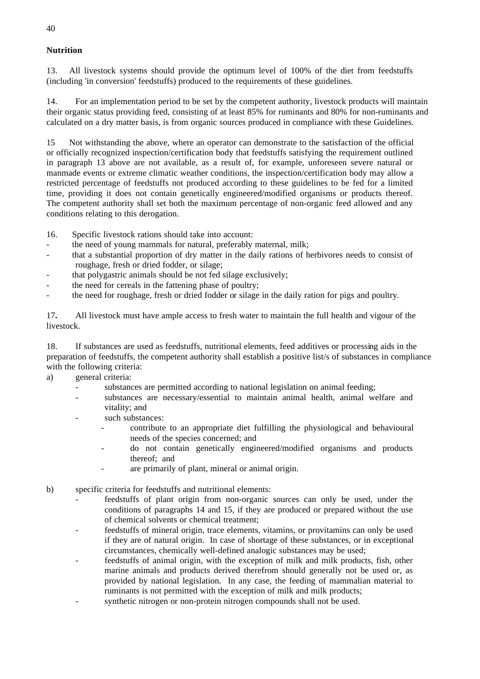# **Nutrition**

13. All livestock systems should provide the optimum level of 100% of the diet from feedstuffs (including 'in conversion' feedstuffs) produced to the requirements of these guidelines.

14. For an implementation period to be set by the competent authority, livestock products will maintain their organic status providing feed, consisting of at least 85% for ruminants and 80% for non-ruminants and calculated on a dry matter basis, is from organic sources produced in compliance with these Guidelines.

15 Not withstanding the above, where an operator can demonstrate to the satisfaction of the official or officially recognized inspection/certification body that feedstuffs satisfying the requirement outlined in paragraph 13 above are not available, as a result of, for example, unforeseen severe natural or manmade events or extreme climatic weather conditions, the inspection/certification body may allow a restricted percentage of feedstuffs not produced according to these guidelines to be fed for a limited time, providing it does not contain genetically engineered/modified organisms or products thereof. The competent authority shall set both the maximum percentage of non-organic feed allowed and any conditions relating to this derogation.

- 16. Specific livestock rations should take into account:
- the need of young mammals for natural, preferably maternal, milk;
- that a substantial proportion of dry matter in the daily rations of herbivores needs to consist of roughage, fresh or dried fodder, or silage;
- that polygastric animals should be not fed silage exclusively;
- the need for cereals in the fattening phase of poultry;
- the need for roughage, fresh or dried fodder or silage in the daily ration for pigs and poultry.

17**.** All livestock must have ample access to fresh water to maintain the full health and vigour of the livestock.

18. If substances are used as feedstuffs, nutritional elements, feed additives or processing aids in the preparation of feedstuffs, the competent authority shall establish a positive list/s of substances in compliance with the following criteria:

a) general criteria:

- substances are permitted according to national legislation on animal feeding;
- substances are necessary/essential to maintain animal health, animal welfare and vitality; and
- such substances:
	- contribute to an appropriate diet fulfilling the physiological and behavioural needs of the species concerned; and
		- do not contain genetically engineered/modified organisms and products thereof; and
		- are primarily of plant, mineral or animal origin.
- b) specific criteria for feedstuffs and nutritional elements:
	- feedstuffs of plant origin from non-organic sources can only be used, under the conditions of paragraphs 14 and 15, if they are produced or prepared without the use of chemical solvents or chemical treatment;
	- feedstuffs of mineral origin, trace elements, vitamins, or provitamins can only be used if they are of natural origin. In case of shortage of these substances, or in exceptional circumstances, chemically well-defined analogic substances may be used;
	- feedstuffs of animal origin, with the exception of milk and milk products, fish, other marine animals and products derived therefrom should generally not be used or, as provided by national legislation. In any case, the feeding of mammalian material to ruminants is not permitted with the exception of milk and milk products;
	- synthetic nitrogen or non-protein nitrogen compounds shall not be used.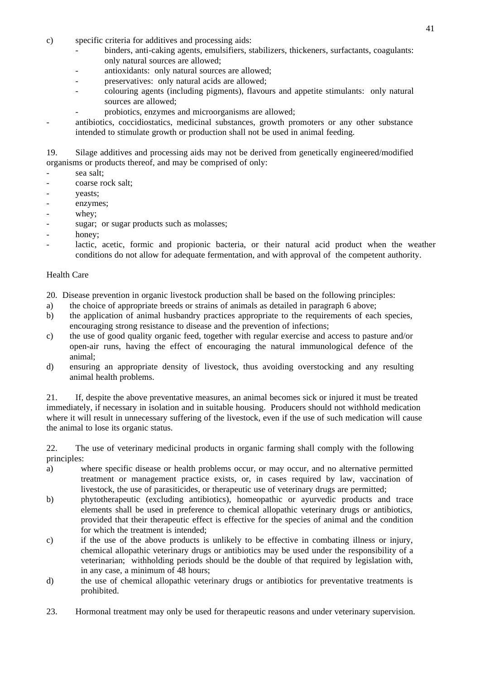- c) specific criteria for additives and processing aids:
	- binders, anti-caking agents, emulsifiers, stabilizers, thickeners, surfactants, coagulants: only natural sources are allowed;
	- antioxidants: only natural sources are allowed;
	- preservatives: only natural acids are allowed;
	- colouring agents (including pigments), flavours and appetite stimulants: only natural sources are allowed;
	- probiotics, enzymes and microorganisms are allowed;
- antibiotics, coccidiostatics, medicinal substances, growth promoters or any other substance intended to stimulate growth or production shall not be used in animal feeding.

19. Silage additives and processing aids may not be derived from genetically engineered/modified organisms or products thereof, and may be comprised of only:

- sea salt;
- coarse rock salt:
- yeasts:
- enzymes;
- whey;
- sugar; or sugar products such as molasses;
- honey;
- lactic, acetic, formic and propionic bacteria, or their natural acid product when the weather conditions do not allow for adequate fermentation, and with approval of the competent authority.

# Health Care

- 20. Disease prevention in organic livestock production shall be based on the following principles:
- a) the choice of appropriate breeds or strains of animals as detailed in paragraph 6 above;
- b) the application of animal husbandry practices appropriate to the requirements of each species, encouraging strong resistance to disease and the prevention of infections;
- c) the use of good quality organic feed, together with regular exercise and access to pasture and/or open-air runs, having the effect of encouraging the natural immunological defence of the animal;
- d) ensuring an appropriate density of livestock, thus avoiding overstocking and any resulting animal health problems.

21. If, despite the above preventative measures, an animal becomes sick or injured it must be treated immediately, if necessary in isolation and in suitable housing. Producers should not withhold medication where it will result in unnecessary suffering of the livestock, even if the use of such medication will cause the animal to lose its organic status.

22. The use of veterinary medicinal products in organic farming shall comply with the following principles:

- a) where specific disease or health problems occur, or may occur, and no alternative permitted treatment or management practice exists, or, in cases required by law, vaccination of livestock, the use of parasiticides, or therapeutic use of veterinary drugs are permitted;
- b) phytotherapeutic (excluding antibiotics), homeopathic or ayurvedic products and trace elements shall be used in preference to chemical allopathic veterinary drugs or antibiotics, provided that their therapeutic effect is effective for the species of animal and the condition for which the treatment is intended;
- c) if the use of the above products is unlikely to be effective in combating illness or injury, chemical allopathic veterinary drugs or antibiotics may be used under the responsibility of a veterinarian; withholding periods should be the double of that required by legislation with, in any case, a minimum of 48 hours;
- d) the use of chemical allopathic veterinary drugs or antibiotics for preventative treatments is prohibited.
- 23. Hormonal treatment may only be used for therapeutic reasons and under veterinary supervision.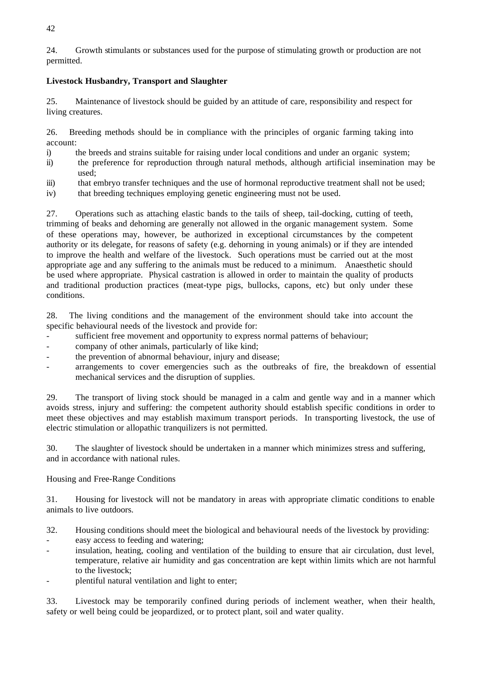24. Growth stimulants or substances used for the purpose of stimulating growth or production are not permitted.

# **Livestock Husbandry, Transport and Slaughter**

25. Maintenance of livestock should be guided by an attitude of care, responsibility and respect for living creatures.

26. Breeding methods should be in compliance with the principles of organic farming taking into account:

- i) the breeds and strains suitable for raising under local conditions and under an organic system;
- ii) the preference for reproduction through natural methods, although artificial insemination may be used;
- iii) that embryo transfer techniques and the use of hormonal reproductive treatment shall not be used;
- iv) that breeding techniques employing genetic engineering must not be used.

27. Operations such as attaching elastic bands to the tails of sheep, tail-docking, cutting of teeth, trimming of beaks and dehorning are generally not allowed in the organic management system. Some of these operations may, however, be authorized in exceptional circumstances by the competent authority or its delegate, for reasons of safety (e.g. dehorning in young animals) or if they are intended to improve the health and welfare of the livestock. Such operations must be carried out at the most appropriate age and any suffering to the animals must be reduced to a minimum. Anaesthetic should be used where appropriate. Physical castration is allowed in order to maintain the quality of products and traditional production practices (meat-type pigs, bullocks, capons, etc) but only under these conditions.

28. The living conditions and the management of the environment should take into account the specific behavioural needs of the livestock and provide for:

- sufficient free movement and opportunity to express normal patterns of behaviour;
- company of other animals, particularly of like kind;
- the prevention of abnormal behaviour, injury and disease;
- arrangements to cover emergencies such as the outbreaks of fire, the breakdown of essential mechanical services and the disruption of supplies.

29. The transport of living stock should be managed in a calm and gentle way and in a manner which avoids stress, injury and suffering: the competent authority should establish specific conditions in order to meet these objectives and may establish maximum transport periods. In transporting livestock, the use of electric stimulation or allopathic tranquilizers is not permitted.

30. The slaughter of livestock should be undertaken in a manner which minimizes stress and suffering, and in accordance with national rules.

# Housing and Free-Range Conditions

31. Housing for livestock will not be mandatory in areas with appropriate climatic conditions to enable animals to live outdoors.

- 32. Housing conditions should meet the biological and behavioural needs of the livestock by providing:
- easy access to feeding and watering;
- insulation, heating, cooling and ventilation of the building to ensure that air circulation, dust level, temperature, relative air humidity and gas concentration are kept within limits which are not harmful to the livestock;
- plentiful natural ventilation and light to enter;

33. Livestock may be temporarily confined during periods of inclement weather, when their health, safety or well being could be jeopardized, or to protect plant, soil and water quality.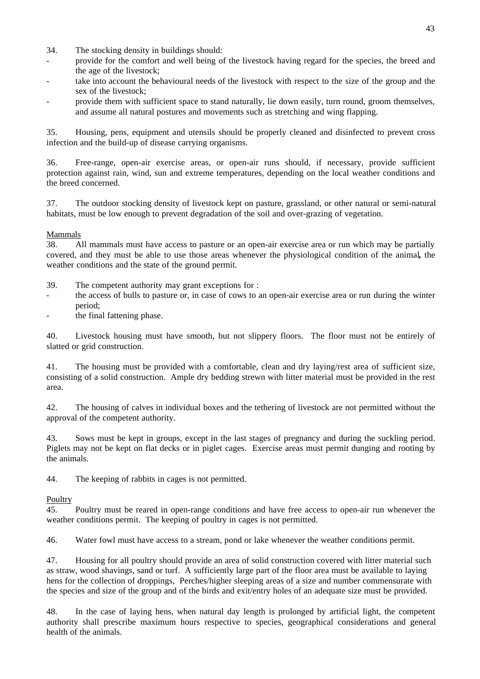- 34. The stocking density in buildings should:
- provide for the comfort and well being of the livestock having regard for the species, the breed and the age of the livestock;
- take into account the behavioural needs of the livestock with respect to the size of the group and the sex of the livestock;
- provide them with sufficient space to stand naturally, lie down easily, turn round, groom themselves, and assume all natural postures and movements such as stretching and wing flapping.

35. Housing, pens, equipment and utensils should be properly cleaned and disinfected to prevent cross infection and the build-up of disease carrying organisms.

36. Free-range, open-air exercise areas, or open-air runs should, if necessary, provide sufficient protection against rain, wind, sun and extreme temperatures, depending on the local weather conditions and the breed concerned.

37. The outdoor stocking density of livestock kept on pasture, grassland, or other natural or semi-natural habitats, must be low enough to prevent degradation of the soil and over-grazing of vegetation.

# Mammals

38. All mammals must have access to pasture or an open-air exercise area or run which may be partially covered, and they must be able to use those areas whenever the physiological condition of the animal**,** the weather conditions and the state of the ground permit.

- 39. The competent authority may grant exceptions for :
- the access of bulls to pasture or, in case of cows to an open-air exercise area or run during the winter period;
- the final fattening phase.

40. Livestock housing must have smooth, but not slippery floors. The floor must not be entirely of slatted or grid construction.

41. The housing must be provided with a comfortable, clean and dry laying/rest area of sufficient size, consisting of a solid construction. Ample dry bedding strewn with litter material must be provided in the rest area.

42. The housing of calves in individual boxes and the tethering of livestock are not permitted without the approval of the competent authority.

43. Sows must be kept in groups, except in the last stages of pregnancy and during the suckling period. Piglets may not be kept on flat decks or in piglet cages. Exercise areas must permit dunging and rooting by the animals.

44. The keeping of rabbits in cages is not permitted.

# **Poultry**

45. Poultry must be reared in open-range conditions and have free access to open-air run whenever the weather conditions permit. The keeping of poultry in cages is not permitted.

46. Water fowl must have access to a stream, pond or lake whenever the weather conditions permit.

47. Housing for all poultry should provide an area of solid construction covered with litter material such as straw, wood shavings, sand or turf. A sufficiently large part of the floor area must be available to laying hens for the collection of droppings, Perches/higher sleeping areas of a size and number commensurate with the species and size of the group and of the birds and exit/entry holes of an adequate size must be provided.

48. In the case of laying hens, when natural day length is prolonged by artificial light, the competent authority shall prescribe maximum hours respective to species, geographical considerations and general health of the animals.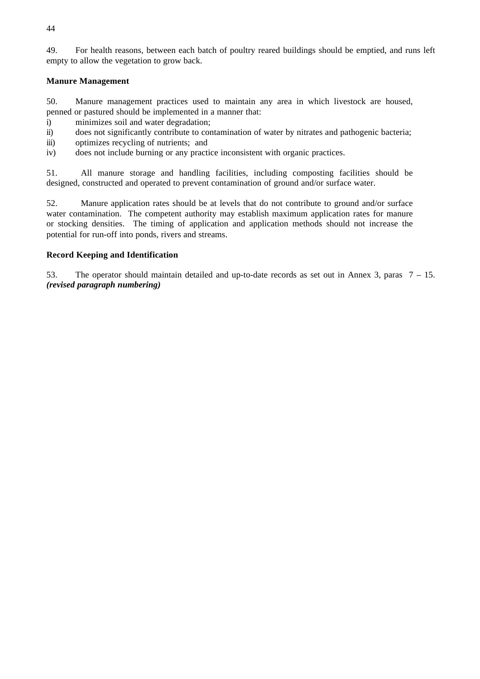49. For health reasons, between each batch of poultry reared buildings should be emptied, and runs left empty to allow the vegetation to grow back.

# **Manure Management**

50. Manure management practices used to maintain any area in which livestock are housed, penned or pastured should be implemented in a manner that:

- i) minimizes soil and water degradation;
- ii) does not significantly contribute to contamination of water by nitrates and pathogenic bacteria;
- iii) optimizes recycling of nutrients; and
- iv) does not include burning or any practice inconsistent with organic practices.

51. All manure storage and handling facilities, including composting facilities should be designed, constructed and operated to prevent contamination of ground and/or surface water.

52. Manure application rates should be at levels that do not contribute to ground and/or surface water contamination. The competent authority may establish maximum application rates for manure or stocking densities. The timing of application and application methods should not increase the potential for run-off into ponds, rivers and streams.

# **Record Keeping and Identification**

53. The operator should maintain detailed and up-to-date records as set out in Annex 3, paras 7 – 15. *(revised paragraph numbering)*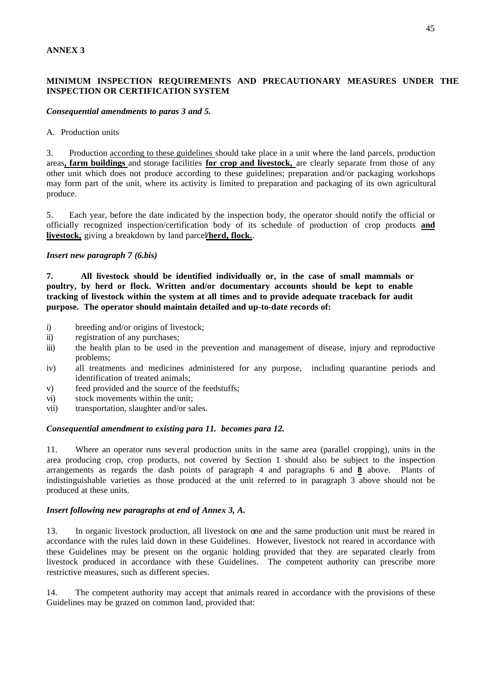# **ANNEX 3**

# **MINIMUM INSPECTION REQUIREMENTS AND PRECAUTIONARY MEASURES UNDER THE INSPECTION OR CERTIFICATION SYSTEM**

# *Consequential amendments to paras 3 and 5.*

# A. Production units

3. Production according to these guidelines should take place in a unit where the land parcels, production areas**, farm buildings** and storage facilities **for crop and livestock,** are clearly separate from those of any other unit which does not produce according to these guidelines; preparation and/or packaging workshops may form part of the unit, where its activity is limited to preparation and packaging of its own agricultural produce.

5. Each year, before the date indicated by the inspection body, the operator should notify the official or officially recognized inspection/certification body of its schedule of production of crop products **and livestock,** giving a breakdown by land parcel**/herd, flock.**.

# *Insert new paragraph 7 (6.bis)*

**7. All livestock should be identified individually or, in the case of small mammals or poultry, by herd or flock. Written and/or documentary accounts should be kept to enable tracking of livestock within the system at all times and to provide adequate traceback for audit purpose. The operator should maintain detailed and up-to-date records of:**

- i) breeding and/or origins of livestock;
- ii) registration of any purchases;
- iii) the health plan to be used in the prevention and management of disease, injury and reproductive problems;
- iv) all treatments and medicines administered for any purpose, including quarantine periods and identification of treated animals;
- v) feed provided and the source of the feedstuffs;
- vi) stock movements within the unit;
- vii) transportation, slaughter and/or sales.

#### *Consequential amendment to existing para 11. becomes para 12.*

11. Where an operator runs several production units in the same area (parallel cropping), units in the area producing crop, crop products, not covered by Section 1 should also be subject to the inspection arrangements as regards the dash points of paragraph 4 and paragraphs 6 and **8** above. Plants of indistinguishable varieties as those produced at the unit referred to in paragraph 3 above should not be produced at these units.

# *Insert following new paragraphs at end of Annex 3, A.*

13. In organic livestock production, all livestock on one and the same production unit must be reared in accordance with the rules laid down in these Guidelines. However, livestock not reared in accordance with these Guidelines may be present on the organic holding provided that they are separated clearly from livestock produced in accordance with these Guidelines. The competent authority can prescribe more restrictive measures, such as different species.

14. The competent authority may accept that animals reared in accordance with the provisions of these Guidelines may be grazed on common land, provided that: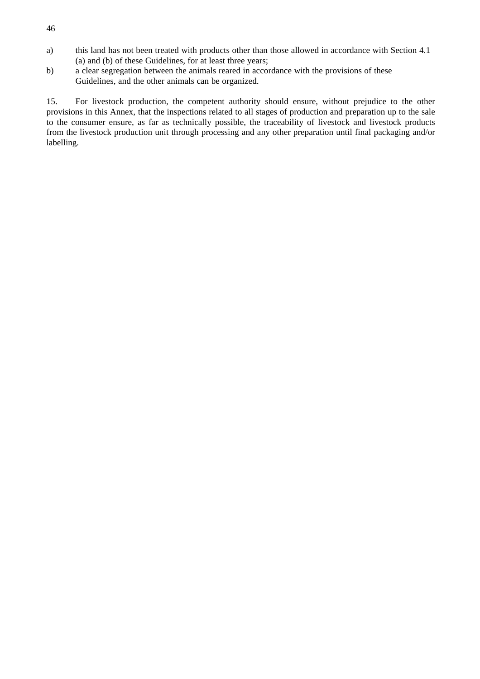46

- a) this land has not been treated with products other than those allowed in accordance with Section 4.1 (a) and (b) of these Guidelines, for at least three years;
- b) a clear segregation between the animals reared in accordance with the provisions of these Guidelines, and the other animals can be organized.

15. For livestock production, the competent authority should ensure, without prejudice to the other provisions in this Annex, that the inspections related to all stages of production and preparation up to the sale to the consumer ensure, as far as technically possible, the traceability of livestock and livestock products from the livestock production unit through processing and any other preparation until final packaging and/or labelling.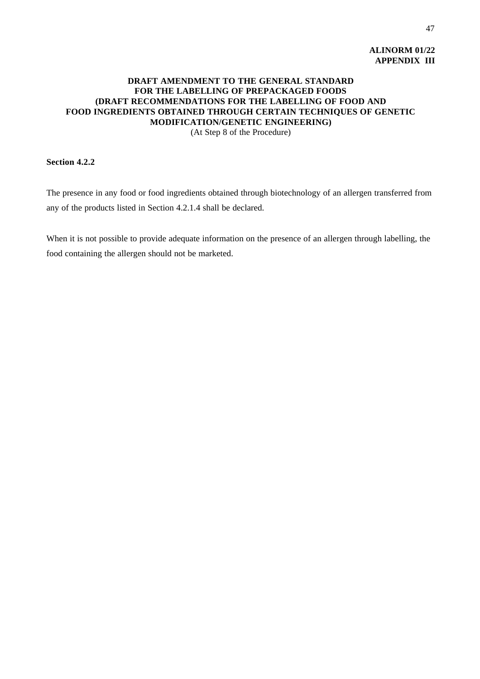# **ALINORM 01/22 APPENDIX III**

# **DRAFT AMENDMENT TO THE GENERAL STANDARD FOR THE LABELLING OF PREPACKAGED FOODS (DRAFT RECOMMENDATIONS FOR THE LABELLING OF FOOD AND FOOD INGREDIENTS OBTAINED THROUGH CERTAIN TECHNIQUES OF GENETIC MODIFICATION/GENETIC ENGINEERING)**

(At Step 8 of the Procedure)

# **Section 4.2.2**

The presence in any food or food ingredients obtained through biotechnology of an allergen transferred from any of the products listed in Section 4.2.1.4 shall be declared.

When it is not possible to provide adequate information on the presence of an allergen through labelling, the food containing the allergen should not be marketed.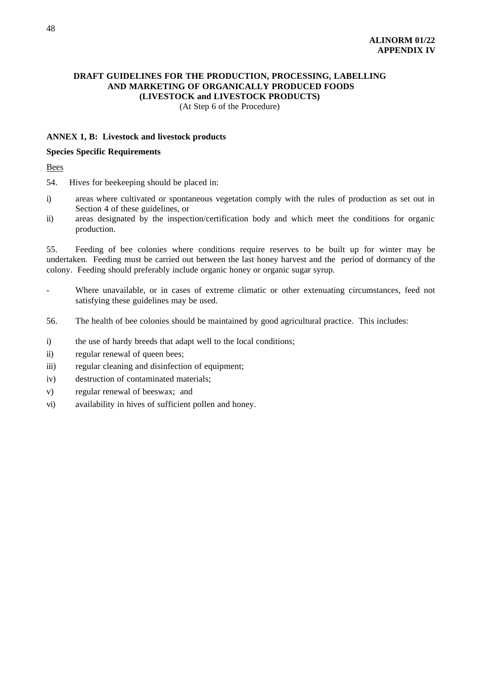#### **DRAFT GUIDELINES FOR THE PRODUCTION, PROCESSING, LABELLING AND MARKETING OF ORGANICALLY PRODUCED FOODS (LIVESTOCK and LIVESTOCK PRODUCTS)**

(At Step 6 of the Procedure)

# **ANNEX 1, B: Livestock and livestock products**

# **Species Specific Requirements**

Bees

54. Hives for beekeeping should be placed in:

- i) areas where cultivated or spontaneous vegetation comply with the rules of production as set out in Section 4 of these guidelines, or
- ii) areas designated by the inspection/certification body and which meet the conditions for organic production.

55. Feeding of bee colonies where conditions require reserves to be built up for winter may be undertaken. Feeding must be carried out between the last honey harvest and the period of dormancy of the colony. Feeding should preferably include organic honey or organic sugar syrup.

- Where unavailable, or in cases of extreme climatic or other extenuating circumstances, feed not satisfying these guidelines may be used.
- 56. The health of bee colonies should be maintained by good agricultural practice. This includes:
- i) the use of hardy breeds that adapt well to the local conditions;
- ii) regular renewal of queen bees;
- iii) regular cleaning and disinfection of equipment;
- iv) destruction of contaminated materials;
- v) regular renewal of beeswax; and
- vi) availability in hives of sufficient pollen and honey.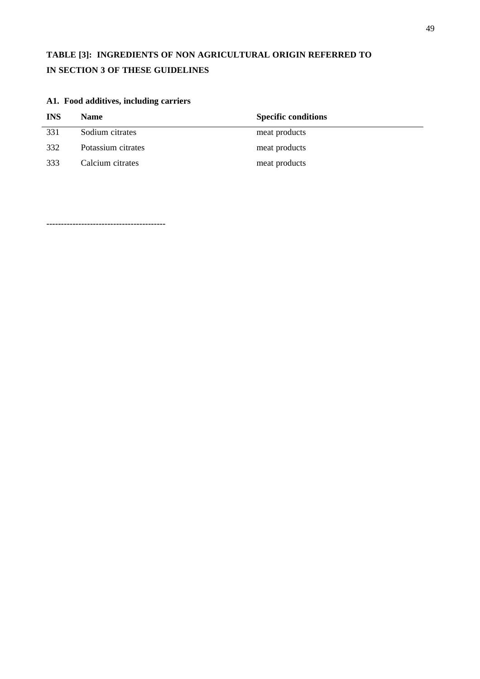# **TABLE [3]: INGREDIENTS OF NON AGRICULTURAL ORIGIN REFERRED TO IN SECTION 3 OF THESE GUIDELINES**

| <b>INS</b> | <b>Name</b>        | <b>Specific conditions</b> |
|------------|--------------------|----------------------------|
| 331        | Sodium citrates    | meat products              |
| 332        | Potassium citrates | meat products              |
| 333        | Calcium citrates   | meat products              |

**A1. Food additives, including carriers**

**-----------------------------------------**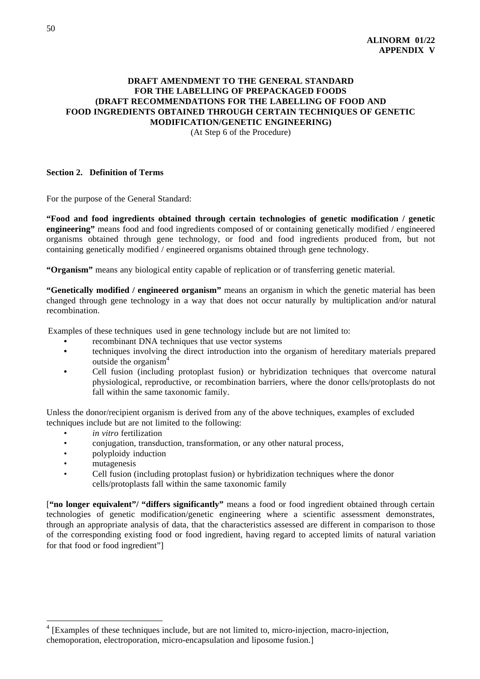# **DRAFT AMENDMENT TO THE GENERAL STANDARD FOR THE LABELLING OF PREPACKAGED FOODS (DRAFT RECOMMENDATIONS FOR THE LABELLING OF FOOD AND FOOD INGREDIENTS OBTAINED THROUGH CERTAIN TECHNIQUES OF GENETIC MODIFICATION/GENETIC ENGINEERING)**

(At Step 6 of the Procedure)

#### **Section 2. Definition of Terms**

For the purpose of the General Standard:

**"Food and food ingredients obtained through certain technologies of genetic modification / genetic engineering"** means food and food ingredients composed of or containing genetically modified / engineered organisms obtained through gene technology, or food and food ingredients produced from, but not containing genetically modified / engineered organisms obtained through gene technology.

**"Organism"** means any biological entity capable of replication or of transferring genetic material.

**"Genetically modified / engineered organism"** means an organism in which the genetic material has been changed through gene technology in a way that does not occur naturally by multiplication and/or natural recombination.

Examples of these techniques used in gene technology include but are not limited to:

- **•** recombinant DNA techniques that use vector systems
- **•** techniques involving the direct introduction into the organism of hereditary materials prepared outside the organism $4$
- **•** Cell fusion (including protoplast fusion) or hybridization techniques that overcome natural physiological, reproductive, or recombination barriers, where the donor cells/protoplasts do not fall within the same taxonomic family.

Unless the donor/recipient organism is derived from any of the above techniques, examples of excluded techniques include but are not limited to the following:

- *in vitro* fertilization
- conjugation, transduction, transformation, or any other natural process,
- polyploidy induction
- mutagenesis

 $\overline{a}$ 

• Cell fusion (including protoplast fusion) or hybridization techniques where the donor cells/protoplasts fall within the same taxonomic family

[**"no longer equivalent"/ "differs significantly"** means a food or food ingredient obtained through certain technologies of genetic modification/genetic engineering where a scientific assessment demonstrates, through an appropriate analysis of data, that the characteristics assessed are different in comparison to those of the corresponding existing food or food ingredient, having regard to accepted limits of natural variation for that food or food ingredient"]

<sup>&</sup>lt;sup>4</sup> [Examples of these techniques include, but are not limited to, micro-injection, macro-injection, chemoporation, electroporation, micro-encapsulation and liposome fusion.]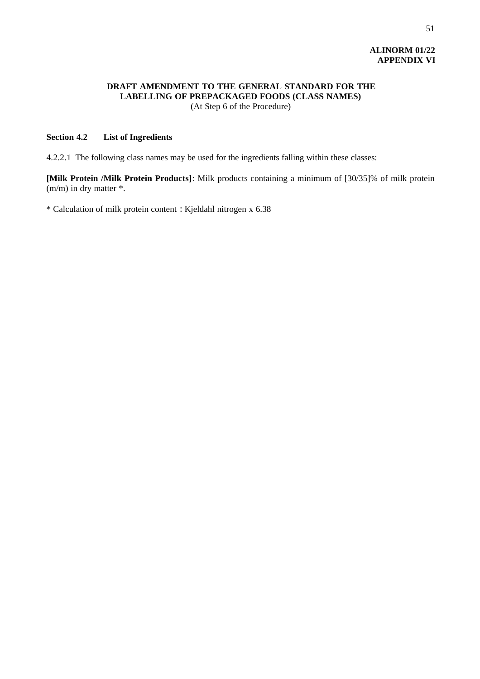# **ALINORM 01/22 APPENDIX VI**

# **DRAFT AMENDMENT TO THE GENERAL STANDARD FOR THE LABELLING OF PREPACKAGED FOODS (CLASS NAMES)** (At Step 6 of the Procedure)

# **Section 4.2 List of Ingredients**

4.2.2.1 The following class names may be used for the ingredients falling within these classes:

**[Milk Protein /Milk Protein Products]**: Milk products containing a minimum of [30/35]% of milk protein (m/m) in dry matter \*.

\* Calculation of milk protein content : Kjeldahl nitrogen x 6.38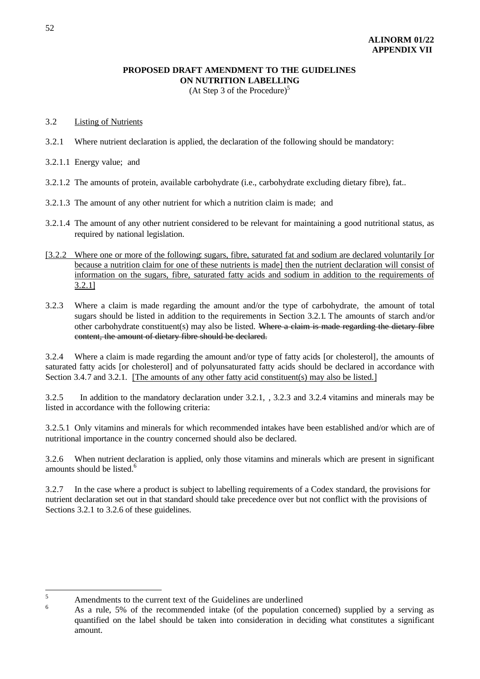# **PROPOSED DRAFT AMENDMENT TO THE GUIDELINES ON NUTRITION LABELLING**

(At Step 3 of the Procedure)<sup>5</sup>

# 3.2 Listing of Nutrients

3.2.1 Where nutrient declaration is applied, the declaration of the following should be mandatory:

3.2.1.1 Energy value; and

- 3.2.1.2 The amounts of protein, available carbohydrate (i.e., carbohydrate excluding dietary fibre), fat..
- 3.2.1.3 The amount of any other nutrient for which a nutrition claim is made; and
- 3.2.1.4 The amount of any other nutrient considered to be relevant for maintaining a good nutritional status, as required by national legislation.
- [3.2.2 Where one or more of the following: sugars, fibre, saturated fat and sodium are declared voluntarily [or because a nutrition claim for one of these nutrients is made] then the nutrient declaration will consist of information on the sugars, fibre, saturated fatty acids and sodium in addition to the requirements of 3.2.1]
- 3.2.3 Where a claim is made regarding the amount and/or the type of carbohydrate, the amount of total sugars should be listed in addition to the requirements in Section 3.2.1. The amounts of starch and/or other carbohydrate constituent(s) may also be listed. Where a claim is made regarding the dietary fibre content, the amount of dietary fibre should be declared.

3.2.4 Where a claim is made regarding the amount and/or type of fatty acids [or cholesterol], the amounts of saturated fatty acids [or cholesterol] and of polyunsaturated fatty acids should be declared in accordance with Section 3.4.7 and 3.2.1. [The amounts of any other fatty acid constituent(s) may also be listed.]

3.2.5 In addition to the mandatory declaration under 3.2.1, , 3.2.3 and 3.2.4 vitamins and minerals may be listed in accordance with the following criteria:

3.2.5.1 Only vitamins and minerals for which recommended intakes have been established and/or which are of nutritional importance in the country concerned should also be declared.

3.2.6 When nutrient declaration is applied, only those vitamins and minerals which are present in significant amounts should be listed.<sup>6</sup>

3.2.7 In the case where a product is subject to labelling requirements of a Codex standard, the provisions for nutrient declaration set out in that standard should take precedence over but not conflict with the provisions of Sections 3.2.1 to 3.2.6 of these guidelines.

 $\overline{\mathbf{S}}$ <sup>5</sup><br>Amendments to the current text of the Guidelines are underlined

<sup>6</sup> As a rule, 5% of the recommended intake (of the population concerned) supplied by a serving as quantified on the label should be taken into consideration in deciding what constitutes a significant amount.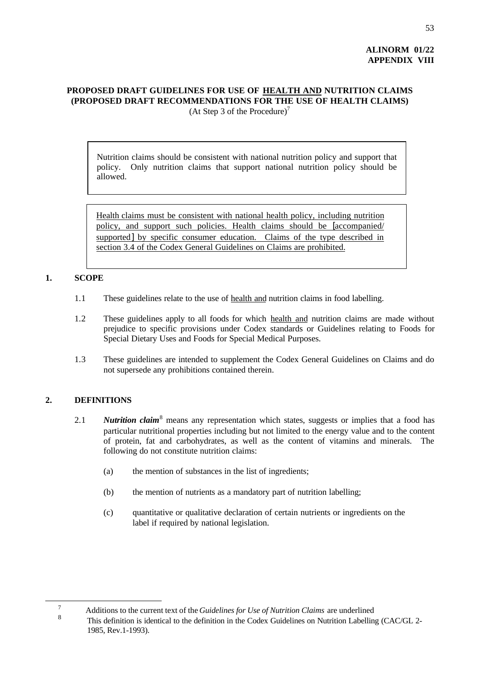# **ALINORM 01/22 APPENDIX VIII**

# **PROPOSED DRAFT GUIDELINES FOR USE OF HEALTH AND NUTRITION CLAIMS (PROPOSED DRAFT RECOMMENDATIONS FOR THE USE OF HEALTH CLAIMS)** (At Step 3 of the Procedure)<sup>7</sup>

Nutrition claims should be consistent with national nutrition policy and support that policy. Only nutrition claims that support national nutrition policy should be allowed.

Health claims must be consistent with national health policy, including nutrition policy, and support such policies. Health claims should be [accompanied/ supported] by specific consumer education. Claims of the type described in section 3.4 of the Codex General Guidelines on Claims are prohibited.

# **1. SCOPE**

- 1.1 These guidelines relate to the use of health and nutrition claims in food labelling.
- 1.2 These guidelines apply to all foods for which health and nutrition claims are made without prejudice to specific provisions under Codex standards or Guidelines relating to Foods for Special Dietary Uses and Foods for Special Medical Purposes.
- 1.3 These guidelines are intended to supplement the Codex General Guidelines on Claims and do not supersede any prohibitions contained therein.

# **2. DEFINITIONS**

l

- 2.1 *Nutrition claim*<sup>8</sup> means any representation which states, suggests or implies that a food has particular nutritional properties including but not limited to the energy value and to the content of protein, fat and carbohydrates, as well as the content of vitamins and minerals. The following do not constitute nutrition claims:
	- (a) the mention of substances in the list of ingredients;
	- (b) the mention of nutrients as a mandatory part of nutrition labelling;
	- (c) quantitative or qualitative declaration of certain nutrients or ingredients on the label if required by national legislation.

<sup>7</sup> Additions to the current text of the *Guidelines for Use of Nutrition Claims* are underlined 8

This definition is identical to the definition in the Codex Guidelines on Nutrition Labelling (CAC/GL 2- 1985, Rev.1-1993).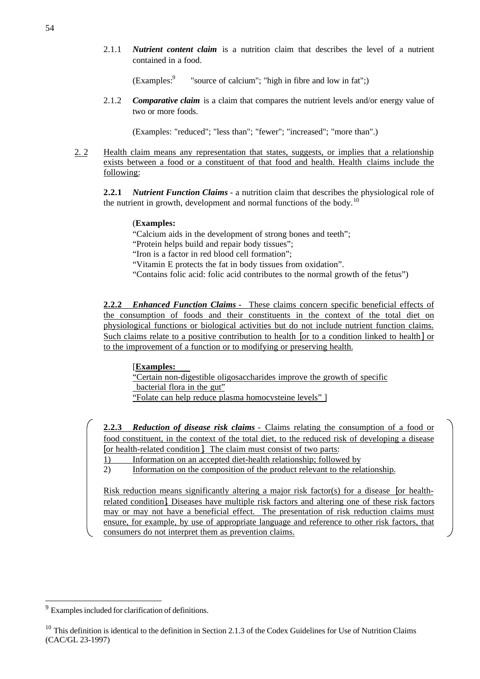2.1.1 *Nutrient content claim* is a nutrition claim that describes the level of a nutrient contained in a food.

 $(Examples)<sup>9</sup>$ "source of calcium"; "high in fibre and low in fat";)

2.1.2 *Comparative claim* is a claim that compares the nutrient levels and/or energy value of two or more foods.

(Examples: "reduced"; "less than"; "fewer"; "increased"; "more than".)

2. 2 Health claim means any representation that states, suggests, or implies that a relationship exists between a food or a constituent of that food and health. Health claims include the following:

**2.2.1** *Nutrient Function Claims* - a nutrition claim that describes the physiological role of the nutrient in growth, development and normal functions of the body.<sup>10</sup>

# (**Examples:**

"Calcium aids in the development of strong bones and teeth";

"Protein helps build and repair body tissues";

"Iron is a factor in red blood cell formation";

"Vitamin E protects the fat in body tissues from oxidation".

"Contains folic acid: folic acid contributes to the normal growth of the fetus")

**2.2.2** *Enhanced Function Claims* **-** These claims concern specific beneficial effects of the consumption of foods and their constituents in the context of the total diet on physiological functions or biological activities but do not include nutrient function claims. Such claims relate to a positive contribution to health [or to a condition linked to health] or to the improvement of a function or to modifying or preserving health.

[**Examples:** 

"Certain non-digestible oligosaccharides improve the growth of specific bacterial flora in the gut" "Folate can help reduce plasma homocysteine levels" ]

**2.2.3** *Reduction of disease risk claims* - Claims relating the consumption of a food or food constituent, in the context of the total diet, to the reduced risk of developing a disease [or health-related condition]. The claim must consist of two parts:

1) Information on an accepted diet-health relationship; followed by

2) Information on the composition of the product relevant to the relationship.

Risk reduction means significantly altering a major risk factor(s) for a disease [or healthrelated condition]. Diseases have multiple risk factors and altering one of these risk factors may or may not have a beneficial effect. The presentation of risk reduction claims must ensure, for example, by use of appropriate language and reference to other risk factors, that consumers do not interpret them as prevention claims.

l <sup>9</sup> Examples included for clarification of definitions.

 $10$  This definition is identical to the definition in Section 2.1.3 of the Codex Guidelines for Use of Nutrition Claims (CAC/GL 23-1997)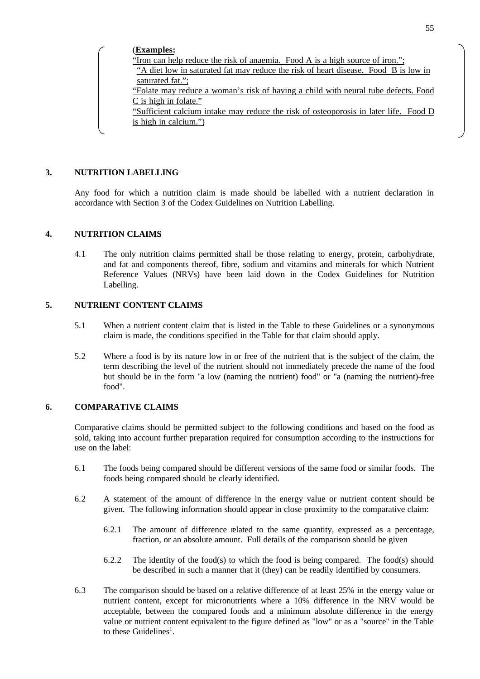- "Iron can help reduce the risk of anaemia. Food A is a high source of iron.";
- "A diet low in saturated fat may reduce the risk of heart disease. Food B is low in saturated fat.";
- "Folate may reduce a woman's risk of having a child with neural tube defects. Food C is high in folate."
- "Sufficient calcium intake may reduce the risk of osteoporosis in later life. Food D is high in calcium.")

# **3. NUTRITION LABELLING**

Any food for which a nutrition claim is made should be labelled with a nutrient declaration in accordance with Section 3 of the Codex Guidelines on Nutrition Labelling.

# **4. NUTRITION CLAIMS**

4.1 The only nutrition claims permitted shall be those relating to energy, protein, carbohydrate, and fat and components thereof, fibre, sodium and vitamins and minerals for which Nutrient Reference Values (NRVs) have been laid down in the Codex Guidelines for Nutrition Labelling.

# **5. NUTRIENT CONTENT CLAIMS**

- 5.1 When a nutrient content claim that is listed in the Table to these Guidelines or a synonymous claim is made, the conditions specified in the Table for that claim should apply.
- 5.2 Where a food is by its nature low in or free of the nutrient that is the subject of the claim, the term describing the level of the nutrient should not immediately precede the name of the food but should be in the form "a low (naming the nutrient) food" or "a (naming the nutrient)-free food".

# **6. COMPARATIVE CLAIMS**

Comparative claims should be permitted subject to the following conditions and based on the food as sold, taking into account further preparation required for consumption according to the instructions for use on the label:

- 6.1 The foods being compared should be different versions of the same food or similar foods. The foods being compared should be clearly identified.
- 6.2 A statement of the amount of difference in the energy value or nutrient content should be given. The following information should appear in close proximity to the comparative claim:
	- 6.2.1 The amount of difference related to the same quantity, expressed as a percentage, fraction, or an absolute amount. Full details of the comparison should be given
	- 6.2.2 The identity of the food(s) to which the food is being compared. The food(s) should be described in such a manner that it (they) can be readily identified by consumers.
- 6.3 The comparison should be based on a relative difference of at least 25% in the energy value or nutrient content, except for micronutrients where a 10% difference in the NRV would be acceptable, between the compared foods and a minimum absolute difference in the energy value or nutrient content equivalent to the figure defined as "low" or as a "source" in the Table to these Guidelines<sup>1</sup>.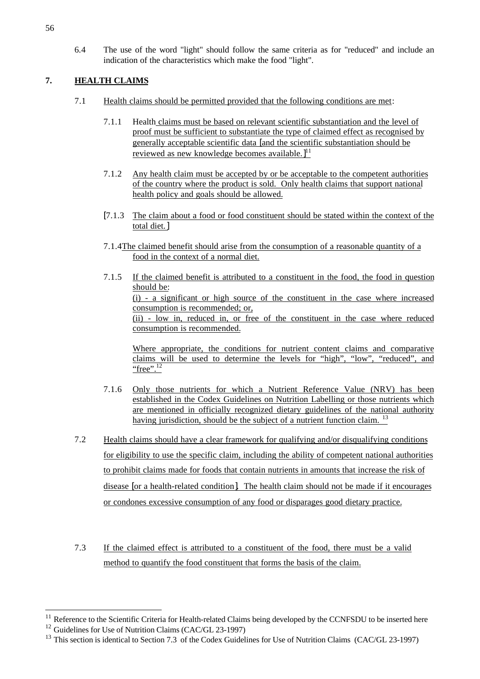6.4 The use of the word "light" should follow the same criteria as for "reduced" and include an indication of the characteristics which make the food "light".

# **7. HEALTH CLAIMS**

- 7.1 Health claims should be permitted provided that the following conditions are met:
	- 7.1.1 Health claims must be based on relevant scientific substantiation and the level of proof must be sufficient to substantiate the type of claimed effect as recognised by generally acceptable scientific data [and the scientific substantiation should be reviewed as new knowledge becomes available.]<sup>11</sup>
	- 7.1.2 Any health claim must be accepted by or be acceptable to the competent authorities of the country where the product is sold. Only health claims that support national health policy and goals should be allowed.
	- [7.1.3 The claim about a food or food constituent should be stated within the context of the total diet.]
	- 7.1.4The claimed benefit should arise from the consumption of a reasonable quantity of a food in the context of a normal diet.
	- 7.1.5 If the claimed benefit is attributed to a constituent in the food, the food in question should be: (i) - a significant or high source of the constituent in the case where increased consumption is recommended; or, (ii) - low in, reduced in, or free of the constituent in the case where reduced consumption is recommended.

Where appropriate, the conditions for nutrient content claims and comparative claims will be used to determine the levels for "high", "low", "reduced", and "free". $12$ 

- 7.1.6 Only those nutrients for which a Nutrient Reference Value (NRV) has been established in the Codex Guidelines on Nutrition Labelling or those nutrients which are mentioned in officially recognized dietary guidelines of the national authority having jurisdiction, should be the subject of a nutrient function claim. <sup>13</sup>
- 7.2 Health claims should have a clear framework for qualifying and/or disqualifying conditions for eligibility to use the specific claim, including the ability of competent national authorities to prohibit claims made for foods that contain nutrients in amounts that increase the risk of disease [or a health-related condition]. The health claim should not be made if it encourages or condones excessive consumption of any food or disparages good dietary practice.
- 7.3 If the claimed effect is attributed to a constituent of the food, there must be a valid method to quantify the food constituent that forms the basis of the claim.

l

<sup>&</sup>lt;sup>11</sup> Reference to the Scientific Criteria for Health-related Claims being developed by the CCNFSDU to be inserted here <sup>12</sup> Guidelines for Use of Nutrition Claims (CAC/GL 23-1997)

<sup>&</sup>lt;sup>13</sup> This section is identical to Section 7.3 of the Codex Guidelines for Use of Nutrition Claims (CAC/GL 23-1997)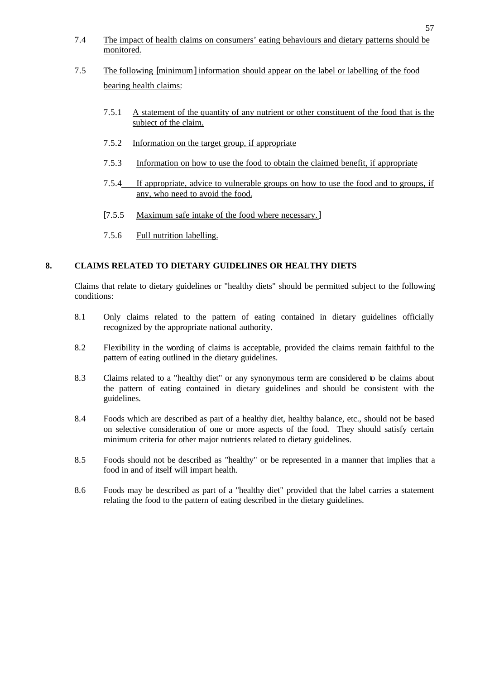- 7.4 The impact of health claims on consumers' eating behaviours and dietary patterns should be monitored.
- 7.5 The following [minimum] information should appear on the label or labelling of the food bearing health claims:
	- 7.5.1 A statement of the quantity of any nutrient or other constituent of the food that is the subject of the claim.
	- 7.5.2 Information on the target group, if appropriate
	- 7.5.3 Information on how to use the food to obtain the claimed benefit, if appropriate
	- 7.5.4 If appropriate, advice to vulnerable groups on how to use the food and to groups, if any, who need to avoid the food.
	- [7.5.5 Maximum safe intake of the food where necessary.]
	- 7.5.6 Full nutrition labelling.

# **8. CLAIMS RELATED TO DIETARY GUIDELINES OR HEALTHY DIETS**

Claims that relate to dietary guidelines or "healthy diets" should be permitted subject to the following conditions:

- 8.1 Only claims related to the pattern of eating contained in dietary guidelines officially recognized by the appropriate national authority.
- 8.2 Flexibility in the wording of claims is acceptable, provided the claims remain faithful to the pattern of eating outlined in the dietary guidelines.
- 8.3 Claims related to a "healthy diet" or any synonymous term are considered to be claims about the pattern of eating contained in dietary guidelines and should be consistent with the guidelines.
- 8.4 Foods which are described as part of a healthy diet, healthy balance, etc., should not be based on selective consideration of one or more aspects of the food. They should satisfy certain minimum criteria for other major nutrients related to dietary guidelines.
- 8.5 Foods should not be described as "healthy" or be represented in a manner that implies that a food in and of itself will impart health.
- 8.6 Foods may be described as part of a "healthy diet" provided that the label carries a statement relating the food to the pattern of eating described in the dietary guidelines.